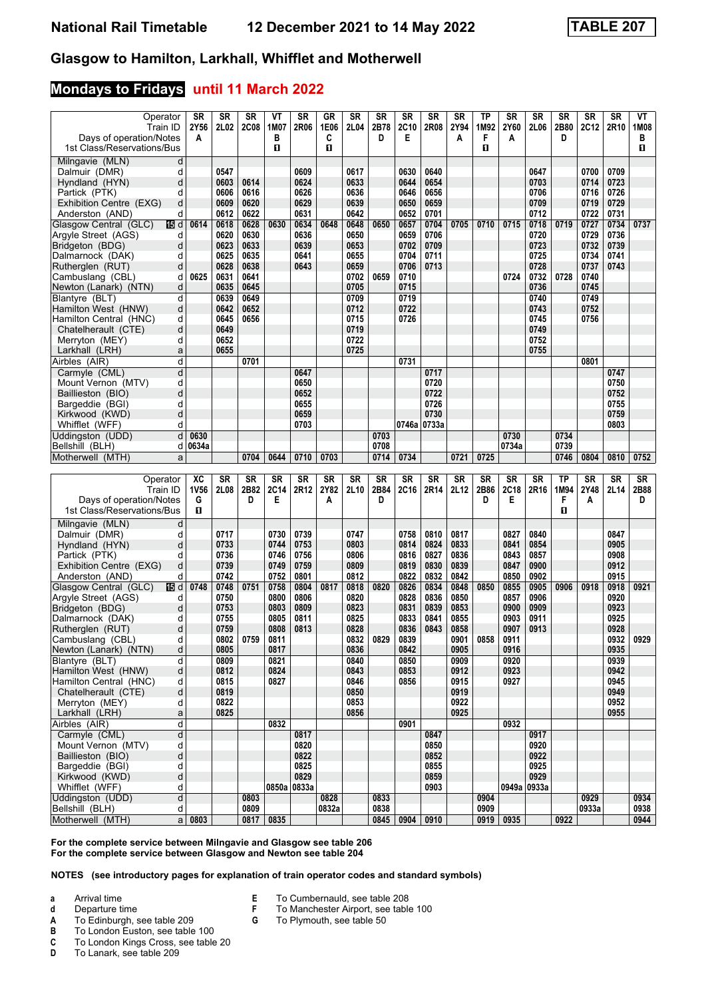### **Mondays to Fridays until 11 March 2022**

| Operator                                                | SR    | SR           | <b>SR</b>    | ۷T           | <b>SR</b>    | GR            | <b>SR</b>    | <b>SR</b>    | SR           | SR                    | <b>SR</b>    | <b>TP</b>    | SR           | <b>SR</b>    | SR        | <b>SR</b>     | <b>SR</b>    | VТ           |
|---------------------------------------------------------|-------|--------------|--------------|--------------|--------------|---------------|--------------|--------------|--------------|-----------------------|--------------|--------------|--------------|--------------|-----------|---------------|--------------|--------------|
| Train ID                                                | 2Y56  | 2L02         | <b>2C08</b>  | 1M07         | 2R06         | 1E06          | 2L04         | 2B78<br>D    | <b>2C10</b>  | 2R08                  | 2Y94         | 1M92<br>F    | 2Y60         | 2L06         | 2B80<br>D | <b>2C12</b>   | 2R10         | 1M08<br>в    |
| Days of operation/Notes<br>1st Class/Reservations/Bus   | A     |              |              | в<br>п       |              | C<br>0        |              |              | Е            |                       | A            | О            | Α            |              |           |               |              | П            |
| Milngavie (MLN)<br>d                                    |       |              |              |              |              |               |              |              |              |                       |              |              |              |              |           |               |              |              |
| Dalmuir (DMR)<br>d                                      |       | 0547         |              |              | 0609         |               | 0617         |              | 0630         | 0640                  |              |              |              | 0647         |           | 0700          | 0709         |              |
| d<br>Hyndland (HYN)                                     |       | 0603         | 0614         |              | 0624         |               | 0633         |              | 0644         | 0654                  |              |              |              | 0703         |           | 0714          | 0723         |              |
| Partick (PTK)<br>d                                      |       | 0606         | 0616         |              | 0626         |               | 0636         |              | 0646         | 0656                  |              |              |              | 0706         |           | 0716          | 0726         |              |
| Exhibition Centre (EXG)<br>d                            |       | 0609         | 0620         |              | 0629         |               | 0639         |              | 0650         | 0659                  |              |              |              | 0709         |           | 0719          | 0729         |              |
| Anderston (AND)<br>d                                    |       | 0612         | 0622         |              | 0631         |               | 0642         |              | 0652         | 0701                  |              |              |              | 0712         |           | 0722          | 0731         |              |
| Glasgow Central (GLC)<br>115 d<br>Argyle Street (AGS)   | 0614  | 0618<br>0620 | 0628<br>0630 | 0630         | 0634<br>0636 | 0648          | 0648<br>0650 | 0650         | 0657<br>0659 | 0704<br>0706          | 0705         | 0710         | 0715         | 0718<br>0720 | 0719      | 0727<br>0729  | 0734<br>0736 | 0737         |
| d<br>Bridgeton (BDG)<br>d                               |       | 0623         | 0633         |              | 0639         |               | 0653         |              | 0702         | 0709                  |              |              |              | 0723         |           | 0732          | 0739         |              |
| Dalmarnock (DAK)<br>d                                   |       | 0625         | 0635         |              | 0641         |               | 0655         |              | 0704         | 0711                  |              |              |              | 0725         |           | 0734          | 0741         |              |
| Rutherglen (RUT)<br>d                                   |       | 0628         | 0638         |              | 0643         |               | 0659         |              | 0706         | 0713                  |              |              |              | 0728         |           | 0737          | 0743         |              |
| Cambuslang (CBL)<br>d                                   | 0625  | 0631         | 0641         |              |              |               | 0702         | 0659         | 0710         |                       |              |              | 0724         | 0732         | 0728      | 0740          |              |              |
| Newton (Lanark) (NTN)<br>d                              |       | 0635         | 0645         |              |              |               | 0705         |              | 0715         |                       |              |              |              | 0736         |           | 0745          |              |              |
| Blantyre (BLT)<br>d                                     |       | 0639         | 0649         |              |              |               | 0709         |              | 0719         |                       |              |              |              | 0740         |           | 0749          |              |              |
| Hamilton West (HNW)<br>d                                |       | 0642         | 0652         |              |              |               | 0712         |              | 0722         |                       |              |              |              | 0743         |           | 0752          |              |              |
| d<br>Hamilton Central (HNC)<br>d<br>Chatelherault (CTE) |       | 0645<br>0649 | 0656         |              |              |               | 0715<br>0719 |              | 0726         |                       |              |              |              | 0745<br>0749 |           | 0756          |              |              |
| Merryton (MEY)<br>d                                     |       | 0652         |              |              |              |               | 0722         |              |              |                       |              |              |              | 0752         |           |               |              |              |
| Larkhall (LRH)<br>a                                     |       | 0655         |              |              |              |               | 0725         |              |              |                       |              |              |              | 0755         |           |               |              |              |
| d<br>Airbles (AIR)                                      |       |              | 0701         |              |              |               |              |              | 0731         |                       |              |              |              |              |           | 0801          |              |              |
| d<br>Carmyle (CML)                                      |       |              |              |              | 0647         |               |              |              |              | 0717                  |              |              |              |              |           |               | 0747         |              |
| Mount Vernon (MTV)<br>d                                 |       |              |              |              | 0650         |               |              |              |              | 0720                  |              |              |              |              |           |               | 0750         |              |
| d<br>Baillieston (BIO)                                  |       |              |              |              | 0652         |               |              |              |              | 0722                  |              |              |              |              |           |               | 0752         |              |
| d<br>Bargeddie (BGI)                                    |       |              |              |              | 0655         |               |              |              |              | 0726                  |              |              |              |              |           |               | 0755         |              |
| d<br>Kirkwood (KWD)<br>Whifflet (WFF)<br>d              |       |              |              |              | 0659<br>0703 |               |              |              |              | 0730<br>0746a   0733a |              |              |              |              |           |               | 0759<br>0803 |              |
| Uddingston (UDD)<br>d                                   | 0630  |              |              |              |              |               |              | 0703         |              |                       |              |              | 0730         |              | 0734      |               |              |              |
| Bellshill (BLH)<br>d                                    | 0634a |              |              |              |              |               |              | 0708         |              |                       |              |              | 0734a        |              | 0739      |               |              |              |
| Motherwell (MTH)<br>a                                   |       |              | 0704         | 0644         | 0710         | 0703          |              | 0714         | 0734         |                       | 0721         | 0725         |              |              | 0746      | 0804          | 0810         | 0752         |
|                                                         |       |              |              |              |              |               |              |              |              |                       |              |              |              |              |           |               |              |              |
|                                                         |       |              |              |              |              |               |              |              |              |                       |              |              |              |              |           |               |              |              |
| Operator                                                | XC    | SR           | SR           | <b>SR</b>    | SR           | <b>SR</b>     | SR           | <b>SR</b>    | SR           | <b>SR</b>             | <b>SR</b>    | SR           | <b>SR</b>    | SR           | TP        | SR            | <b>SR</b>    | SR           |
| Train ID                                                | 1V56  | 2L08         | 2B82         | 2C14         | 2R12         | 2Y82          | 2L10         | 2B84         | 2C16         | 2R14                  | 2L12         | 2B86         | 2C18         | 2R16         | 1M94      | 2Y48          | 2L14         | 2B88         |
| Days of operation/Notes                                 | G     |              | D            | E            |              | Α             |              | D            |              |                       |              | D            | Е            |              | F         | A             |              | D            |
| 1st Class/Reservations/Bus                              | O     |              |              |              |              |               |              |              |              |                       |              |              |              |              | п         |               |              |              |
| Milngavie (MLN)<br>d                                    |       |              |              |              |              |               |              |              |              |                       |              |              |              |              |           |               |              |              |
| Dalmuir (DMR)<br>d                                      |       | 0717         |              | 0730         | 0739         |               | 0747         |              | 0758         | 0810                  | 0817         |              | 0827         | 0840         |           |               | 0847         |              |
| d<br>Hyndland (HYN)                                     |       | 0733         |              | 0744         | 0753         |               | 0803         |              | 0814         | 0824                  | 0833         |              | 0841         | 0854         |           |               | 0905         |              |
| Partick (PTK)<br>d<br>d<br>Exhibition Centre (EXG)      |       | 0736<br>0739 |              | 0746<br>0749 | 0756<br>0759 |               | 0806<br>0809 |              | 0816<br>0819 | 0827<br>0830          | 0836<br>0839 |              | 0843<br>0847 | 0857<br>0900 |           |               | 0908<br>0912 |              |
| Anderston (AND)<br>d                                    |       | 0742         |              | 0752         | 0801         |               | 0812         |              | 0822         | 0832                  | 0842         |              | 0850         | 0902         |           |               | 0915         |              |
| 115 d<br>Glasgow Central (GLC)                          | 0748  | 0748         | 0751         | 0758         | 0804         | 0817          | 0818         | 0820         | 0826         | 0834                  | 0848         | 0850         | 0855         | 0905         | 0906      | 0918          | 0918         | 0921         |
| Argyle Street (AGS)<br>d                                |       | 0750         |              | 0800         | 0806         |               | 0820         |              | 0828         | 0836                  | 0850         |              | 0857         | 0906         |           |               | 0920         |              |
| Bridgeton (BDG)<br>d                                    |       | 0753         |              | 0803         | 0809         |               | 0823         |              | 0831         | 0839                  | 0853         |              | 0900         | 0909         |           |               | 0923         |              |
| Dalmarnock (DAK)<br>d                                   |       | 0755         |              | 0805         | 0811         |               | 0825         |              | 0833         | 0841                  | 0855         |              | 0903         | 0911         |           |               | 0925         |              |
| Rutherglen (RUT)<br>d<br>d                              |       | 0759         |              | 0808         | 0813         |               | 0828         |              | 0836         | 0843                  | 0858         |              | 0907         | 0913         |           |               | 0928         |              |
| Cambuslang (CBL)<br>d<br>Newton (Lanark) (NTN)          |       | 0802<br>0805 | 0759         | 0811<br>0817 |              |               | 0832<br>0836 | 0829         | 0839<br>0842 |                       | 0901<br>0905 | 0858         | 0911<br>0916 |              |           |               | 0932<br>0935 | 0929         |
| Blantvre (BLT)<br>d                                     |       | 0809         |              | 0821         |              |               | 0840         |              | 0850         |                       | 0909         |              | 0920         |              |           |               | 0939         |              |
| Hamilton West (HNW)<br>d                                |       | 0812         |              | 0824         |              |               | 0843         |              | 0853         |                       | 0912         |              | 0923         |              |           |               | 0942         |              |
| d<br>Hamilton Central (HNC)                             |       | 0815         |              | 0827         |              |               | 0846         |              | 0856         |                       | 0915         |              | 0927         |              |           |               | 0945         |              |
| d<br>Chatelherault (CTE)                                |       | 0819         |              |              |              |               | 0850         |              |              |                       | 0919         |              |              |              |           |               | 0949         |              |
| d<br>Merryton (MEY)                                     |       | 0822         |              |              |              |               | 0853         |              |              |                       | 0922         |              |              |              |           |               | 0952         |              |
| a<br>Larkhall (LRH)                                     |       | 0825         |              |              |              |               | 0856         |              |              |                       | 0925         |              |              |              |           |               | 0955         |              |
| d<br>Airbles (AIR)<br>$\overline{\mathsf{d}}$           |       |              |              | 0832         |              |               |              |              | 0901         |                       |              |              | 0932         | 0917         |           |               |              |              |
| Carmyle (CML)<br>Mount Vernon (MTV)<br>d                |       |              |              |              | 0817<br>0820 |               |              |              |              | 0847<br>0850          |              |              |              | 0920         |           |               |              |              |
| d<br>Baillieston (BIO)                                  |       |              |              |              | 0822         |               |              |              |              | 0852                  |              |              |              | 0922         |           |               |              |              |
| d<br>Bargeddie (BGI)                                    |       |              |              |              | 0825         |               |              |              |              | 0855                  |              |              |              | 0925         |           |               |              |              |
| d<br>Kirkwood (KWD)                                     |       |              |              |              | 0829         |               |              |              |              | 0859                  |              |              |              | 0929         |           |               |              |              |
| Whifflet (WFF)<br>d                                     |       |              |              | 0850a 0833a  |              |               |              |              |              | 0903                  |              |              |              | 0949a 0933a  |           |               |              |              |
| Uddingston (UDD)<br>d<br>Bellshill (BLH)<br>d           |       |              | 0803<br>0809 |              |              | 0828<br>0832a |              | 0833<br>0838 |              |                       |              | 0904<br>0909 |              |              |           | 0929<br>0933a |              | 0934<br>0938 |

**For the complete service between Milngavie and Glasgow see table 206 For the complete service between Glasgow and Newton see table 204**

**NOTES (see introductory pages for explanation of train operator codes and standard symbols)**

- **a** Arrival time
- 
- **d** Departure time
- **A** To Edinburgh, see table 209<br>**B** To London Euston, see table
- **B** To London Euston, see table 100<br>**C** To London Kings Cross, see table **C** To London Kings Cross, see table 20<br>**D** To Lanark, see table 209
- **'** To Lanark, see table 20
- **E** To Cumbernauld, see table 208<br>**F** To Manchester Airport, see table
- **F** To Manchester Airport, see table 100<br>**G** To Plymouth, see table 50
- **\*** To Plymouth, see table 50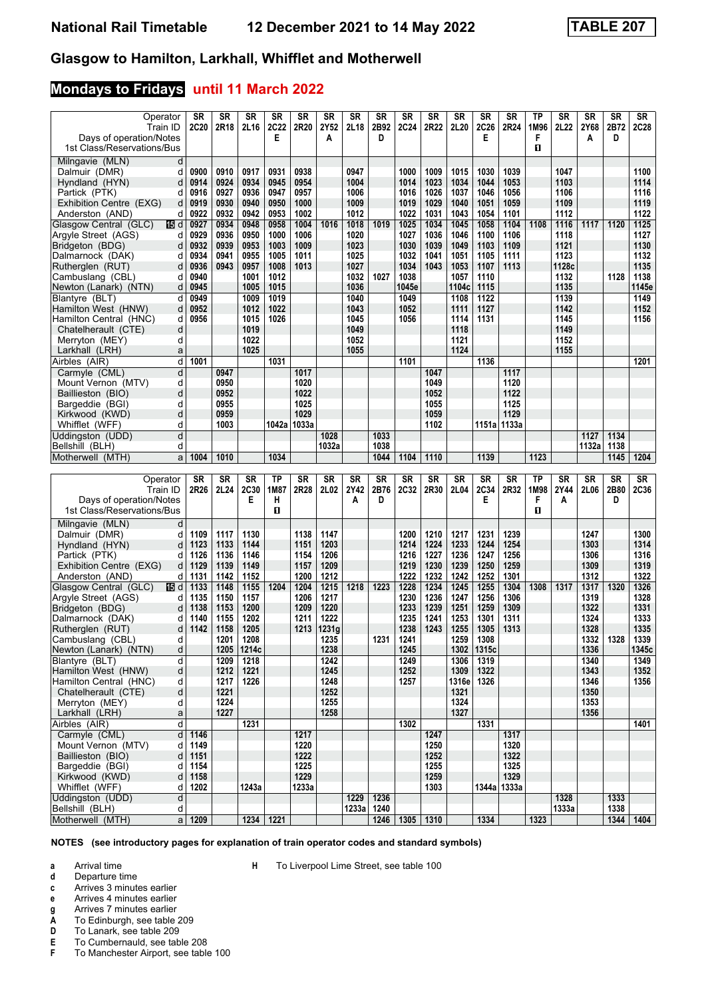## **Mondays to Fridays until 11 March 2022**

| Operator<br>Train ID<br>Days of operation/Notes<br>1st Class/Reservations/Bus   | <b>SR</b><br><b>2C20</b> | SR<br>2R18           | <b>SR</b><br>2L16      | SR<br><b>2C22</b><br>E | SR<br>2R20           | <b>SR</b><br>2Y52<br>Α | SR<br>2L18           | <b>SR</b><br>2B92<br>D | SR<br><b>2C24</b>     | SR<br>2R22           | <b>SR</b><br>2L20     | SR<br><b>2C26</b><br>Е | SR<br>2R24           | ТP<br>1M96<br>F<br>п | SR<br>2L22            | SR<br>2Y68<br>A      | <b>SR</b><br>2B72<br>D | SR<br>2C28            |
|---------------------------------------------------------------------------------|--------------------------|----------------------|------------------------|------------------------|----------------------|------------------------|----------------------|------------------------|-----------------------|----------------------|-----------------------|------------------------|----------------------|----------------------|-----------------------|----------------------|------------------------|-----------------------|
| Milngavie (MLN)<br>d<br>Dalmuir (DMR)<br>d<br>Hyndland (HYN)<br>d               | 0900<br>0914             | 0910<br>0924         | 0917<br>0934           | 0931<br>0945           | 0938<br>0954         |                        | 0947<br>1004         |                        | 1000<br>1014          | 1009<br>1023         | 1015<br>1034          | 1030<br>1044           | 1039<br>1053         |                      | 1047<br>1103          |                      |                        | 1100<br>1114          |
| Partick (PTK)<br>d<br>Exhibition Centre (EXG)<br>d<br>Anderston (AND)<br>d      | 0916<br>0919<br>0922     | 0927<br>0930<br>0932 | 0936<br>0940<br>0942   | 0947<br>0950<br>0953   | 0957<br>1000<br>1002 |                        | 1006<br>1009<br>1012 |                        | 1016<br>1019<br>1022  | 1026<br>1029<br>1031 | 1037<br>1040<br>1043  | 1046<br>1051<br>1054   | 1056<br>1059<br>1101 |                      | 1106<br>1109<br>1112  |                      |                        | 1116<br>1119<br>1122  |
| Glasgow Central (GLC)<br>個d<br>Argyle Street (AGS)<br>d<br>Bridgeton (BDG)<br>d | 0927<br>0929<br>0932     | 0934<br>0936<br>0939 | 0948<br>0950<br>0953   | 0958<br>1000<br>1003   | 1004<br>1006<br>1009 | 1016                   | 1018<br>1020<br>1023 | 1019                   | 1025<br>1027<br>1030  | 1034<br>1036<br>1039 | 1045<br>1046<br>1049  | 1058<br>1100<br>1103   | 1104<br>1106<br>1109 | 1108                 | 1116<br>1118<br>1121  | 1117                 | 1120                   | 1125<br>1127<br>1130  |
| Dalmarnock (DAK)<br>d<br>Rutherglen (RUT)<br>d<br>Cambuslang (CBL)<br>d         | 0934<br>0936<br>0940     | 0941<br>0943         | 0955<br>0957<br>1001   | 1005<br>1008<br>1012   | 1011<br>1013         |                        | 1025<br>1027<br>1032 | 1027                   | 1032<br>1034<br>1038  | 1041<br>1043         | 1051<br>1053<br>1057  | 1105<br>1107<br>1110   | 1111<br>1113         |                      | 1123<br>1128c<br>1132 |                      | 1128                   | 1132<br>1135<br>1138  |
| Newton (Lanark) (NTN)<br>d<br>Blantyre (BLT)<br>d<br>Hamilton West (HNW)<br>d   | 0945<br>0949<br>0952     |                      | 1005<br>1009<br>1012   | 1015<br>1019<br>1022   |                      |                        | 1036<br>1040<br>1043 |                        | 1045e<br>1049<br>1052 |                      | 1104с<br>1108<br>1111 | 1115<br>1122<br>1127   |                      |                      | 1135<br>1139<br>1142  |                      |                        | 1145e<br>1149<br>1152 |
| Hamilton Central (HNC)<br>d<br>Chatelherault (CTE)<br>d<br>d<br>Merryton (MEY)  | 0956                     |                      | 1015<br>1019<br>1022   | 1026                   |                      |                        | 1045<br>1049<br>1052 |                        | 1056                  |                      | 1114<br>1118<br>1121  | 1131                   |                      |                      | 1145<br>1149<br>1152  |                      |                        | 1156                  |
| Larkhall (LRH)<br>a<br>d<br>Airbles (AIR)                                       | 1001                     |                      | 1025                   | 1031                   |                      |                        | 1055                 |                        | 1101                  |                      | 1124                  | 1136                   |                      |                      | 1155                  |                      |                        | 1201                  |
| d<br>Carmyle (CML)<br>Mount Vernon (MTV)<br>d<br>d                              |                          | 0947<br>0950<br>0952 |                        |                        | 1017<br>1020<br>1022 |                        |                      |                        |                       | 1047<br>1049<br>1052 |                       |                        | 1117<br>1120<br>1122 |                      |                       |                      |                        |                       |
| Baillieston (BIO)<br>d<br>Bargeddie (BGI)<br>d<br>Kirkwood (KWD)                |                          | 0955<br>0959         |                        |                        | 1025<br>1029         |                        |                      |                        |                       | 1055<br>1059         |                       |                        | 1125<br>1129         |                      |                       |                      |                        |                       |
| Whifflet (WFF)<br>d<br>Uddingston (UDD)<br>d<br>d<br>Bellshill (BLH)            |                          | 1003                 |                        | 1042a   1033a          |                      | 1028<br>1032a          |                      | 1033<br>1038           |                       | 1102                 |                       | 1151a   1133a          |                      |                      |                       | 1127<br>1132a        | 1134<br>1138           |                       |
| Motherwell (MTH)<br>a                                                           | 1004                     | 1010                 |                        | 1034                   |                      |                        |                      | 1044                   | 1104                  | 1110                 |                       | 1139                   |                      | 1123                 |                       |                      | 1145                   | 1204                  |
|                                                                                 |                          |                      |                        |                        |                      |                        |                      |                        |                       |                      |                       |                        |                      |                      |                       |                      |                        |                       |
| Operator<br>Train ID<br>Days of operation/Notes                                 | SR<br>2R26               | SR<br>2L24           | <b>SR</b><br>2C30<br>Е | ТP<br>1M87<br>н        | SR<br>2R28           | <b>SR</b><br>2L02      | SR<br>2Y42<br>A      | <b>SR</b><br>2B76<br>D | SR<br>2C32            | SR<br>2R30           | <b>SR</b><br>2L04     | SR<br><b>2C34</b><br>Е | <b>SR</b><br>2R32    | ΤP<br>1M98<br>F      | SR<br>2Y44<br>A       | SR<br>2L06           | <b>SR</b><br>2B80<br>D | SR<br><b>2C36</b>     |
| 1st Class/Reservations/Bus<br>Milngavie (MLN)<br>d                              |                          |                      |                        | п                      |                      |                        |                      |                        |                       |                      |                       |                        |                      | п                    |                       |                      |                        |                       |
| Dalmuir (DMR)<br>d<br>Hyndland (HYN)<br>d                                       | 1109<br>1123             | 1117<br>1133         | 1130<br>1144           |                        | 1138<br>1151         | 1147<br>1203           |                      |                        | 1200<br>1214          | 1210<br>1224         | 1217<br>1233          | 1231<br>1244           | 1239<br>1254         |                      |                       | 1247<br>1303         |                        | 1300<br>1314          |
| Partick (PTK)<br>d<br>Exhibition Centre (EXG)<br>d<br>d                         | 1126<br>1129<br>1131     | 1136<br>1139<br>1142 | 1146<br>1149<br>1152   |                        | 1154<br>1157<br>1200 | 1206<br>1209<br>1212   |                      |                        | 1216<br>1219<br>1222  | 1227<br>1230<br>1232 | 1236<br>1239<br>1242  | 1247<br>1250<br>1252   | 1256<br>1259<br>1301 |                      |                       | 1306<br>1309<br>1312 |                        | 1316<br>1319          |
| Anderston (AND)<br>Glasgow Central (GLC)<br>165 d<br>Argyle Street (AGS)<br>d   | 1133<br>1135             | 1148<br>1150         | 1155<br>1157           | 1204                   | 1204<br>1206         | 1215<br>1217           | 1218                 | 1223                   | 1228<br>1230          | 1234<br>1236         | 1245<br>1247          | 1255<br>1256           | 1304<br>1306         | 1308                 | 1317                  | 1317<br>1319         | 1320                   | 1322<br>1326<br>1328  |
| Bridgeton (BDG)<br>d<br>Dalmarnock (DAK)<br>d<br>Rutherglen (RUT)<br>d          | 1138<br>1140<br>1142     | 1153<br>1155<br>1158 | 1200<br>1202<br>1205   |                        | 1209<br>1211<br>1213 | 1220<br>1222<br>1231g  |                      |                        | 1233<br>1235<br>1238  | 1239<br>1241<br>1243 | 1251<br>1253<br>1255  | 1259<br>1301<br>1305   | 1309<br>1311<br>1313 |                      |                       | 1322<br>1324<br>1328 |                        | 1331<br>1333<br>1335  |
| Cambuslang (CBL)<br>d<br>$\mathsf{d}$<br>Newton (Lanark) (NTN)                  |                          | 1201                 | 1208<br>1205 1214c     |                        |                      | 1235<br>1238           |                      | 1231                   | 1241<br>1245          |                      | 1259                  | 1308<br>1302 1315c     |                      |                      |                       | 1332<br>1336         | 1328                   | 1339<br>1345c         |
| d<br>Blantyre (BLT)<br>Hamilton West (HNW)<br>d<br>d<br>Hamilton Central (HNC)  |                          | 1209<br>1212<br>1217 | 1218<br>1221<br>1226   |                        |                      | 1242<br>1245<br>1248   |                      |                        | 1249<br>1252<br>1257  |                      | 1306<br>1309<br>1316e | 1319<br>1322<br>1326   |                      |                      |                       | 1340<br>1343<br>1346 |                        | 1349<br>1352<br>1356  |
| d<br>Chatelherault (CTE)<br>d<br>Merryton (MEY)<br>a                            |                          | 1221<br>1224<br>1227 |                        |                        |                      | 1252<br>1255<br>1258   |                      |                        |                       |                      | 1321<br>1324<br>1327  |                        |                      |                      |                       | 1350<br>1353<br>1356 |                        |                       |
| Larkhall (LRH)<br>d<br>Airbles (AIR)                                            |                          |                      | 1231                   |                        |                      |                        |                      |                        | 1302                  |                      |                       | 1331                   |                      |                      |                       |                      |                        | 1401                  |
| Carmyle (CML)<br>d<br>Mount Vernon (MTV)<br>d                                   | 1146<br>1149             |                      |                        |                        | 1217<br>1220         |                        |                      |                        |                       | 1247<br>1250         |                       |                        | 1317<br>1320         |                      |                       |                      |                        |                       |
| Baillieston (BIO)<br>d                                                          | 1151                     |                      |                        |                        | 1222                 |                        |                      |                        |                       | 1252                 |                       |                        | 1322                 |                      |                       |                      |                        |                       |
| Bargeddie (BGI)<br>d<br>Kirkwood (KWD)<br>d                                     | 1154<br>1158             |                      |                        |                        | 1225<br>1229         |                        |                      |                        |                       | 1255<br>1259         |                       |                        | 1325<br>1329         |                      |                       |                      |                        |                       |
| Whifflet (WFF)<br>d<br>Uddingston (UDD)<br>d<br>Bellshill (BLH)<br>d            | 1202                     |                      | 1243a                  |                        | 1233a                |                        | 1229<br>1233a        | 1236<br>1240           |                       | 1303                 |                       | 1344a   1333a          |                      |                      | 1328<br>1333a         |                      | 1333<br>1338           |                       |

**NOTES (see introductory pages for explanation of train operator codes and standard symbols)**

**+** To Liverpool Lime Street, see table 100

**a** Arrival time

**d** Departure time<br>**c** Arrives 3 minute **c** Arrives 3 minutes earlier

- **e** Arrives 4 minutes earlier
- **g** Arrives 7 minutes earlier<br>**A** To Edinburgh, see table
- **A** To Edinburgh, see table 209<br>**D** To Lanark, see table 209
- 
- **D** To Lanark, see table 209<br>**E** To Cumbernauld, see tab
- **E** To Cumbernauld, see table 208<br>**F** To Manchester Airport, see table **F** To Manchester Airport, see table 100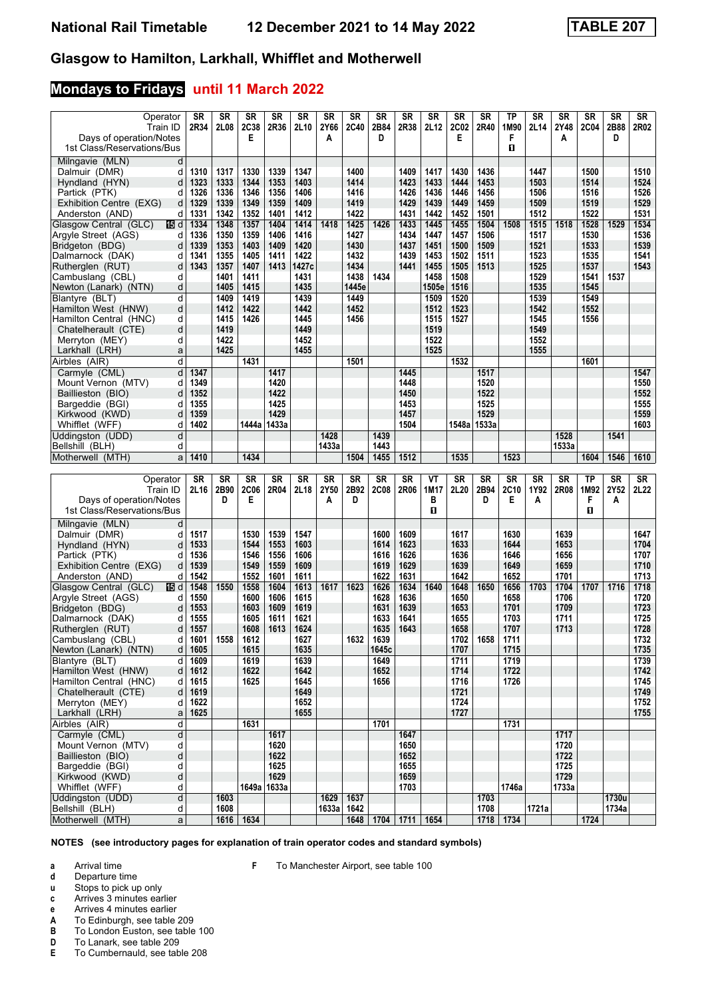## **Mondays to Fridays until 11 March 2022**

| Operator<br>Train ID                                  | <b>SR</b><br>2R34 | SR<br>2L08   | <b>SR</b><br>2C38 | <b>SR</b><br>2R36 | SR<br>2L10   | SR<br>2Y66    | SR<br><b>2C40</b> | SR<br>2B84   | SR<br>2R38   | SR<br>2L12   | SR<br><b>2C02</b> | <b>SR</b><br>2R40 | TP<br>1M90       | SR<br>2L14   | SR<br>2Y48   | SR<br><b>2C04</b> | SR<br>2B88     | SR<br>2R02   |
|-------------------------------------------------------|-------------------|--------------|-------------------|-------------------|--------------|---------------|-------------------|--------------|--------------|--------------|-------------------|-------------------|------------------|--------------|--------------|-------------------|----------------|--------------|
| Days of operation/Notes<br>1st Class/Reservations/Bus |                   |              | Е                 |                   |              | Α             |                   | D            |              |              | Е                 |                   | F<br>п           |              | A            |                   | D              |              |
| Milngavie (MLN)<br>d                                  |                   |              |                   |                   |              |               |                   |              |              |              |                   |                   |                  |              |              |                   |                |              |
| Dalmuir (DMR)<br>d                                    | 1310              | 1317         | 1330              | 1339              | 1347         |               | 1400              |              | 1409         | 1417         | 1430              | 1436              |                  | 1447         |              | 1500              |                | 1510         |
| Hyndland (HYN)<br>d                                   | 1323              | 1333         | 1344              | 1353              | 1403         |               | 1414              |              | 1423         | 1433         | 1444              | 1453              |                  | 1503         |              | 1514              |                | 1524         |
| Partick (PTK)<br>d                                    | 1326              | 1336         | 1346              | 1356              | 1406         |               | 1416              |              | 1426         | 1436         | 1446              | 1456              |                  | 1506         |              | 1516              |                | 1526         |
| Exhibition Centre (EXG)<br>d                          | 1329              | 1339         | 1349              | 1359              | 1409         |               | 1419              |              | 1429         | 1439         | 1449              | 1459              |                  | 1509         |              | 1519              |                | 1529         |
| Anderston (AND)<br>d                                  | 1331              | 1342         | 1352              | 1401              | 1412         |               | 1422              |              | 1431         | 1442         | 1452              | 1501              |                  | 1512         |              | 1522              |                | 1531         |
| Glasgow Central (GLC)<br>115 d                        | 1334              | 1348         | 1357              | 1404              | 1414         | 1418          | 1425              | 1426         | 1433         | 1445         | 1455              | 1504              | 1508             | 1515         | 1518         | 1528              | 1529           | 1534         |
| Argyle Street (AGS)<br>d                              | 1336              | 1350         | 1359              | 1406              | 1416         |               | 1427              |              | 1434         | 1447         | 1457              | 1506              |                  | 1517         |              | 1530              |                | 1536         |
| Bridgeton (BDG)<br>d<br>d                             | 1339<br>1341      | 1353<br>1355 | 1403<br>1405      | 1409<br>1411      | 1420<br>1422 |               | 1430<br>1432      |              | 1437<br>1439 | 1451<br>1453 | 1500<br>1502      | 1509<br>1511      |                  | 1521<br>1523 |              | 1533<br>1535      |                | 1539<br>1541 |
| Dalmarnock (DAK)<br>Rutherglen (RUT)<br>d             | 1343              | 1357         | 1407              | 1413              | 1427c        |               | 1434              |              | 1441         | 1455         | 1505              | 1513              |                  | 1525         |              | 1537              |                | 1543         |
| Cambuslang (CBL)<br>d                                 |                   | 1401         | 1411              |                   | 1431         |               | 1438              | 1434         |              | 1458         | 1508              |                   |                  | 1529         |              | 1541              | 1537           |              |
| Newton (Lanark) (NTN)<br>d                            |                   | 1405         | 1415              |                   | 1435         |               | 1445e             |              |              | 1505e        | 1516              |                   |                  | 1535         |              | 1545              |                |              |
| d<br>Blantyre (BLT)                                   |                   | 1409         | 1419              |                   | 1439         |               | 1449              |              |              | 1509         | 1520              |                   |                  | 1539         |              | 1549              |                |              |
| Hamilton West (HNW)<br>d                              |                   | 1412         | 1422              |                   | 1442         |               | 1452              |              |              | 1512         | 1523              |                   |                  | 1542         |              | 1552              |                |              |
| Hamilton Central (HNC)<br>d                           |                   | 1415         | 1426              |                   | 1445         |               | 1456              |              |              | 1515         | 1527              |                   |                  | 1545         |              | 1556              |                |              |
| d<br>Chatelherault (CTE)                              |                   | 1419         |                   |                   | 1449         |               |                   |              |              | 1519         |                   |                   |                  | 1549         |              |                   |                |              |
| d<br>Merryton (MEY)                                   |                   | 1422         |                   |                   | 1452         |               |                   |              |              | 1522<br>1525 |                   |                   |                  | 1552         |              |                   |                |              |
| Larkhall (LRH)<br>a<br>d<br>Airbles (AIR)             |                   | 1425         | 1431              |                   | 1455         |               | 1501              |              |              |              | 1532              |                   |                  | 1555         |              | 1601              |                |              |
| d<br>Carmyle (CML)                                    | 1347              |              |                   | 1417              |              |               |                   |              | 1445         |              |                   | 1517              |                  |              |              |                   |                | 1547         |
| Mount Vernon (MTV)<br>d                               | 1349              |              |                   | 1420              |              |               |                   |              | 1448         |              |                   | 1520              |                  |              |              |                   |                | 1550         |
| Baillieston (BIO)<br>d                                | 1352              |              |                   | 1422              |              |               |                   |              | 1450         |              |                   | 1522              |                  |              |              |                   |                | 1552         |
| Bargeddie (BGI)<br>d                                  | 1355              |              |                   | 1425              |              |               |                   |              | 1453         |              |                   | 1525              |                  |              |              |                   |                | 1555         |
| Kirkwood (KWD)<br>d                                   | 1359              |              |                   | 1429              |              |               |                   |              | 1457         |              |                   | 1529              |                  |              |              |                   |                | 1559         |
| Whifflet (WFF)<br>d                                   | 1402              |              | 1444a             | ∣1433a            |              |               |                   |              | 1504         |              | 1548a             | 1533a             |                  |              |              |                   |                | 1603         |
| Uddingston (UDD)<br>d                                 |                   |              |                   |                   |              | 1428          |                   | 1439         |              |              |                   |                   |                  |              | 1528         |                   | 1541           |              |
| Bellshill (BLH)<br>d                                  |                   |              |                   |                   |              | 1433a         |                   | 1443         |              |              |                   |                   |                  |              | 1533a        |                   |                |              |
| Motherwell (MTH)<br>a                                 | 1410              |              | 1434              |                   |              |               | 1504              | 1455         | 1512         |              | 1535              |                   | 1523             |              |              | 1604              | 1546           | 1610         |
|                                                       |                   |              |                   |                   |              |               |                   |              |              |              |                   |                   |                  |              |              |                   |                |              |
|                                                       |                   |              |                   |                   |              |               |                   |              |              |              |                   |                   |                  |              |              |                   |                |              |
| Operator                                              | <b>SR</b>         | SR           | <b>SR</b>         | SR                | <b>SR</b>    | <b>SR</b>     | <b>SR</b>         | <b>SR</b>    | <b>SR</b>    | VT           | <b>SR</b>         | <b>SR</b>         | <b>SR</b>        | SR           | <b>SR</b>    | <b>TP</b>         | <b>SR</b>      | SR           |
| Train ID                                              | 2L16              | 2B90<br>D    | <b>2C06</b><br>Е  | 2R04              | 2L18         | 2Y50<br>A     | 2B92<br>D         | <b>2C08</b>  | 2R06         | 1M17<br>в    | 2L20              | 2B94<br>D         | <b>2C10</b><br>Е | 1Y92<br>A    | 2R08         | 1M92<br>F         | 2Y52<br>А      | 2L22         |
| Days of operation/Notes<br>1st Class/Reservations/Bus |                   |              |                   |                   |              |               |                   |              |              | п            |                   |                   |                  |              |              | п                 |                |              |
| Milngavie (MLN)<br>d                                  |                   |              |                   |                   |              |               |                   |              |              |              |                   |                   |                  |              |              |                   |                |              |
| Dalmuir (DMR)<br>d                                    | 1517              |              | 1530              | 1539              | 1547         |               |                   | 1600         | 1609         |              | 1617              |                   | 1630             |              | 1639         |                   |                | 1647         |
| Hyndland (HYN)<br>d                                   | 1533              |              | 1544              | 1553              | 1603         |               |                   | 1614         | 1623         |              | 1633              |                   | 1644             |              | 1653         |                   |                | 1704         |
| Partick (PTK)<br>d                                    | 1536              |              | 1546              | 1556              | 1606         |               |                   | 1616         | 1626         |              | 1636              |                   | 1646             |              | 1656         |                   |                | 1707         |
| Exhibition Centre (EXG)<br>d                          | 1539              |              | 1549              | 1559              | 1609         |               |                   | 1619         | 1629         |              | 1639              |                   | 1649             |              | 1659         |                   |                | 1710         |
| Anderston (AND)<br>d                                  | 1542              |              | 1552              | 1601              | 1611         |               |                   | 1622         | 1631         |              | 1642              |                   | 1652             |              | 1701         |                   |                | 1713         |
| Glasgow Central (GLC)<br>個d                           | 1548              | 1550         | 1558              | 1604              | 1613         | 1617          | 1623              | 1626         | 1634         | 1640         | 1648              | 1650              | 1656             | 1703         | 1704         | 1707              | 1716           | 1718         |
| Argyle Street (AGS)<br>d<br>Bridgeton (BDG)<br>d      | 1550<br>1553      |              | 1600<br>1603      | 1606<br>1609      | 1615<br>1619 |               |                   | 1628<br>1631 | 1636<br>1639 |              | 1650<br>1653      |                   | 1658<br>1701     |              | 1706<br>1709 |                   |                | 1720<br>1723 |
| Dalmarnock (DAK)<br>d                                 | 1555              |              | 1605              | 1611              | 1621         |               |                   | 1633         | 1641         |              | 1655              |                   | 1703             |              | 1711         |                   |                | 1725         |
| Rutherglen (RUT)<br>d                                 | 1557              |              | 1608              | 1613              | 1624         |               |                   | 1635         | 1643         |              | 1658              |                   | 1707             |              | 1713         |                   |                | 1728         |
| Cambuslang (CBL)<br>d∣                                | 1601              | 1558         | 1612              |                   | 1627         |               | 1632              | 1639         |              |              | 1702              | 1658              | 1711             |              |              |                   |                | 1732         |
| Newton (Lanark) (NTN)                                 | $d$ 1605          |              | 1615              |                   | 1635         |               |                   | 1645c        |              |              | 1707              |                   | 1715             |              |              |                   |                | 1735         |
| Blantyre (BLT)<br>dl                                  | 1609              |              | 1619              |                   | 1639         |               |                   | 1649         |              |              | 1711              |                   | 1719             |              |              |                   |                | 1739         |
| Hamilton West (HNW)<br>d                              | 1612              |              | 1622              |                   | 1642         |               |                   | 1652         |              |              | 1714              |                   | 1722             |              |              |                   |                | 1742         |
| Hamilton Central (HNC)<br>d                           | 1615              |              | 1625              |                   | 1645         |               |                   | 1656         |              |              | 1716              |                   | 1726             |              |              |                   |                | 1745         |
| Chatelherault (CTE)<br>d                              | 1619              |              |                   |                   | 1649         |               |                   |              |              |              | 1721              |                   |                  |              |              |                   |                | 1749         |
| Merryton (MEY)<br>d<br>Larkhall (LRH)<br>a            | 1622<br>1625      |              |                   |                   | 1652<br>1655 |               |                   |              |              |              | 1724<br>1727      |                   |                  |              |              |                   |                | 1752<br>1755 |
| Airbles (AIR)<br>d                                    |                   |              | 1631              |                   |              |               |                   | 1701         |              |              |                   |                   | 1731             |              |              |                   |                |              |
| Carmyle (CML)<br>d                                    |                   |              |                   | 1617              |              |               |                   |              | 1647         |              |                   |                   |                  |              | 1717         |                   |                |              |
| Mount Vernon (MTV)<br>d                               |                   |              |                   | 1620              |              |               |                   |              | 1650         |              |                   |                   |                  |              | 1720         |                   |                |              |
| d<br>Baillieston (BIO)                                |                   |              |                   | 1622              |              |               |                   |              | 1652         |              |                   |                   |                  |              | 1722         |                   |                |              |
| d<br>Bargeddie (BGI)                                  |                   |              |                   | 1625              |              |               |                   |              | 1655         |              |                   |                   |                  |              | 1725         |                   |                |              |
| d<br>Kirkwood (KWD)                                   |                   |              |                   | 1629              |              |               |                   |              | 1659         |              |                   |                   |                  |              | 1729         |                   |                |              |
| d<br>Whifflet (WFF)                                   |                   |              |                   | 1649a 1633a       |              |               |                   |              | 1703         |              |                   |                   | 1746a            |              | 1733a        |                   |                |              |
| d<br>Uddingston (UDD)<br>Bellshill (BLH)<br>d         |                   | 1603<br>1608 |                   |                   |              | 1629<br>1633a | 1637<br>1642      |              |              |              |                   | 1703<br>1708      |                  | 1721a        |              |                   | 1730u<br>1734a |              |

**NOTES (see introductory pages for explanation of train operator codes and standard symbols)**

**F** To Manchester Airport, see table 100

**a** Arrival time

**d** Departure time<br>**u** Stops to pick up

Stops to pick up only

**c** Arrives 3 minutes earlier

**e** Arrives 4 minutes earlier<br>**A** To Edinburgh, see table

**A** To Edinburgh, see table 209<br>**B** To London Euston, see table

**B** To London Euston, see table 100<br>**D** To Lanark, see table 209

**D** To Lanark, see table 209<br>**E** To Cumbernauld, see tab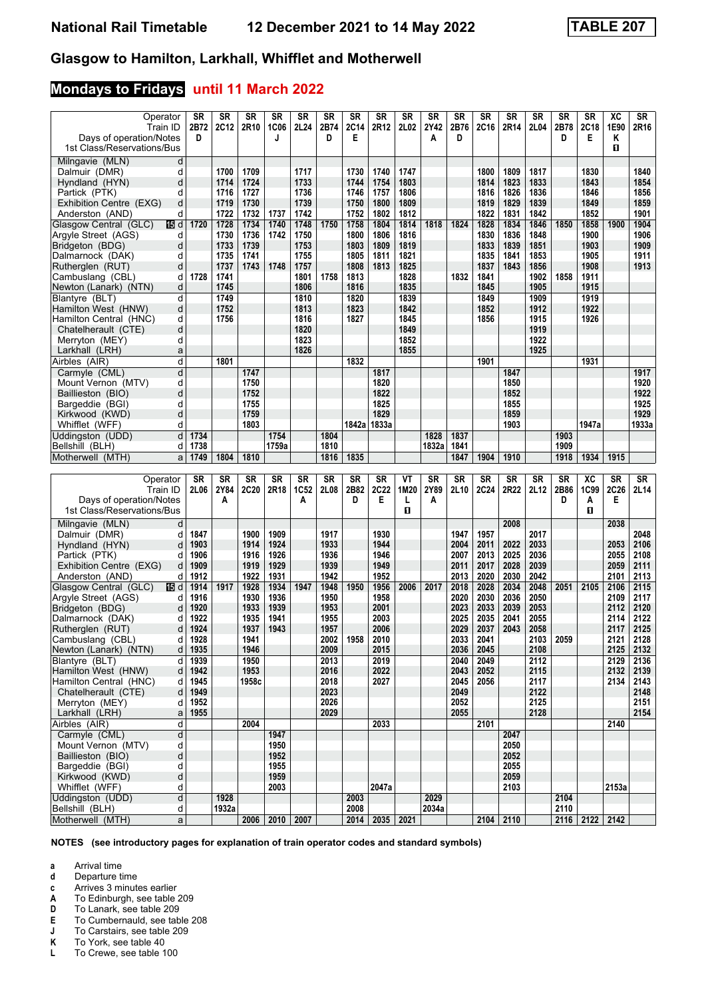## **Mondays to Fridays until 11 March 2022**

| Operator<br>Train ID<br>Days of operation/Notes<br>1st Class/Reservations/Bus | <b>SR</b><br>2B72<br>D | SR<br><b>2C12</b> | <b>SR</b><br>2R10 | <b>SR</b><br><b>1C06</b><br>J | SR<br>2L24       | SR<br>2B74<br>D | SR<br><b>2C14</b><br>Е | SR<br>2R12       | <b>SR</b><br>2L02 | SR<br>2Y42<br>Α | SR<br>2B76<br>D | <b>SR</b><br>2C16 | <b>SR</b><br>2R14 | SR<br>2L04   | SR<br>2B78<br>D | SR<br><b>2C18</b><br>Е | хc<br>1E90<br>Κ<br>0 | SR<br>2R16   |
|-------------------------------------------------------------------------------|------------------------|-------------------|-------------------|-------------------------------|------------------|-----------------|------------------------|------------------|-------------------|-----------------|-----------------|-------------------|-------------------|--------------|-----------------|------------------------|----------------------|--------------|
| Milngavie (MLN)<br>d                                                          |                        |                   |                   |                               |                  |                 |                        |                  |                   |                 |                 |                   |                   |              |                 |                        |                      |              |
| d<br>Dalmuir (DMR)                                                            |                        | 1700              | 1709              |                               | 1717             |                 | 1730                   | 1740             | 1747              |                 |                 | 1800              | 1809              | 1817         |                 | 1830                   |                      | 1840         |
| Hyndland (HYN)<br>d                                                           |                        | 1714              | 1724              |                               | 1733             |                 | 1744                   | 1754             | 1803              |                 |                 | 1814              | 1823              | 1833         |                 | 1843                   |                      | 1854         |
| Partick (PTK)<br>d                                                            |                        | 1716              | 1727              |                               | 1736             |                 | 1746                   | 1757             | 1806              |                 |                 | 1816              | 1826              | 1836         |                 | 1846                   |                      | 1856         |
| Exhibition Centre (EXG)<br>d                                                  |                        | 1719              | 1730              |                               | 1739             |                 | 1750                   | 1800             | 1809              |                 |                 | 1819              | 1829              | 1839         |                 | 1849                   |                      | 1859         |
| Anderston (AND)<br>d                                                          |                        | 1722              | 1732              | 1737                          | 1742             |                 | 1752                   | 1802             | 1812              |                 |                 | 1822              | 1831              | 1842         |                 | 1852                   |                      | 1901         |
| 16 d<br>Glasgow Central (GLC)                                                 | 1720                   | 1728              | 1734              | 1740                          | 1748             | 1750            | 1758                   | 1804             | 1814              | 1818            | 1824            | 1828              | 1834              | 1846         | 1850            | 1858                   | 1900                 | 1904         |
| Argyle Street (AGS)<br>d                                                      |                        | 1730              | 1736              | 1742                          | 1750             |                 | 1800                   | 1806             | 1816              |                 |                 | 1830              | 1836              | 1848         |                 | 1900                   |                      | 1906         |
| Bridgeton (BDG)<br>d                                                          |                        | 1733              | 1739              |                               | 1753             |                 | 1803                   | 1809             | 1819              |                 |                 | 1833              | 1839              | 1851         |                 | 1903                   |                      | 1909         |
| Dalmarnock (DAK)<br>d                                                         |                        | 1735              | 1741              |                               | 1755             |                 | 1805                   | 1811             | 1821              |                 |                 | 1835              | 1841              | 1853         |                 | 1905                   |                      | 1911         |
| Rutherglen (RUT)<br>d<br>d                                                    | 1728                   | 1737<br>1741      | 1743              | 1748                          | 1757<br>1801     | 1758            | 1808<br>1813           | 1813             | 1825<br>1828      |                 | 1832            | 1837<br>1841      | 1843              | 1856<br>1902 | 1858            | 1908<br>1911           |                      | 1913         |
| Cambuslang (CBL)<br>Newton (Lanark) (NTN)<br>d                                |                        | 1745              |                   |                               | 1806             |                 | 1816                   |                  | 1835              |                 |                 | 1845              |                   | 1905         |                 | 1915                   |                      |              |
| Blantyre (BLT)<br>d                                                           |                        | 1749              |                   |                               | 1810             |                 | 1820                   |                  | 1839              |                 |                 | 1849              |                   | 1909         |                 | 1919                   |                      |              |
| Hamilton West (HNW)<br>d                                                      |                        | 1752              |                   |                               | 1813             |                 | 1823                   |                  | 1842              |                 |                 | 1852              |                   | 1912         |                 | 1922                   |                      |              |
| d<br>Hamilton Central (HNC)                                                   |                        | 1756              |                   |                               | 1816             |                 | 1827                   |                  | 1845              |                 |                 | 1856              |                   | 1915         |                 | 1926                   |                      |              |
| d<br>Chatelherault (CTE)                                                      |                        |                   |                   |                               | 1820             |                 |                        |                  | 1849              |                 |                 |                   |                   | 1919         |                 |                        |                      |              |
| Merryton (MEY)<br>d                                                           |                        |                   |                   |                               | 1823             |                 |                        |                  | 1852              |                 |                 |                   |                   | 1922         |                 |                        |                      |              |
| Larkhall (LRH)<br>a                                                           |                        |                   |                   |                               | 1826             |                 |                        |                  | 1855              |                 |                 |                   |                   | 1925         |                 |                        |                      |              |
| d<br>Airbles (AIR)                                                            |                        | 1801              |                   |                               |                  |                 | 1832                   |                  |                   |                 |                 | 1901              |                   |              |                 | 1931                   |                      |              |
| d<br>Carmyle (CML)                                                            |                        |                   | 1747              |                               |                  |                 |                        | 1817             |                   |                 |                 |                   | 1847              |              |                 |                        |                      | 1917         |
| d<br>Mount Vernon (MTV)                                                       |                        |                   | 1750              |                               |                  |                 |                        | 1820             |                   |                 |                 |                   | 1850              |              |                 |                        |                      | 1920         |
| d<br>Baillieston (BIO)                                                        |                        |                   | 1752              |                               |                  |                 |                        | 1822             |                   |                 |                 |                   | 1852              |              |                 |                        |                      | 1922         |
| d<br>Bargeddie (BGI)                                                          |                        |                   | 1755              |                               |                  |                 |                        | 1825             |                   |                 |                 |                   | 1855              |              |                 |                        |                      | 1925         |
| d<br>Kirkwood (KWD)                                                           |                        |                   | 1759              |                               |                  |                 |                        | 1829             |                   |                 |                 |                   | 1859              |              |                 |                        |                      | 1929         |
| Whifflet (WFF)<br>d                                                           |                        |                   | 1803              |                               |                  |                 | 1842a 1833a            |                  |                   |                 |                 |                   | 1903              |              |                 | 1947a                  |                      | 1933a        |
| Uddingston (UDD)<br>d<br>d                                                    | 1734<br>1738           |                   |                   | 1754<br>1759a                 |                  | 1804<br>1810    |                        |                  |                   | 1828<br>1832a   | 1837<br>1841    |                   |                   |              | 1903<br>1909    |                        |                      |              |
| Bellshill (BLH)<br>Motherwell (MTH)<br>a                                      | 1749                   | 1804              | 1810              |                               |                  | 1816            | 1835                   |                  |                   |                 | 1847            | 1904              | 1910              |              | 1918            | 1934                   | 1915                 |              |
|                                                                               |                        |                   |                   |                               |                  |                 |                        |                  |                   |                 |                 |                   |                   |              |                 |                        |                      |              |
|                                                                               |                        |                   |                   |                               |                  |                 |                        |                  |                   |                 |                 |                   |                   |              |                 |                        |                      |              |
|                                                                               |                        |                   |                   |                               |                  |                 |                        |                  |                   |                 |                 |                   |                   |              |                 |                        |                      |              |
| Operator                                                                      | <b>SR</b>              | SR                | <b>SR</b>         | SR                            | SR               | <b>SR</b>       | <b>SR</b>              | <b>SR</b>        | ۷T                | <b>SR</b>       | <b>SR</b>       | <b>SR</b>         | <b>SR</b>         | SR           | <b>SR</b>       | <b>XC</b>              | SR                   | SR           |
| Train ID                                                                      | 2L06                   | 2Y84<br>A         | <b>2C20</b>       | 2R18                          | <b>1C52</b><br>A | 2L08            | 2B82<br>D              | <b>2C22</b><br>Е | 1M20<br>L         | 2Y89<br>A       | 2L10            | <b>2C24</b>       | 2R22              | 2L12         | 2B86<br>D       | 1C99<br>A              | 2C26<br>Е            | 2L14         |
| Days of operation/Notes<br>1st Class/Reservations/Bus                         |                        |                   |                   |                               |                  |                 |                        |                  | п                 |                 |                 |                   |                   |              |                 | О                      |                      |              |
| d                                                                             |                        |                   |                   |                               |                  |                 |                        |                  |                   |                 |                 |                   | 2008              |              |                 |                        | 2038                 |              |
| Milngavie (MLN)<br>Dalmuir (DMR)<br>d                                         | 1847                   |                   | 1900              | 1909                          |                  | 1917            |                        | 1930             |                   |                 | 1947            | 1957              |                   | 2017         |                 |                        |                      | 2048         |
| Hyndland (HYN)<br>d                                                           | 1903                   |                   | 1914              | 1924                          |                  | 1933            |                        | 1944             |                   |                 | 2004            | 2011              | 2022              | 2033         |                 |                        | 2053                 | 2106         |
| Partick (PTK)<br>d                                                            | 1906                   |                   | 1916              | 1926                          |                  | 1936            |                        | 1946             |                   |                 | 2007            | 2013              | 2025              | 2036         |                 |                        | 2055                 | 2108         |
| Exhibition Centre (EXG)<br>d                                                  | 1909                   |                   | 1919              | 1929                          |                  | 1939            |                        | 1949             |                   |                 | 2011            | 2017              | 2028              | 2039         |                 |                        | 2059                 | 2111         |
| Anderston (AND)<br>d                                                          | 1912                   |                   | 1922              | 1931                          |                  | 1942            |                        | 1952             |                   |                 | 2013            | 2020              | 2030              | 2042         |                 |                        | 2101                 | 2113         |
| Glasgow Central (GLC)<br>16 d                                                 | 1914                   | 1917              | 1928              | 1934                          | 1947             | 1948            | 1950                   | 1956             | 2006              | 2017            | 2018            | 2028              | 2034              | 2048         | 2051            | 2105                   | 2106                 | 2115         |
| Argyle Street (AGS)<br>d                                                      | 1916                   |                   | 1930              | 1936                          |                  | 1950            |                        | 1958             |                   |                 | 2020            | 2030              | 2036              | 2050         |                 |                        | 2109                 | 2117         |
| Bridgeton (BDG)<br>d                                                          | 1920                   |                   | 1933              | 1939                          |                  | 1953            |                        | 2001             |                   |                 | 2023            | 2033              | 2039              | 2053         |                 |                        | 2112                 | 2120         |
| Dalmarnock (DAK)<br>d                                                         | 1922                   |                   | 1935              | 1941                          |                  | 1955            |                        | 2003             |                   |                 | 2025            | 2035              | 2041              | 2055         |                 |                        | 2114                 | 2122         |
| Rutherglen (RUT)<br>d                                                         | 1924                   |                   | 1937              | 1943                          |                  | 1957            |                        | 2006             |                   |                 | 2029            | 2037              | 2043              | 2058         |                 |                        | 2117                 | 2125         |
| Cambuslang (CBL)                                                              | $d$ 1928               |                   | 1941              |                               |                  | 2002            | 1958                   | 2010             |                   |                 | 2033            | 2041              |                   | 2103         | 2059            |                        | 2121                 | 2128         |
| Newton (Lanark) (NTN)                                                         | $d$ 1935               |                   | 1946              |                               |                  | 2009            |                        | 2015             |                   |                 | 2036            | 2045              |                   | 2108         |                 |                        | 2125                 | 2132         |
| Blantyre (BLT)<br>dl                                                          | 1939                   |                   | 1950              |                               |                  | 2013            |                        | 2019             |                   |                 | 2040            | 2049              |                   | 2112         |                 |                        | 2129                 | 2136         |
| Hamilton West (HNW)<br>d<br>d                                                 | 1942                   |                   | 1953              |                               |                  | 2016            |                        | 2022             |                   |                 | 2043<br>2045    | 2052              |                   | 2115         |                 |                        | 2132<br>2134         | 2139         |
| Hamilton Central (HNC)<br>Chatelherault (CTE)<br>d                            | 1945<br>1949           |                   | 1958c             |                               |                  | 2018<br>2023    |                        | 2027             |                   |                 | 2049            | 2056              |                   | 2117<br>2122 |                 |                        |                      | 2143<br>2148 |
| Merryton (MEY)<br>d                                                           | 1952                   |                   |                   |                               |                  | 2026            |                        |                  |                   |                 | 2052            |                   |                   | 2125         |                 |                        |                      | 2151         |
| Larkhall (LRH)<br>a                                                           | 1955                   |                   |                   |                               |                  | 2029            |                        |                  |                   |                 | 2055            |                   |                   | 2128         |                 |                        |                      | 2154         |
| d<br>Airbles (AIR)                                                            |                        |                   | 2004              |                               |                  |                 |                        | 2033             |                   |                 |                 | 2101              |                   |              |                 |                        | 2140                 |              |
| d<br>Carmyle (CML)                                                            |                        |                   |                   | 1947                          |                  |                 |                        |                  |                   |                 |                 |                   | 2047              |              |                 |                        |                      |              |
| Mount Vernon (MTV)<br>d                                                       |                        |                   |                   | 1950                          |                  |                 |                        |                  |                   |                 |                 |                   | 2050              |              |                 |                        |                      |              |
| d<br>Baillieston (BIO)                                                        |                        |                   |                   | 1952                          |                  |                 |                        |                  |                   |                 |                 |                   | 2052              |              |                 |                        |                      |              |
| d<br>Bargeddie (BGI)                                                          |                        |                   |                   | 1955                          |                  |                 |                        |                  |                   |                 |                 |                   | 2055              |              |                 |                        |                      |              |
| d<br>Kirkwood (KWD)                                                           |                        |                   |                   | 1959                          |                  |                 |                        |                  |                   |                 |                 |                   | 2059              |              |                 |                        |                      |              |
| Whifflet (WFF)<br>d                                                           |                        |                   |                   | 2003                          |                  |                 |                        | 2047a            |                   |                 |                 |                   | 2103              |              |                 |                        | 2153a                |              |
| d<br>Uddingston (UDD)<br>Bellshill (BLH)<br>d                                 |                        | 1928<br>1932a     |                   |                               |                  |                 | 2003<br>2008           |                  |                   | 2029<br>2034a   |                 |                   |                   |              | 2104<br>2110    |                        |                      |              |

**NOTES (see introductory pages for explanation of train operator codes and standard symbols)**

**a** Arrival time<br>**d** Departure time

**d** Departure time<br>**c** Arrives 3 minute

**c** Arrives 3 minutes earlier<br>**A** To Edinburgh, see table

**A** To Edinburgh, see table 209<br>**D** To Lanark, see table 209

**D** To Lanark, see table 209<br>**E** To Cumbernauld, see tab

**E** To Cumbernauld, see table 208<br>**J** To Carstairs, see table 209

**J** To Carstairs, see table 209<br>**K** To York, see table 40

**K** To York, see table 40<br>**L** To Crewe see table 1

**/** To Crewe, see table 100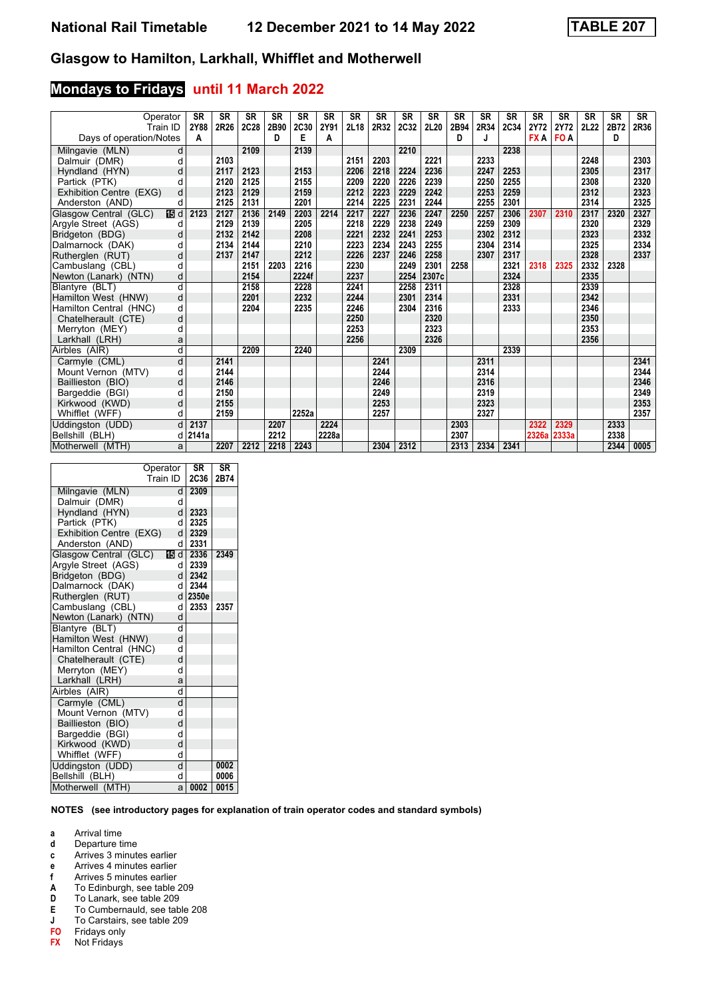# **Mondays to Fridays until 11 March 2022**

| Operator<br>Train ID                          | <b>SR</b><br>2Y88 | <b>SR</b><br>2R26 | <b>SR</b><br>2C28 | <b>SR</b><br>2B90 | <b>SR</b><br><b>2C30</b> | <b>SR</b><br>2Y91 | <b>SR</b><br>2L18 | <b>SR</b><br>2R32 | <b>SR</b><br>2C32 | <b>SR</b><br>2L20 | <b>SR</b><br>2B94 | <b>SR</b><br>2R34 | <b>SR</b><br>2C34 | <b>SR</b><br>2Y72 | <b>SR</b><br>2Y72 | <b>SR</b><br>2L22 | <b>SR</b><br>2B72 | <b>SR</b><br>2R36 |
|-----------------------------------------------|-------------------|-------------------|-------------------|-------------------|--------------------------|-------------------|-------------------|-------------------|-------------------|-------------------|-------------------|-------------------|-------------------|-------------------|-------------------|-------------------|-------------------|-------------------|
| Days of operation/Notes                       | A                 |                   |                   | D                 | Е                        | Α                 |                   |                   |                   |                   | D                 |                   |                   | <b>FXA</b>        | FO <sub>A</sub>   |                   | D                 |                   |
|                                               |                   |                   | 2109              |                   |                          |                   |                   |                   |                   |                   |                   |                   | 2238              |                   |                   |                   |                   |                   |
| Milngavie (MLN)<br>d                          |                   | 2103              |                   |                   | 2139                     |                   | 2151              | 2203              | 2210              | 2221              |                   | 2233              |                   |                   |                   | 2248              |                   | 2303              |
| Dalmuir (DMR)<br>d<br>d                       |                   | 2117              | 2123              |                   | 2153                     |                   | 2206              | 2218              | 2224              | 2236              |                   | 2247              | 2253              |                   |                   | 2305              |                   | 2317              |
| Hyndland (HYN)<br>d                           |                   | 2120              | 2125              |                   | 2155                     |                   | 2209              | 2220              | 2226              | 2239              |                   | 2250              | 2255              |                   |                   | 2308              |                   | 2320              |
| Partick (PTK)<br>d<br>Exhibition Centre (EXG) |                   | 2123              | 2129              |                   | 2159                     |                   | 2212              | 2223              | 2229              | 2242              |                   | 2253              | 2259              |                   |                   | 2312              |                   | 2323              |
| Anderston (AND)<br>d                          |                   | 2125              | 2131              |                   | 2201                     |                   | 2214              | 2225              | 2231              | 2244              |                   | 2255              | 2301              |                   |                   | 2314              |                   | 2325              |
| 115 d<br>Glasgow Central (GLC)                | 2123              | 2127              | 2136              | 2149              | 2203                     | 2214              | 2217              | 2227              | 2236              | 2247              | 2250              | 2257              | 2306              | 2307              | 2310              | 2317              | 2320              | 2327              |
| Argyle Street (AGS)<br>d                      |                   | 2129              | 2139              |                   | 2205                     |                   | 2218              | 2229              | 2238              | 2249              |                   | 2259              | 2309              |                   |                   | 2320              |                   | 2329              |
| Bridgeton (BDG)                               |                   | 2132              | 2142              |                   | 2208                     |                   | 2221              | 2232              | 2241              | 2253              |                   | 2302              | 2312              |                   |                   | 2323              |                   | 2332              |
| d<br>Dalmarnock (DAK)<br>d                    |                   | 2134              | 2144              |                   | 2210                     |                   | 2223              | 2234              | 2243              | 2255              |                   | 2304              | 2314              |                   |                   | 2325              |                   | 2334              |
| d<br>Rutherglen (RUT)                         |                   | 2137              | 2147              |                   | 2212                     |                   | 2226              | 2237              | 2246              | 2258              |                   | 2307              | 2317              |                   |                   | 2328              |                   | 2337              |
| Cambuslang (CBL)<br>d                         |                   |                   | 2151              | 2203              | 2216                     |                   | 2230              |                   | 2249              | 2301              | 2258              |                   | 2321              | 2318              | 2325              | 2332              | 2328              |                   |
| d<br>Newton (Lanark) (NTN)                    |                   |                   | 2154              |                   | 2224f                    |                   | 2237              |                   | 2254              | 2307c             |                   |                   | 2324              |                   |                   | 2335              |                   |                   |
| d<br>Blantyre (BLT)                           |                   |                   | 2158              |                   | 2228                     |                   | 2241              |                   | 2258              | 2311              |                   |                   | 2328              |                   |                   | 2339              |                   |                   |
| d<br>Hamilton West (HNW)                      |                   |                   | 2201              |                   | 2232                     |                   | 2244              |                   | 2301              | 2314              |                   |                   | 2331              |                   |                   | 2342              |                   |                   |
| Hamilton Central (HNC)<br>d                   |                   |                   | 2204              |                   | 2235                     |                   | 2246              |                   | 2304              | 2316              |                   |                   | 2333              |                   |                   | 2346              |                   |                   |
| d<br>Chatelherault (CTE)                      |                   |                   |                   |                   |                          |                   | 2250              |                   |                   | 2320              |                   |                   |                   |                   |                   | 2350              |                   |                   |
| d<br>Merryton (MEY)                           |                   |                   |                   |                   |                          |                   | 2253              |                   |                   | 2323              |                   |                   |                   |                   |                   | 2353              |                   |                   |
| Larkhall (LRH)<br>a                           |                   |                   |                   |                   |                          |                   | 2256              |                   |                   | 2326              |                   |                   |                   |                   |                   | 2356              |                   |                   |
| d<br>Airbles (AIR)                            |                   |                   | 2209              |                   | 2240                     |                   |                   |                   | 2309              |                   |                   |                   | 2339              |                   |                   |                   |                   |                   |
| d<br>Carmyle (CML)                            |                   | 2141              |                   |                   |                          |                   |                   | 2241              |                   |                   |                   | 2311              |                   |                   |                   |                   |                   | 2341              |
| Mount Vernon (MTV)<br>d                       |                   | 2144              |                   |                   |                          |                   |                   | 2244              |                   |                   |                   | 2314              |                   |                   |                   |                   |                   | 2344              |
| d<br>Baillieston (BIO)                        |                   | 2146              |                   |                   |                          |                   |                   | 2246              |                   |                   |                   | 2316              |                   |                   |                   |                   |                   | 2346              |
| Bargeddie (BGI)<br>d                          |                   | 2150              |                   |                   |                          |                   |                   | 2249              |                   |                   |                   | 2319              |                   |                   |                   |                   |                   | 2349              |
| Kirkwood (KWD)<br>d                           |                   | 2155              |                   |                   |                          |                   |                   | 2253              |                   |                   |                   | 2323              |                   |                   |                   |                   |                   | 2353              |
| Whifflet (WFF)<br>d                           |                   | 2159              |                   |                   | 2252a                    |                   |                   | 2257              |                   |                   |                   | 2327              |                   |                   |                   |                   |                   | 2357              |
| $\mathsf{d}$<br>Uddinaston (UDD)              | 2137              |                   |                   | 2207              |                          | 2224              |                   |                   |                   |                   | 2303              |                   |                   | 2322              | 2329              |                   | 2333              |                   |
| Bellshill (BLH)                               | $d$ 2141a         |                   |                   | 2212              |                          | 2228a             |                   |                   |                   |                   | 2307              |                   |                   | 2326a 2333a       |                   |                   | 2338              |                   |
| Motherwell (MTH)<br>a                         |                   | 2207              | 2212              | 2218              | 2243                     |                   |                   | 2304              | 2312              |                   | 2313              | 2334              | 2341              |                   |                   |                   | 2344              | 0005              |

|                         | Operator<br>Train ID | <b>SR</b><br>2C36 | <b>SR</b><br>2B74 |
|-------------------------|----------------------|-------------------|-------------------|
| Milngavie (MLN)         | d                    | 2309              |                   |
| Dalmuir (DMR)           | d                    |                   |                   |
| Hyndland (HYN)          | d                    | 2323              |                   |
| Partick (PTK)           | d                    | 2325              |                   |
| Exhibition Centre (EXG) | d                    | 2329              |                   |
| Anderston (AND)         | d                    | 2331              |                   |
| Glasgow Central (GLC)   | 115 d l              | 2336              | 2349              |
| Argyle Street (AGS)     | d١                   | 2339              |                   |
| Bridgeton (BDG)         | d                    | 2342              |                   |
| Dalmarnock (DAK)        | dl                   | 2344              |                   |
| Rutherglen (RUT)        | d                    | 2350e             |                   |
| Cambuslang (CBL)        | d                    | 2353              | 2357              |
| Newton (Lanark) (NTN)   | d                    |                   |                   |
| Blantyre (BLT)          | d                    |                   |                   |
| Hamilton West (HNW)     | d                    |                   |                   |
| Hamilton Central (HNC)  | d                    |                   |                   |
| Chatelherault (CTE)     | d                    |                   |                   |
| Merryton (MEY)          | d                    |                   |                   |
| Larkhall (LRH)          | a                    |                   |                   |
| Airbles (AIR)           | d                    |                   |                   |
| Carmyle (CML)           | $\mathsf{d}$         |                   |                   |
| Mount Vernon (MTV)      | d                    |                   |                   |
| Baillieston (BIO)       | d                    |                   |                   |
| Bargeddie (BGI)         | d                    |                   |                   |
| Kirkwood (KWD)          | d                    |                   |                   |
| Whifflet (WFF)          | d                    |                   |                   |
| Uddingston (UDD)        | d                    |                   | 0002              |
| Bellshill (BLH)         | d                    |                   | 0006              |
| Motherwell (MTH)        | a                    | 0002              | 0015              |

#### **NOTES (see introductory pages for explanation of train operator codes and standard symbols)**

**a** Arrival time

- **d** Departure time
- **c** Arrives 3 minutes earlier
- **e** Arrives 4 minutes earlier
- **I** Arrives 5 minutes earlier<br>**A** To Edinburgh, see table
- **A** To Edinburgh, see table 209<br>**D** To Lanark, see table 209
- **D** To Lanark, see table 209<br>**E** To Cumbernauld, see tab
- **(** To Cumbernauld, see table 208
- **J** To Carstairs, see table 209<br>**FO** Fridays only
- **FO** Fridays only
- **FX** Not Fridays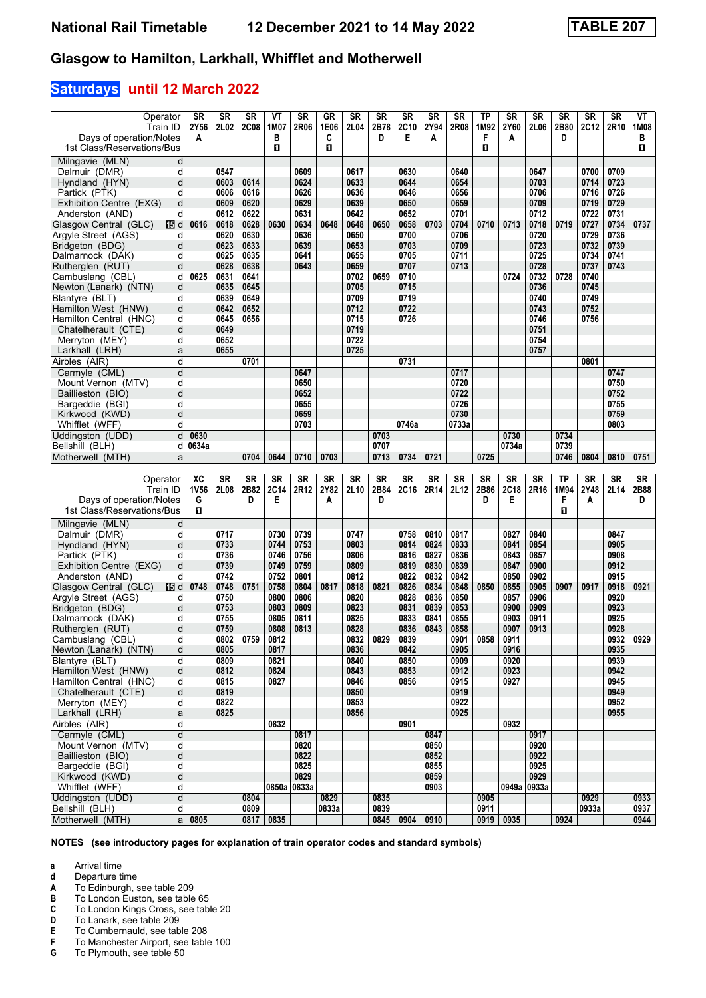### **Saturdays until 12 March 2022**

| Operator<br>Train ID<br>Days of operation/Notes         | <b>SR</b><br>2Y56<br>A | <b>SR</b><br>2L02 | <b>SR</b><br><b>2C08</b> | ۷T<br>1M07<br>в | <b>SR</b><br>2R06 | <b>GR</b><br>1E06<br>C | <b>SR</b><br>2L04 | <b>SR</b><br>2B78<br>D | <b>SR</b><br>2C10<br>E | <b>SR</b><br>2Y94<br>A | <b>SR</b><br>2R08 | <b>TP</b><br>1M92<br>F | <b>SR</b><br>2Y60<br>A | <b>SR</b><br>2L06 | <b>SR</b><br>2B80<br>D | <b>SR</b><br><b>2C12</b> | <b>SR</b><br>2R10 | ۷T<br>1M08<br>в |
|---------------------------------------------------------|------------------------|-------------------|--------------------------|-----------------|-------------------|------------------------|-------------------|------------------------|------------------------|------------------------|-------------------|------------------------|------------------------|-------------------|------------------------|--------------------------|-------------------|-----------------|
| 1st Class/Reservations/Bus                              |                        |                   |                          | п               |                   | п                      |                   |                        |                        |                        |                   | п                      |                        |                   |                        |                          |                   | п               |
| Milngavie (MLN)<br>d                                    |                        |                   |                          |                 |                   |                        |                   |                        |                        |                        |                   |                        |                        |                   |                        |                          |                   |                 |
| Dalmuir (DMR)<br>d                                      |                        | 0547              |                          |                 | 0609              |                        | 0617              |                        | 0630                   |                        | 0640              |                        |                        | 0647              |                        | 0700                     | 0709              |                 |
| d<br>Hyndland (HYN)                                     |                        | 0603              | 0614                     |                 | 0624              |                        | 0633              |                        | 0644                   |                        | 0654              |                        |                        | 0703              |                        | 0714                     | 0723              |                 |
| Partick (PTK)<br>d                                      |                        | 0606              | 0616                     |                 | 0626              |                        | 0636              |                        | 0646                   |                        | 0656              |                        |                        | 0706              |                        | 0716                     | 0726              |                 |
| d<br>Exhibition Centre (EXG)                            |                        | 0609              | 0620                     |                 | 0629              |                        | 0639              |                        | 0650                   |                        | 0659              |                        |                        | 0709              |                        | 0719                     | 0729              |                 |
| Anderston (AND)<br>d<br>Glasgow Central (GLC)<br>旧d     | 0616                   | 0612<br>0618      | 0622<br>0628             | 0630            | 0631<br>0634      | 0648                   | 0642<br>0648      | 0650                   | 0652<br>0658           | 0703                   | 0701<br>0704      | 0710                   | 0713                   | 0712<br>0718      | 0719                   | 0722<br>0727             | 0731<br>0734      | 0737            |
| Argyle Street (AGS)<br>d                                |                        | 0620              | 0630                     |                 | 0636              |                        | 0650              |                        | 0700                   |                        | 0706              |                        |                        | 0720              |                        | 0729                     | 0736              |                 |
| Bridgeton (BDG)<br>d                                    |                        | 0623              | 0633                     |                 | 0639              |                        | 0653              |                        | 0703                   |                        | 0709              |                        |                        | 0723              |                        | 0732                     | 0739              |                 |
| Dalmarnock (DAK)<br>d                                   |                        | 0625              | 0635                     |                 | 0641              |                        | 0655              |                        | 0705                   |                        | 0711              |                        |                        | 0725              |                        | 0734                     | 0741              |                 |
| d<br>Rutherglen (RUT)                                   |                        | 0628              | 0638                     |                 | 0643              |                        | 0659              |                        | 0707                   |                        | 0713              |                        |                        | 0728              |                        | 0737                     | 0743              |                 |
| Cambuslang (CBL)<br>d                                   | 0625                   | 0631              | 0641                     |                 |                   |                        | 0702              | 0659                   | 0710                   |                        |                   |                        | 0724                   | 0732              | 0728                   | 0740                     |                   |                 |
| d<br>Newton (Lanark) (NTN)                              |                        | 0635              | 0645                     |                 |                   |                        | 0705              |                        | 0715                   |                        |                   |                        |                        | 0736              |                        | 0745                     |                   |                 |
| d<br>Blantyre (BLT)                                     |                        | 0639              | 0649                     |                 |                   |                        | 0709              |                        | 0719                   |                        |                   |                        |                        | 0740              |                        | 0749                     |                   |                 |
| d<br>Hamilton West (HNW)<br>Hamilton Central (HNC)<br>d |                        | 0642<br>0645      | 0652<br>0656             |                 |                   |                        | 0712<br>0715      |                        | 0722<br>0726           |                        |                   |                        |                        | 0743<br>0746      |                        | 0752<br>0756             |                   |                 |
| d<br>Chatelherault (CTE)                                |                        | 0649              |                          |                 |                   |                        | 0719              |                        |                        |                        |                   |                        |                        | 0751              |                        |                          |                   |                 |
| d<br>Merryton (MEY)                                     |                        | 0652              |                          |                 |                   |                        | 0722              |                        |                        |                        |                   |                        |                        | 0754              |                        |                          |                   |                 |
| Larkhall (LRH)<br>a                                     |                        | 0655              |                          |                 |                   |                        | 0725              |                        |                        |                        |                   |                        |                        | 0757              |                        |                          |                   |                 |
| d<br>Airbles (AIR)                                      |                        |                   | 0701                     |                 |                   |                        |                   |                        | 0731                   |                        |                   |                        |                        |                   |                        | 0801                     |                   |                 |
| d<br>Carmyle (CML)                                      |                        |                   |                          |                 | 0647              |                        |                   |                        |                        |                        | 0717              |                        |                        |                   |                        |                          | 0747              |                 |
| d<br>Mount Vernon (MTV)                                 |                        |                   |                          |                 | 0650              |                        |                   |                        |                        |                        | 0720              |                        |                        |                   |                        |                          | 0750              |                 |
| d<br>Baillieston (BIO)                                  |                        |                   |                          |                 | 0652              |                        |                   |                        |                        |                        | 0722              |                        |                        |                   |                        |                          | 0752              |                 |
| Bargeddie (BGI)<br>d                                    |                        |                   |                          |                 | 0655              |                        |                   |                        |                        |                        | 0726              |                        |                        |                   |                        |                          | 0755              |                 |
| Kirkwood (KWD)<br>d                                     |                        |                   |                          |                 | 0659<br>0703      |                        |                   |                        | 0746a                  |                        | 0730              |                        |                        |                   |                        |                          | 0759              |                 |
| Whifflet (WFF)<br>d<br>Uddingston (UDD)<br>d            | 0630                   |                   |                          |                 |                   |                        |                   | 0703                   |                        |                        | 0733a             |                        | 0730                   |                   | 0734                   |                          | 0803              |                 |
| Bellshill (BLH)<br>d                                    | 0634a                  |                   |                          |                 |                   |                        |                   | 0707                   |                        |                        |                   |                        | 0734a                  |                   | 0739                   |                          |                   |                 |
| Motherwell (MTH)<br>a                                   |                        |                   | 0704                     | 0644            | 0710              | 0703                   |                   | 0713                   | 0734                   | 0721                   |                   | 0725                   |                        |                   | 0746                   | 0804                     | 0810              | 0751            |
|                                                         |                        |                   |                          |                 |                   |                        |                   |                        |                        |                        |                   |                        |                        |                   |                        |                          |                   |                 |
|                                                         |                        |                   |                          |                 |                   |                        |                   |                        |                        |                        |                   |                        |                        |                   |                        |                          |                   |                 |
| Operator                                                | XC                     | <b>SR</b>         | SR                       | <b>SR</b>       | <b>SR</b>         | <b>SR</b>              | <b>SR</b>         | SR                     | SR                     | SR                     | <b>SR</b>         | <b>SR</b>              | $S_{R}$                | <b>SR</b>         | <b>TP</b>              | <b>SR</b>                | <b>SR</b>         | <b>SR</b>       |
| Train ID                                                | 1V56                   | 2L08              | 2B82                     | 2C14            | 2R12              | 2Y82                   | 2L10              | 2B84                   | 2C16                   | 2R14                   | 2L12              | 2B86                   | 2C18                   | 2R16              | 1M94                   | 2Y48                     | 2L14              | 2B88            |
| Days of operation/Notes                                 | G                      |                   | D                        | E               |                   | Α                      |                   | D                      |                        |                        |                   | D                      | Е                      |                   | F                      | A                        |                   | D               |
| 1st Class/Reservations/Bus                              | O                      |                   |                          |                 |                   |                        |                   |                        |                        |                        |                   |                        |                        |                   | O                      |                          |                   |                 |
| Milngavie (MLN)<br>d                                    |                        |                   |                          |                 |                   |                        |                   |                        |                        |                        |                   |                        |                        |                   |                        |                          |                   |                 |
| Dalmuir (DMR)<br>d                                      |                        | 0717              |                          | 0730            | 0739              |                        | 0747              |                        | 0758                   | 0810                   | 0817              |                        | 0827                   | 0840              |                        |                          | 0847              |                 |
| Hyndland (HYN)<br>d                                     |                        | 0733              |                          | 0744            | 0753              |                        | 0803              |                        | 0814                   | 0824                   | 0833              |                        | 0841                   | 0854              |                        |                          | 0905              |                 |
| Partick (PTK)<br>d                                      |                        | 0736              |                          | 0746            | 0756              |                        | 0806              |                        | 0816                   | 0827                   | 0836              |                        | 0843                   | 0857              |                        |                          | 0908              |                 |
| d<br>Exhibition Centre (EXG)<br>d                       |                        | 0739<br>0742      |                          | 0749<br>0752    | 0759<br>0801      |                        | 0809<br>0812      |                        | 0819<br>0822           | 0830<br>0832           | 0839<br>0842      |                        | 0847<br>0850           | 0900<br>0902      |                        |                          | 0912<br>0915      |                 |
| Anderston (AND)<br>Glasgow Central (GLC)<br>115 d       | 0748                   | 0748              | 0751                     | 0758            | 0804              | 0817                   | 0818              | 0821                   | 0826                   | 0834                   | 0848              | 0850                   | 0855                   | 0905              | 0907                   | 0917                     | 0918              | 0921            |
| Argyle Street (AGS)<br>d                                |                        | 0750              |                          | 0800            | 0806              |                        | 0820              |                        | 0828                   | 0836                   | 0850              |                        | 0857                   | 0906              |                        |                          | 0920              |                 |
| Bridgeton (BDG)<br>d                                    |                        | 0753              |                          | 0803            | 0809              |                        | 0823              |                        | 0831                   | 0839                   | 0853              |                        | 0900                   | 0909              |                        |                          | 0923              |                 |
| Dalmarnock (DAK)<br>d                                   |                        | 0755              |                          | 0805            | 0811              |                        | 0825              |                        | 0833                   | 0841                   | 0855              |                        | 0903                   | 0911              |                        |                          | 0925              |                 |
| d<br>Rutherglen (RUT)                                   |                        | 0759              |                          | 0808            | 0813              |                        | 0828              |                        | 0836                   | 0843                   | 0858              |                        | 0907                   | 0913              |                        |                          | 0928              |                 |
| Cambuslang (CBL)<br>d                                   |                        | 0802              | 0759                     | 0812            |                   |                        | 0832              | 0829                   | 0839                   |                        | 0901              | 0858                   | 0911                   |                   |                        |                          | 0932              | 0929            |
| d<br>Newton (Lanark) (NTN)<br>d                         |                        | 0805              |                          | 0817            |                   |                        | 0836              |                        | 0842                   |                        | 0905              |                        | 0916                   |                   |                        |                          | 0935              |                 |
| Blantyre (BLT)<br>þ                                     |                        | 0809<br>0812      |                          | 0821<br>0824    |                   |                        | 0840<br>0843      |                        | 0850<br>0853           |                        | 0909<br>0912      |                        | 0920<br>0923           |                   |                        |                          | 0939<br>0942      |                 |
| Hamilton West (HNW)<br>Hamilton Central (HNC)<br>d      |                        | 0815              |                          | 0827            |                   |                        | 0846              |                        | 0856                   |                        | 0915              |                        | 0927                   |                   |                        |                          | 0945              |                 |
| Chatelherault (CTE)<br>d                                |                        | 0819              |                          |                 |                   |                        | 0850              |                        |                        |                        | 0919              |                        |                        |                   |                        |                          | 0949              |                 |
| d<br>Merryton (MEY)                                     |                        | 0822              |                          |                 |                   |                        | 0853              |                        |                        |                        | 0922              |                        |                        |                   |                        |                          | 0952              |                 |
| Larkhall (LRH)<br>a                                     |                        | 0825              |                          |                 |                   |                        | 0856              |                        |                        |                        | 0925              |                        |                        |                   |                        |                          | 0955              |                 |
| d<br>Airbles (AIR)                                      |                        |                   |                          | 0832            |                   |                        |                   |                        | 0901                   |                        |                   |                        | 0932                   |                   |                        |                          |                   |                 |
| d<br>Carmyle (CML)                                      |                        |                   |                          |                 | 0817              |                        |                   |                        |                        | 0847                   |                   |                        |                        | 0917              |                        |                          |                   |                 |
| Mount Vernon (MTV)<br>d                                 |                        |                   |                          |                 | 0820              |                        |                   |                        |                        | 0850                   |                   |                        |                        | 0920              |                        |                          |                   |                 |
| d<br>Baillieston (BIO)<br>d                             |                        |                   |                          |                 | 0822<br>0825      |                        |                   |                        |                        | 0852<br>0855           |                   |                        |                        | 0922<br>0925      |                        |                          |                   |                 |
| Bargeddie (BGI)<br>Kirkwood (KWD)<br>d                  |                        |                   |                          |                 | 0829              |                        |                   |                        |                        | 0859                   |                   |                        |                        | 0929              |                        |                          |                   |                 |
| d<br>Whifflet (WFF)                                     |                        |                   |                          |                 | 0850a 0833a       |                        |                   |                        |                        | 0903                   |                   |                        |                        | 0949a 0933a       |                        |                          |                   |                 |
| d<br>Uddingston (UDD)                                   |                        |                   | 0804                     |                 |                   | 0829                   |                   | 0835                   |                        |                        |                   | 0905                   |                        |                   |                        | 0929                     |                   | 0933            |
| Bellshill (BLH)<br>d<br>Motherwell (MTH)                | $a \mid 0805$          |                   | 0809<br>$0817$           | 0835            |                   | 0833a                  |                   | 0839<br>0845           | 0904                   | 0910                   |                   | 0911<br>0919           | 0935                   |                   | 0924                   | 0933a                    |                   | 0937<br>0944    |

**NOTES (see introductory pages for explanation of train operator codes and standard symbols)**

**a** Arrival time<br>**d** Departure t

**d** Departure time<br>**A** To Edinburgh, s

**A** To Edinburgh, see table 209<br>**B** To London Euston, see table

**B** To London Euston, see table 65<br>**C** To London Kings Cross, see tab<br>**D** To Lanark, see table 209

To London Kings Cross, see table 20

**D** To Lanark, see table 209<br>**E** To Cumbernauld, see tab

**E** To Cumbernauld, see table 208<br>**F** To Manchester Airport, see table

**F** To Manchester Airport, see table 100<br>**G** To Plymouth, see table 50

**\*** To Plymouth, see table 50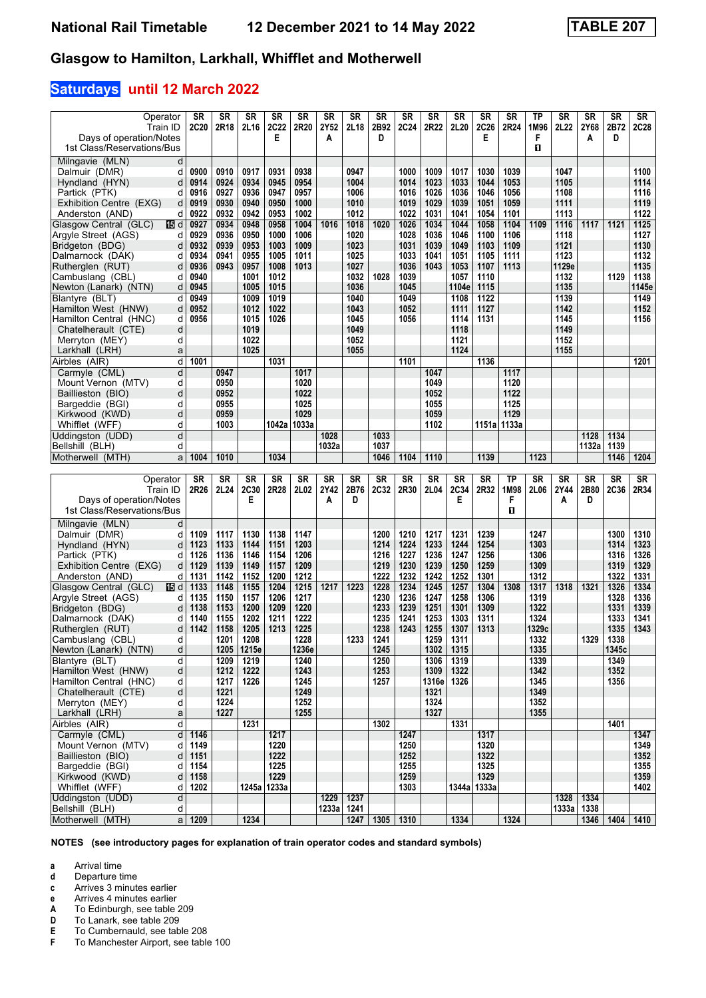### **Saturdays until 12 March 2022**

| Operator                      | SR       | SR   | <b>SR</b>   | <b>SR</b>     | SR    | <b>SR</b> | SR        | <b>SR</b>   | SR          | <b>SR</b> | SR    | SR            | SR   | ТP        | <b>SR</b> | SR    | <b>SR</b> | SR          |
|-------------------------------|----------|------|-------------|---------------|-------|-----------|-----------|-------------|-------------|-----------|-------|---------------|------|-----------|-----------|-------|-----------|-------------|
| Train ID                      | 2C20     | 2R18 | 2L16        | <b>2C22</b>   | 2R20  | 2Y52      | 2L18      | 2B92        | <b>2C24</b> | 2R22      | 2L20  | <b>2C26</b>   | 2R24 | 1M96      | 2L22      | 2Y68  | 2B72      | <b>2C28</b> |
| Days of operation/Notes       |          |      |             | Е             |       | Α         |           | D           |             |           |       | Е             |      | F         |           | A     | D         |             |
| 1st Class/Reservations/Bus    |          |      |             |               |       |           |           |             |             |           |       |               |      | п         |           |       |           |             |
|                               |          |      |             |               |       |           |           |             |             |           |       |               |      |           |           |       |           |             |
| Milngavie (MLN)<br>d          |          |      |             |               |       |           |           |             |             |           |       |               |      |           |           |       |           |             |
| Dalmuir (DMR)<br>d            | 0900     | 0910 | 0917        | 0931          | 0938  |           | 0947      |             | 1000        | 1009      | 1017  | 1030          | 1039 |           | 1047      |       |           | 1100        |
| Hyndland (HYN)<br>d           | 0914     | 0924 | 0934        | 0945          | 0954  |           | 1004      |             | 1014        | 1023      | 1033  | 1044          | 1053 |           | 1105      |       |           | 1114        |
| Partick (PTK)<br>d            | 0916     | 0927 | 0936        | 0947          | 0957  |           | 1006      |             | 1016        | 1026      | 1036  | 1046          | 1056 |           | 1108      |       |           | 1116        |
|                               |          |      |             |               |       |           |           |             |             |           |       |               |      |           |           |       |           |             |
| Exhibition Centre (EXG)<br>d  | 0919     | 0930 | 0940        | 0950          | 1000  |           | 1010      |             | 1019        | 1029      | 1039  | 1051          | 1059 |           | 1111      |       |           | 1119        |
| d<br>Anderston (AND)          | 0922     | 0932 | 0942        | 0953          | 1002  |           | 1012      |             | 1022        | 1031      | 1041  | 1054          | 1101 |           | 1113      |       |           | 1122        |
| Glasgow Central (GLC)<br>16 d | 0927     | 0934 | 0948        | 0958          | 1004  | 1016      | 1018      | 1020        | 1026        | 1034      | 1044  | 1058          | 1104 | 1109      | 1116      | 1117  | 1121      | $1125$      |
| Argyle Street (AGS)<br>d      | 0929     | 0936 | 0950        | 1000          | 1006  |           | 1020      |             | 1028        | 1036      | 1046  | 1100          | 1106 |           | 1118      |       |           | 1127        |
| Bridgeton (BDG)<br>d          | 0932     | 0939 | 0953        | 1003          | 1009  |           | 1023      |             | 1031        | 1039      | 1049  | 1103          | 1109 |           | 1121      |       |           | 1130        |
|                               |          |      |             |               |       |           |           |             |             |           |       |               |      |           |           |       |           |             |
| Dalmarnock (DAK)<br>d         | 0934     | 0941 | 0955        | 1005          | 1011  |           | 1025      |             | 1033        | 1041      | 1051  | 1105          | 1111 |           | 1123      |       |           | 1132        |
| Rutherglen (RUT)<br>d         | 0936     | 0943 | 0957        | 1008          | 1013  |           | 1027      |             | 1036        | 1043      | 1053  | 1107          | 1113 |           | 1129e     |       |           | 1135        |
| Cambuslang (CBL)<br>d         | 0940     |      | 1001        | 1012          |       |           | 1032      | 1028        | 1039        |           | 1057  | 1110          |      |           | 1132      |       | 1129      | 1138        |
| d<br>Newton (Lanark) (NTN)    | 0945     |      | 1005        | 1015          |       |           | 1036      |             | 1045        |           | 1104e | 1115          |      |           | 1135      |       |           | 1145e       |
| d                             | 0949     |      |             | 1019          |       |           |           |             |             |           | 1108  | 1122          |      |           |           |       |           |             |
| Blantyre (BLT)                |          |      | 1009        |               |       |           | 1040      |             | 1049        |           |       |               |      |           | 1139      |       |           | 1149        |
| Hamilton West (HNW)<br>d      | 0952     |      | 1012        | 1022          |       |           | 1043      |             | 1052        |           | 1111  | 1127          |      |           | 1142      |       |           | 1152        |
| Hamilton Central (HNC)<br>d   | 0956     |      | 1015        | 1026          |       |           | 1045      |             | 1056        |           | 1114  | 1131          |      |           | 1145      |       |           | 1156        |
| d<br>Chatelherault (CTE)      |          |      | 1019        |               |       |           | 1049      |             |             |           | 1118  |               |      |           | 1149      |       |           |             |
| d<br>Merryton (MEY)           |          |      | 1022        |               |       |           | 1052      |             |             |           | 1121  |               |      |           | 1152      |       |           |             |
|                               |          |      | 1025        |               |       |           |           |             |             |           | 1124  |               |      |           |           |       |           |             |
| Larkhall (LRH)<br>a           |          |      |             |               |       |           | 1055      |             |             |           |       |               |      |           | 1155      |       |           |             |
| d<br>Airbles (AIR)            | 1001     |      |             | 1031          |       |           |           |             | 1101        |           |       | 1136          |      |           |           |       |           | 1201        |
| Carmyle (CML)<br>d            |          | 0947 |             |               | 1017  |           |           |             |             | 1047      |       |               | 1117 |           |           |       |           |             |
| Mount Vernon (MTV)<br>d       |          | 0950 |             |               | 1020  |           |           |             |             | 1049      |       |               | 1120 |           |           |       |           |             |
| d<br>Baillieston (BIO)        |          | 0952 |             |               | 1022  |           |           |             |             | 1052      |       |               | 1122 |           |           |       |           |             |
|                               |          |      |             |               |       |           |           |             |             |           |       |               |      |           |           |       |           |             |
| Bargeddie (BGI)<br>d          |          | 0955 |             |               | 1025  |           |           |             |             | 1055      |       |               | 1125 |           |           |       |           |             |
| Kirkwood (KWD)<br>d           |          | 0959 |             |               | 1029  |           |           |             |             | 1059      |       |               | 1129 |           |           |       |           |             |
| Whifflet (WFF)<br>d           |          | 1003 |             | 1042a   1033a |       |           |           |             |             | 1102      |       | 1151a   1133a |      |           |           |       |           |             |
| d<br>Uddingston (UDD)         |          |      |             |               |       | 1028      |           | 1033        |             |           |       |               |      |           |           | 1128  | 1134      |             |
| d                             |          |      |             |               |       | 1032a     |           | 1037        |             |           |       |               |      |           |           | 1132a | 1139      |             |
| Bellshill (BLH)               |          |      |             |               |       |           |           |             |             |           |       |               |      |           |           |       |           |             |
|                               |          |      |             | 1034          |       |           |           | 1046        | 1104        | 1110      |       | 1139          |      | 1123      |           |       | 1146      | 1204        |
| Motherwell (MTH)<br>a         | 1004     | 1010 |             |               |       |           |           |             |             |           |       |               |      |           |           |       |           |             |
|                               |          |      |             |               |       |           |           |             |             |           |       |               |      |           |           |       |           |             |
|                               |          |      |             |               |       |           |           |             |             |           |       |               |      |           |           |       |           |             |
| Operator                      | SR       | SR   | <b>SR</b>   | <b>SR</b>     | SR    | <b>SR</b> | <b>SR</b> | <b>SR</b>   | SR          | <b>SR</b> | SR    | <b>SR</b>     | TP   | <b>SR</b> | <b>SR</b> | SR    | <b>SR</b> | SR          |
| Train ID                      | 2R26     | 2L24 | 2C30        | 2R28          | 2L02  | 2Y42      | 2B76      | <b>2C32</b> | 2R30        | 2L04      | 2C34  | 2R32          | 1M98 | 2L06      | 2Y44      | 2B80  | 2C36      | 2R34        |
| Days of operation/Notes       |          |      | Е           |               |       | A         | D         |             |             |           | Е     |               | F    |           | А         | D     |           |             |
| 1st Class/Reservations/Bus    |          |      |             |               |       |           |           |             |             |           |       |               | п    |           |           |       |           |             |
|                               |          |      |             |               |       |           |           |             |             |           |       |               |      |           |           |       |           |             |
| Milngavie (MLN)<br>d          |          |      |             |               |       |           |           |             |             |           |       |               |      |           |           |       |           |             |
| Dalmuir (DMR)<br>d            | 1109     | 1117 | 1130        | 1138          | 1147  |           |           | 1200        | 1210        | 1217      | 1231  | 1239          |      | 1247      |           |       | 1300      | 1310        |
| Hyndland (HYN)<br>d           | 1123     | 1133 | 1144        | 1151          | 1203  |           |           | 1214        | 1224        | 1233      | 1244  | 1254          |      | 1303      |           |       | 1314      | 1323        |
| Partick (PTK)<br>d            | 1126     | 1136 | 1146        | 1154          | 1206  |           |           | 1216        | 1227        | 1236      | 1247  | 1256          |      | 1306      |           |       | 1316      | 1326        |
|                               |          |      |             |               |       |           |           |             |             |           |       |               |      |           |           |       |           |             |
| Exhibition Centre (EXG)<br>d  | 1129     | 1139 | 1149        | 1157          | 1209  |           |           | 1219        | 1230        | 1239      | 1250  | 1259          |      | 1309      |           |       | 1319      | 1329        |
| d<br>Anderston (AND)          | 1131     | 1142 | 1152        | 1200          | 1212  |           |           | 1222        | 1232        | 1242      | 1252  | 1301          |      | 1312      |           |       | 1322      | 1331        |
| Glasgow Central (GLC)<br>16 d | 1133     | 1148 | 1155        | 1204          | 1215  | 1217      | 1223      | 1228        | 1234        | 1245      | 1257  | 1304          | 1308 | 1317      | 1318      | 1321  | 1326      | 1334        |
| Argyle Street (AGS)<br>d      | 1135     | 1150 | 1157        | 1206          | 1217  |           |           | 1230        | 1236        | 1247      | 1258  | 1306          |      | 1319      |           |       | 1328      | 1336        |
| Bridgeton (BDG)<br>d          | 1138     | 1153 | 1200        | 1209          | 1220  |           |           | 1233        | 1239        | 1251      | 1301  | 1309          |      | 1322      |           |       | 1331      | 1339        |
|                               |          |      |             |               |       |           |           |             |             |           |       |               |      |           |           |       |           |             |
| Dalmarnock (DAK)<br>d         | 1140     | 1155 | 1202        | 1211          | 1222  |           |           | 1235        | 1241        | 1253      | 1303  | 1311          |      | 1324      |           |       | 1333      | 1341        |
| Rutherglen (RUT)<br>d         | 1142     | 1158 | 1205        | 1213          | 1225  |           |           | 1238        | 1243        | 1255      | 1307  | 1313          |      | 1329c     |           |       | 1335      | 1343        |
| Cambuslang (CBL)<br>d         |          | 1201 | 1208        |               | 1228  |           | 1233      | 1241        |             | 1259      | 1311  |               |      | 1332      |           | 1329  | 1338      |             |
| d<br>Newton (Lanark) (NTN)    |          |      | 1205 1215e  |               | 1236e |           |           | 1245        |             | 1302      | 1315  |               |      | 1335      |           |       | 1345c     |             |
| Blantyre (BLT)<br>d           |          | 1209 | 1219        |               | 1240  |           |           | 1250        |             | 1306      | 1319  |               |      | 1339      |           |       | 1349      |             |
|                               |          |      |             |               |       |           |           |             |             |           |       |               |      |           |           |       |           |             |
| Hamilton West (HNW)<br>d      |          | 1212 | 1222        |               | 1243  |           |           | 1253        |             | 1309      | 1322  |               |      | 1342      |           |       | 1352      |             |
| d<br>Hamilton Central (HNC)   |          | 1217 | 1226        |               | 1245  |           |           | 1257        |             | 1316e     | 1326  |               |      | 1345      |           |       | 1356      |             |
| d<br>Chatelherault (CTE)      |          | 1221 |             |               | 1249  |           |           |             |             | 1321      |       |               |      | 1349      |           |       |           |             |
| Merryton (MEY)<br>d           |          | 1224 |             |               | 1252  |           |           |             |             | 1324      |       |               |      | 1352      |           |       |           |             |
| Larkhall (LRH)<br>a           |          | 1227 |             |               | 1255  |           |           |             |             | 1327      |       |               |      | 1355      |           |       |           |             |
|                               |          |      |             |               |       |           |           |             |             |           |       |               |      |           |           |       |           |             |
| q<br>Airbles (AIR)            |          |      | 1231        |               |       |           |           | 1302        |             |           | 1331  |               |      |           |           |       | 1401      |             |
| Carmyle (CML)<br>d            | 1146     |      |             | 1217          |       |           |           |             | 1247        |           |       | 1317          |      |           |           |       |           | 1347        |
| Mount Vernon (MTV)<br>d       | 1149     |      |             | 1220          |       |           |           |             | 1250        |           |       | 1320          |      |           |           |       |           | 1349        |
| Baillieston (BIO)<br>d        | 1151     |      |             | 1222          |       |           |           |             | 1252        |           |       | 1322          |      |           |           |       |           | 1352        |
| Bargeddie (BGI)<br>d          | 1154     |      |             | 1225          |       |           |           |             | 1255        |           |       | 1325          |      |           |           |       |           | 1355        |
|                               |          |      |             |               |       |           |           |             |             |           |       |               |      |           |           |       |           |             |
| Kirkwood (KWD)<br>d           | 1158     |      |             | 1229          |       |           |           |             | 1259        |           |       | 1329          |      |           |           |       |           | 1359        |
| Whifflet (WFF)<br>d           | 1202     |      | 1245a 1233a |               |       |           |           |             | 1303        |           |       | 1344a   1333a |      |           |           |       |           | 1402        |
| Uddingston (UDD)<br>d         |          |      |             |               |       | 1229      | 1237      |             |             |           |       |               |      |           | 1328      | 1334  |           |             |
| Bellshill (BLH)<br>d          |          |      |             |               |       | 1233a     | 1241      |             |             |           |       |               |      |           | 1333a     | 1338  |           |             |
| Motherwell (MTH)              | $a$ 1209 |      | 1234        |               |       |           | 1247      | 1305 1310   |             |           | 1334  |               | 1324 |           |           | 1346  | 1404      | 1410        |

**NOTES (see introductory pages for explanation of train operator codes and standard symbols)**

- **a** Arrival time<br>**d** Departure t
- **d** Departure time<br>**c** Arrives 3 minute
- **c** Arrives 3 minutes earlier
- **e** Arrives 4 minutes earlier<br> **A** To Edinburgh, see table<br> **D** To Lanark, see table 209
- **A** To Edinburgh, see table 20
- **D** To Lanark, see table 209<br>**E** To Cumbernauld, see tab
- **E** To Cumbernauld, see table 208<br>**F** To Manchester Airport, see table
- **F** To Manchester Airport, see table 100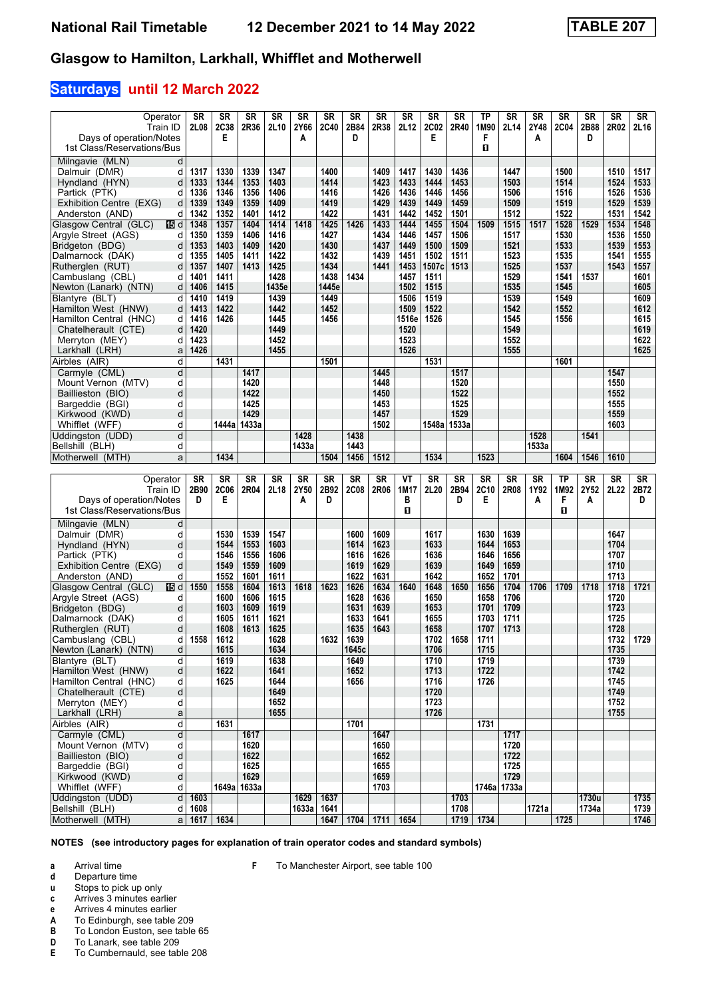### **Saturdays until 12 March 2022**

| Operator<br>Train ID                                  | SR<br>2L08              | <b>SR</b><br>2C38 | <b>SR</b><br>2R36 | <b>SR</b><br>2L10 | <b>SR</b><br>2Y66 | <b>SR</b><br><b>2C40</b> | <b>SR</b><br>2B84 | <b>SR</b><br>2R38 | SR<br>2L12   | <b>SR</b><br>2C02 | <b>SR</b><br>2R40 | <b>TP</b><br>1M90 | <b>SR</b><br>2L14 | <b>SR</b><br>2Y48 | <b>SR</b><br><b>2C04</b> | <b>SR</b><br>2B88 | <b>SR</b><br>2R02 | <b>SR</b><br>2L16 |
|-------------------------------------------------------|-------------------------|-------------------|-------------------|-------------------|-------------------|--------------------------|-------------------|-------------------|--------------|-------------------|-------------------|-------------------|-------------------|-------------------|--------------------------|-------------------|-------------------|-------------------|
| Days of operation/Notes                               |                         | E                 |                   |                   | A                 |                          | D                 |                   |              | Е                 |                   | F                 |                   | A                 |                          | D                 |                   |                   |
| 1st Class/Reservations/Bus                            |                         |                   |                   |                   |                   |                          |                   |                   |              |                   |                   | п                 |                   |                   |                          |                   |                   |                   |
| Milngavie (MLN)<br>d                                  |                         |                   |                   |                   |                   |                          |                   |                   |              |                   |                   |                   |                   |                   |                          |                   |                   |                   |
| Dalmuir (DMR)<br>d                                    | 1317                    | 1330              | 1339              | 1347              |                   | 1400                     |                   | 1409              | 1417         | 1430              | 1436              |                   | 1447              |                   | 1500                     |                   | 1510              | 1517              |
| Hyndland (HYN)<br>d                                   | 1333                    | 1344              | 1353              | 1403              |                   | 1414                     |                   | 1423              | 1433         | 1444              | 1453              |                   | 1503              |                   | 1514                     |                   | 1524              | 1533              |
| Partick (PTK)<br>d                                    | 1336                    | 1346              | 1356              | 1406              |                   | 1416                     |                   | 1426              | 1436         | 1446              | 1456              |                   | 1506              |                   | 1516                     |                   | 1526              | 1536              |
| Exhibition Centre (EXG)<br>d                          | 1339                    | 1349              | 1359              | 1409              |                   | 1419                     |                   | 1429              | 1439         | 1449              | 1459              |                   | 1509              |                   | 1519                     |                   | 1529              | 1539              |
| Anderston (AND)<br>d                                  | 1342                    | 1352              | 1401              | 1412              |                   | 1422                     |                   | 1431              | 1442         | 1452              | 1501              |                   | 1512              |                   | 1522                     |                   | 1531              | 1542              |
| Glasgow Central (GLC)<br>115 d                        | 1348                    | 1357              | 1404              | 1414              | 1418              | 1425                     | 1426              | 1433              | 1444         | 1455              | 1504              | 1509              | 1515              | 1517              | 1528                     | 1529              | 1534              | 1548              |
| Argyle Street (AGS)<br>d                              | 1350                    | 1359              | 1406              | 1416              |                   | 1427                     |                   | 1434              | 1446         | 1457              | 1506              |                   | 1517              |                   | 1530                     |                   | 1536              | 1550              |
| Bridgeton (BDG)<br>d                                  | 1353                    | 1403              | 1409              | 1420              |                   | 1430                     |                   | 1437              | 1449         | 1500              | 1509              |                   | 1521              |                   | 1533                     |                   | 1539              | 1553              |
| Dalmarnock (DAK)<br>d<br>Rutherglen (RUT)<br>d        | 1355<br>1357            | 1405<br>1407      | 1411<br>1413      | 1422<br>1425      |                   | 1432<br>1434             |                   | 1439<br>1441      | 1451<br>1453 | 1502<br>1507c     | 1511<br>1513      |                   | 1523<br>1525      |                   | 1535<br>1537             |                   | 1541<br>1543      | 1555<br>1557      |
| Cambuslang (CBL)<br>d                                 | 1401                    | 1411              |                   | 1428              |                   | 1438                     | 1434              |                   | 1457         | 1511              |                   |                   | 1529              |                   | 1541                     | 1537              |                   | 1601              |
| Newton (Lanark) (NTN)<br>d                            | 1406                    | 1415              |                   | 1435e             |                   | 1445e                    |                   |                   | 1502         | 1515              |                   |                   | 1535              |                   | 1545                     |                   |                   | 1605              |
| Blantyre (BLT)<br>d                                   | 1410                    | 1419              |                   | 1439              |                   | 1449                     |                   |                   | 1506         | 1519              |                   |                   | 1539              |                   | 1549                     |                   |                   | 1609              |
| Hamilton West (HNW)<br>d                              | 1413                    | 1422              |                   | 1442              |                   | 1452                     |                   |                   | 1509         | 1522              |                   |                   | 1542              |                   | 1552                     |                   |                   | 1612              |
| Hamilton Central (HNC)<br>d                           | 1416                    | 1426              |                   | 1445              |                   | 1456                     |                   |                   | 1516e        | 1526              |                   |                   | 1545              |                   | 1556                     |                   |                   | 1615              |
| d<br>Chatelherault (CTE)                              | 1420                    |                   |                   | 1449              |                   |                          |                   |                   | 1520         |                   |                   |                   | 1549              |                   |                          |                   |                   | 1619              |
| Merryton (MEY)<br>d                                   | 1423                    |                   |                   | 1452              |                   |                          |                   |                   | 1523         |                   |                   |                   | 1552              |                   |                          |                   |                   | 1622              |
| Larkhall (LRH)<br>a                                   | 1426                    |                   |                   | 1455              |                   |                          |                   |                   | 1526         |                   |                   |                   | 1555              |                   |                          |                   |                   | 1625              |
| Airbles (AIR)<br>d                                    |                         | 1431              |                   |                   |                   | 1501                     |                   |                   |              | 1531              |                   |                   |                   |                   | 1601                     |                   |                   |                   |
| Carmyle (CML)<br>d                                    |                         |                   | 1417              |                   |                   |                          |                   | 1445              |              |                   | 1517              |                   |                   |                   |                          |                   | 1547              |                   |
| d<br>Mount Vernon (MTV)                               |                         |                   | 1420              |                   |                   |                          |                   | 1448              |              |                   | 1520              |                   |                   |                   |                          |                   | 1550              |                   |
| d<br>Baillieston (BIO)                                |                         |                   | 1422              |                   |                   |                          |                   | 1450              |              |                   | 1522              |                   |                   |                   |                          |                   | 1552              |                   |
| d<br>Bargeddie (BGI)                                  |                         |                   | 1425              |                   |                   |                          |                   | 1453              |              |                   | 1525              |                   |                   |                   |                          |                   | 1555              |                   |
| d<br>Kirkwood (KWD)                                   |                         |                   | 1429              |                   |                   |                          |                   | 1457              |              |                   | 1529              |                   |                   |                   |                          |                   | 1559              |                   |
| d<br>Whifflet (WFF)                                   |                         |                   | 1444a   1433a     |                   |                   |                          |                   | 1502              |              |                   | 1548a 1533a       |                   |                   |                   |                          |                   | 1603              |                   |
| d<br>Uddingston (UDD)                                 |                         |                   |                   |                   | 1428              |                          | 1438              |                   |              |                   |                   |                   |                   | 1528              |                          | 1541              |                   |                   |
| Bellshill (BLH)<br>d                                  |                         |                   |                   |                   | 1433a             |                          | 1443              |                   |              |                   |                   |                   |                   | 1533a             |                          |                   |                   |                   |
| Motherwell (MTH)<br>a                                 |                         | 1434              |                   |                   |                   | 1504                     | 1456              | 1512              |              | 1534              |                   | 1523              |                   |                   | 1604                     | 1546              | 1610              |                   |
|                                                       |                         |                   |                   |                   |                   |                          |                   |                   |              |                   |                   |                   |                   |                   |                          |                   |                   |                   |
|                                                       |                         |                   |                   |                   |                   |                          |                   |                   |              |                   |                   |                   |                   |                   |                          |                   |                   |                   |
| Operator                                              | <b>SR</b>               | <b>SR</b>         | <b>SR</b>         | <b>SR</b>         | <b>SR</b>         | <b>SR</b>                | <b>SR</b>         | <b>SR</b>         | ۷T           | <b>SR</b>         | <b>SR</b>         | <b>SR</b>         | <b>SR</b>         | <b>SR</b>         | <b>TP</b>                | <b>SR</b>         | <b>SR</b>         | $S_{R}$           |
| Train ID                                              | 2B90<br>D               | <b>2C06</b>       | 2R04              | 2L18              | 2Y50              | 2B92<br>D                | <b>2C08</b>       | 2R06              | 1M17         | 2L20              | 2B94<br>D         | 2C10<br>Е         | 2R08              | 1Y92              | 1M92                     | 2Y52              | 2L22              | 2B72<br>D         |
| Days of operation/Notes<br>1st Class/Reservations/Bus |                         | Е                 |                   |                   | A                 |                          |                   |                   | в<br>О       |                   |                   |                   |                   | A                 | F<br>O.                  | Α                 |                   |                   |
|                                                       |                         |                   |                   |                   |                   |                          |                   |                   |              |                   |                   |                   |                   |                   |                          |                   |                   |                   |
| Milngavie (MLN)<br>d<br>d                             |                         |                   |                   |                   |                   |                          |                   |                   |              |                   |                   |                   |                   |                   |                          |                   |                   |                   |
| Dalmuir (DMR)<br>d                                    |                         | 1530<br>1544      | 1539<br>1553      | 1547<br>1603      |                   |                          | 1600<br>1614      | 1609<br>1623      |              | 1617<br>1633      |                   | 1630<br>1644      | 1639<br>1653      |                   |                          |                   | 1647<br>1704      |                   |
| Hyndland (HYN)<br>Partick (PTK)<br>d                  |                         | 1546              | 1556              | 1606              |                   |                          | 1616              | 1626              |              | 1636              |                   | 1646              | 1656              |                   |                          |                   | 1707              |                   |
| d<br>Exhibition Centre (EXG)                          |                         | 1549              | 1559              | 1609              |                   |                          | 1619              | 1629              |              | 1639              |                   | 1649              | 1659              |                   |                          |                   | 1710              |                   |
| Anderston (AND)<br>d                                  |                         | 1552              | 1601              | 1611              |                   |                          | 1622              | 1631              |              | 1642              |                   | 1652              | 1701              |                   |                          |                   | 1713              |                   |
| 115 d<br>Glasgow Central (GLC)                        | 1550                    | 1558              | 1604              | 1613              | 1618              | 1623                     | 1626              | 1634              | 1640         | 1648              | 1650              | 1656              | 1704              | 1706              | 1709                     | 1718              | 1718              | 1721              |
| Argyle Street (AGS)<br>d                              |                         | 1600              | 1606              | 1615              |                   |                          | 1628              | 1636              |              | 1650              |                   | 1658              | 1706              |                   |                          |                   | 1720              |                   |
| Bridgeton (BDG)<br>d                                  |                         | 1603              | 1609              | 1619              |                   |                          | 1631              | 1639              |              | 1653              |                   | 1701              | 1709              |                   |                          |                   | 1723              |                   |
| Dalmarnock (DAK)<br>d                                 |                         | 1605              | 1611              | 1621              |                   |                          | 1633              | 1641              |              | 1655              |                   | 1703              | 1711              |                   |                          |                   | 1725              |                   |
| d<br>Rutherglen (RUT)                                 |                         | 1608              | 1613              | 1625              |                   |                          | 1635              | 1643              |              | 1658              |                   | 1707              | 1713              |                   |                          |                   | 1728              |                   |
| Cambuslang (CBL)<br>d                                 | 1558                    | 1612              |                   | 1628              |                   | 1632                     | 1639              |                   |              | 1702              | 1658              | 1711              |                   |                   |                          |                   | 1732              | 1729              |
| d<br>Newton (Lanark) (NTN)                            |                         | 1615              |                   | 1634              |                   |                          | 1645c             |                   |              | 1706              |                   | 1715              |                   |                   |                          |                   | 1735              |                   |
| Blantyre (BLT)<br>d                                   |                         | 1619              |                   | 1638              |                   |                          | 1649              |                   |              | 1710              |                   | 1719              |                   |                   |                          |                   | 1739              |                   |
| Hamilton West (HNW)<br>þ                              |                         | 1622              |                   | 1641              |                   |                          | 1652              |                   |              | 1713              |                   | 1722              |                   |                   |                          |                   | 1742              |                   |
| Hamilton Central (HNC)<br>d                           |                         | 1625              |                   | 1644              |                   |                          | 1656              |                   |              | 1716              |                   | 1726              |                   |                   |                          |                   | 1745              |                   |
| d<br>Chatelherault (CTE)<br>Merryton (MEY)            |                         |                   |                   | 1649<br>1652      |                   |                          |                   |                   |              | 1720              |                   |                   |                   |                   |                          |                   | 1749<br>1752      |                   |
| d<br>Larkhall (LRH)<br>a                              |                         |                   |                   | 1655              |                   |                          |                   |                   |              | 1723<br>1726      |                   |                   |                   |                   |                          |                   | 1755              |                   |
| þ<br>Airbles (AIR)                                    |                         | 1631              |                   |                   |                   |                          | 1701              |                   |              |                   |                   | 1731              |                   |                   |                          |                   |                   |                   |
| Carmyle (CML)<br>d                                    |                         |                   | 1617              |                   |                   |                          |                   | 1647              |              |                   |                   |                   | 1717              |                   |                          |                   |                   |                   |
| d<br>Mount Vernon (MTV)                               |                         |                   | 1620              |                   |                   |                          |                   | 1650              |              |                   |                   |                   | 1720              |                   |                          |                   |                   |                   |
| þ<br>Baillieston (BIO)                                |                         |                   | 1622              |                   |                   |                          |                   | 1652              |              |                   |                   |                   | 1722              |                   |                          |                   |                   |                   |
| Bargeddie (BGI)<br>d                                  |                         |                   | 1625              |                   |                   |                          |                   | 1655              |              |                   |                   |                   | 1725              |                   |                          |                   |                   |                   |
| Kirkwood (KWD)<br>d                                   |                         |                   | 1629              |                   |                   |                          |                   | 1659              |              |                   |                   |                   | 1729              |                   |                          |                   |                   |                   |
| Whifflet (WFF)<br>d                                   |                         |                   | 1649a   1633a     |                   |                   |                          |                   | 1703              |              |                   |                   |                   | 1746a   1733a     |                   |                          |                   |                   |                   |
| Uddingston (UDD)                                      | $d$ 1603                |                   |                   |                   | 1629              | 1637                     |                   |                   |              |                   | 1703              |                   |                   |                   |                          | 1730u             |                   | 1735              |
| Bellshill (BLH)<br>dl<br>Motherwell (MTH)             | 1608<br>a   1617   1634 |                   |                   |                   | 1633a             | 1641<br>1647             |                   | $1704$ 1711       | 1654         |                   | 1708              | 1719 1734         |                   | 1721a             | 1725                     | 1734a             |                   | 1739<br>1746      |

**NOTES (see introductory pages for explanation of train operator codes and standard symbols)**

**F** To Manchester Airport, see table 100

**a** Arrival time<br>**d** Departure t

**d** Departure time<br>**u** Stops to pick up

**u** Stops to pick up only<br>**c** Arrives 3 minutes ear **c** Arrives 3 minutes earlier

**e** Arrives 4 minutes earlier<br>**A** To Edinburgh, see table

**A** To Edinburgh, see table 209<br>**B** To London Euston, see table

**B** To London Euston, see table 65<br>**D** To Lanark, see table 209

**D** To Lanark, see table 209<br>**E** To Cumbernauld, see tab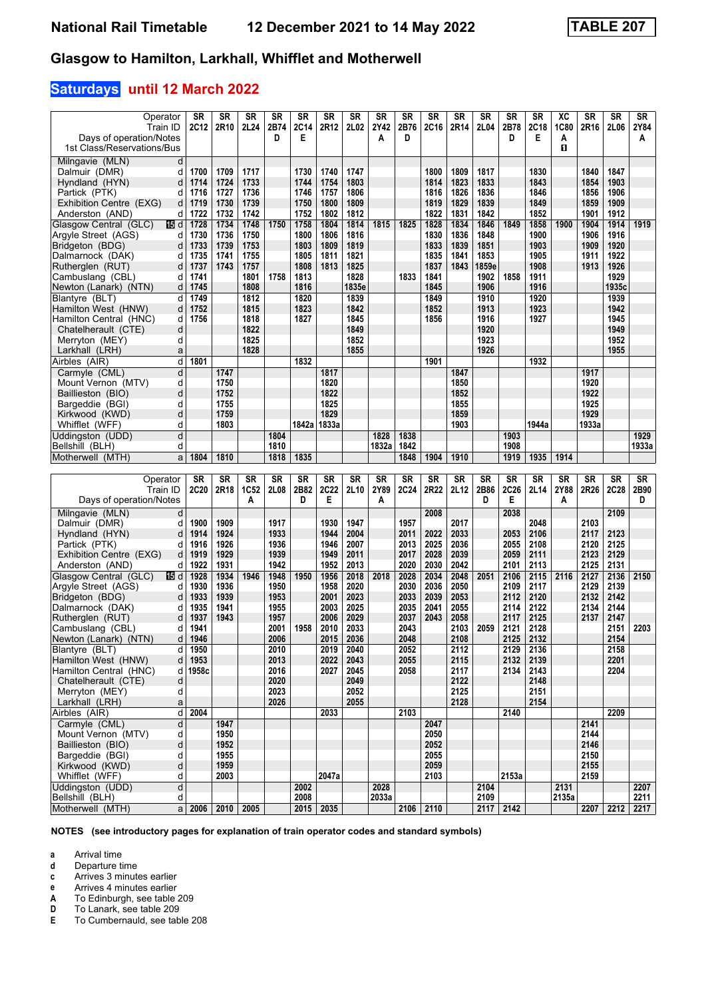### **Saturdays until 12 March 2022**

| Operator                                              | <b>SR</b>    | SR                 | <b>SR</b>    | <b>SR</b>    | <b>SR</b>    | <b>SR</b>    | SR           | SR    | SR           | <b>SR</b>    | SR           | <b>SR</b>    | <b>SR</b>    | SR           | ХC          | SR           | <b>SR</b>    | SR                |
|-------------------------------------------------------|--------------|--------------------|--------------|--------------|--------------|--------------|--------------|-------|--------------|--------------|--------------|--------------|--------------|--------------|-------------|--------------|--------------|-------------------|
| Train ID                                              | 2C12         | 2R10               | 2L24         | 2B74         | <b>2C14</b>  | 2R12         | 2L02         | 2Y42  | 2B76         | 2C16         | 2R14         | 2L04         | 2B78         | 2C18         | <b>1C80</b> | 2R16         | 2L06         | 2Y84              |
| Days of operation/Notes                               |              |                    |              | D            | Е            |              |              | А     | D            |              |              |              | D            | Е            | A           |              |              | A                 |
| 1st Class/Reservations/Bus                            |              |                    |              |              |              |              |              |       |              |              |              |              |              |              | O           |              |              |                   |
| Milngavie (MLN)<br>d                                  |              |                    |              |              |              |              |              |       |              |              |              |              |              |              |             |              |              |                   |
| Dalmuir (DMR)<br>d                                    | 1700         | 1709               | 1717         |              | 1730         | 1740         | 1747         |       |              | 1800         | 1809         | 1817         |              | 1830         |             | 1840         | 1847         |                   |
| Hyndland (HYN)<br>d                                   | 1714         | 1724               | 1733         |              | 1744         | 1754         | 1803         |       |              | 1814         | 1823         | 1833         |              | 1843         |             | 1854         | 1903         |                   |
| Partick (PTK)<br>d                                    | 1716         | 1727               | 1736         |              | 1746         | 1757         | 1806         |       |              | 1816         | 1826         | 1836         |              | 1846         |             | 1856         | 1906         |                   |
| Exhibition Centre (EXG)<br>d                          | 1719         | 1730               | 1739         |              | 1750         | 1800         | 1809         |       |              | 1819         | 1829         | 1839         |              | 1849         |             | 1859         | 1909         |                   |
| Anderston (AND)<br>d                                  | 1722         | 1732               | 1742         |              | 1752         | 1802         | 1812         |       |              | 1822         | 1831         | 1842         |              | 1852         |             | 1901         | 1912         |                   |
| Glasgow Central (GLC)<br>165 d<br>Argyle Street (AGS) | 1728<br>1730 | 1734<br>1736       | 1748<br>1750 | 1750         | 1758<br>1800 | 1804<br>1806 | 1814<br>1816 | 1815  | 1825         | 1828<br>1830 | 1834<br>1836 | 1846<br>1848 | 1849         | 1858<br>1900 | 1900        | 1904<br>1906 | 1914<br>1916 | 1919              |
| d<br>Bridgeton (BDG)<br>d                             | 1733         | 1739               | 1753         |              | 1803         | 1809         | 1819         |       |              | 1833         | 1839         | 1851         |              | 1903         |             | 1909         | 1920         |                   |
| Dalmarnock (DAK)<br>d                                 | 1735         | 1741               | 1755         |              | 1805         | 1811         | 1821         |       |              | 1835         | 1841         | 1853         |              | 1905         |             | 1911         | 1922         |                   |
| Rutherglen (RUT)<br>d                                 | 1737         | 1743               | 1757         |              | 1808         | 1813         | 1825         |       |              | 1837         | 1843         | 1859e        |              | 1908         |             | 1913         | 1926         |                   |
| Cambuslang (CBL)<br>d                                 | 1741         |                    | 1801         | 1758         | 1813         |              | 1828         |       | 1833         | 1841         |              | 1902         | 1858         | 1911         |             |              | 1929         |                   |
| Newton (Lanark) (NTN)<br>d                            | 1745         |                    | 1808         |              | 1816         |              | 1835e        |       |              | 1845         |              | 1906         |              | 1916         |             |              | 1935c        |                   |
| Blantyre (BLT)<br>d                                   | 1749         |                    | 1812         |              | 1820         |              | 1839         |       |              | 1849         |              | 1910         |              | 1920         |             |              | 1939         |                   |
| Hamilton West (HNW)<br>d                              | 1752         |                    | 1815         |              | 1823         |              | 1842         |       |              | 1852         |              | 1913         |              | 1923         |             |              | 1942         |                   |
| Hamilton Central (HNC)<br>d                           | 1756         |                    | 1818         |              | 1827         |              | 1845         |       |              | 1856         |              | 1916         |              | 1927         |             |              | 1945         |                   |
| d<br>Chatelherault (CTE)                              |              |                    | 1822         |              |              |              | 1849         |       |              |              |              | 1920         |              |              |             |              | 1949         |                   |
| Merryton (MEY)<br>d                                   |              |                    | 1825         |              |              |              | 1852         |       |              |              |              | 1923         |              |              |             |              | 1952         |                   |
| Larkhall (LRH)<br>a                                   |              |                    | 1828         |              |              |              | 1855         |       |              |              |              | 1926         |              |              |             |              | 1955         |                   |
| d<br>Airbles (AIR)                                    | 1801         |                    |              |              | 1832         |              |              |       |              | 1901         |              |              |              | 1932         |             |              |              |                   |
| Carmyle (CML)<br>d                                    |              | 1747               |              |              |              | 1817         |              |       |              |              | 1847         |              |              |              |             | 1917         |              |                   |
| d<br>Mount Vernon (MTV)                               |              | 1750               |              |              |              | 1820         |              |       |              |              | 1850         |              |              |              |             | 1920         |              |                   |
| d<br>Baillieston (BIO)                                |              | 1752               |              |              |              | 1822         |              |       |              |              | 1852         |              |              |              |             | 1922         |              |                   |
| d<br>Bargeddie (BGI)<br>Kirkwood (KWD)<br>d           |              | 1755<br>1759       |              |              |              | 1825<br>1829 |              |       |              |              | 1855<br>1859 |              |              |              |             | 1925<br>1929 |              |                   |
| Whifflet (WFF)<br>d                                   |              | 1803               |              |              | 1842a        | 1833a        |              |       |              |              | 1903         |              |              | 1944a        |             | 1933a        |              |                   |
| Uddingston (UDD)<br>d                                 |              |                    |              | 1804         |              |              |              | 1828  | 1838         |              |              |              | 1903         |              |             |              |              | 1929              |
| Bellshill (BLH)<br>d                                  |              |                    |              | 1810         |              |              |              | 1832a | 1842         |              |              |              | 1908         |              |             |              |              | 1933a             |
| Motherwell (MTH)<br>a                                 | 1804         | 1810               |              | 1818         | 1835         |              |              |       | 1848         | 1904         | 1910         |              | 1919         | 1935         | 1914        |              |              |                   |
|                                                       |              |                    |              |              |              |              |              |       |              |              |              |              |              |              |             |              |              |                   |
|                                                       |              |                    |              |              |              |              |              |       |              |              |              |              |              |              |             |              |              |                   |
| Operator                                              | <b>SR</b>    | <b>SR</b>          | <b>SR</b>    | SR           | <b>SR</b>    | <b>SR</b>    | SR           | SR    | SR           | <b>SR</b>    | <b>SR</b>    | <b>SR</b>    | <b>SR</b>    | <b>SR</b>    | <b>SR</b>   | <b>SR</b>    | SR           | SR                |
| Train ID                                              | 2C20         | 2R18               | 1C52         | 2L08         | 2B82         | 2C22         | 2L10         | 2Y89  | <b>2C24</b>  | 2R22         | 2L12         | 2B86         | 2C26         | 2L14         | 2Y88        | 2R26         | 2C28         | 2B90              |
| Days of operation/Notes                               |              |                    | A            |              | D            | Е            |              | A     |              |              |              | D            | Е            |              | A           |              |              | D                 |
| Milngavie (MLN)<br>d                                  |              |                    |              |              |              |              |              |       |              | 2008         |              |              | 2038         |              |             |              | 2109         |                   |
| Dalmuir (DMR)<br>d                                    | 1900         | 1909               |              | 1917         |              | 1930         | 1947         |       | 1957         |              | 2017         |              |              | 2048         |             | 2103         |              |                   |
| Hyndland (HYN)<br>d                                   | 1914         | 1924               |              | 1933         |              | 1944         | 2004         |       | 2011         | 2022         | 2033         |              | 2053         | 2106         |             | 2117         | 2123         |                   |
| Partick (PTK)<br>d                                    | 1916         | 1926               |              | 1936         |              | 1946         | 2007         |       | 2013         | 2025         | 2036         |              | 2055         | 2108         |             | 2120         | 2125         |                   |
| Exhibition Centre (EXG)<br>d                          | 1919         | 1929               |              | 1939         |              | 1949         | 2011         |       | 2017         | 2028         | 2039         |              | 2059         | 2111         |             | 2123         | 2129         |                   |
| Anderston (AND)<br>d                                  | 1922         | 1931               |              | 1942         |              | 1952         | 2013         |       | 2020         | 2030         | 2042         |              | 2101         | 2113         |             | 2125         | 2131         |                   |
| Glasgow Central (GLC)<br>165 d                        | 1928         | 1934               | 1946         | 1948         | 1950         | 1956         | 2018         | 2018  | 2028         | 2034         | 2048         | 2051         | 2106         | 2115         | 2116        | 2127         | 2136         | 2150              |
| Argyle Street (AGS)<br>d<br>d                         | 1930         | 1936               |              | 1950         |              | 1958         | 2020         |       | 2030         | 2036         | 2050         |              | 2109         | 2117         |             | 2129         | 2139         |                   |
| Bridgeton (BDG)<br>Dalmarnock (DAK)<br>d              | 1933<br>1935 | 1939<br>1941       |              | 1953<br>1955 |              | 2001<br>2003 | 2023<br>2025 |       | 2033<br>2035 | 2039<br>2041 | 2053<br>2055 |              | 2112<br>2114 | 2120<br>2122 |             | 2132<br>2134 | 2142<br>2144 |                   |
| Rutherglen (RUT)<br>d                                 | 1937         | 1943               |              | 1957         |              | 2006         | 2029         |       | 2037         | 2043         | 2058         |              | 2117         | 2125         |             | 2137         | 2147         |                   |
| Cambuslang (CBL)<br>d                                 | 1941         |                    |              | 2001         | 1958         | 2010         | 2033         |       | 2043         |              | 2103         | 2059         | 2121         | 2128         |             |              | 2151         | 2203              |
| Newton (Lanark) (NTN)<br>d                            | 1946         |                    |              | 2006         |              | 2015         | 2036         |       | 2048         |              | 2108         |              | 2125         | 2132         |             |              | 2154         |                   |
| Blantyre (BLT)<br>d l                                 | 1950         |                    |              | 2010         |              | 2019         | 2040         |       | 2052         |              | 2112         |              | 2129         | 2136         |             |              | 2158         |                   |
| Hamilton West (HNW)<br>d                              | 1953         |                    |              | 2013         |              | 2022         | 2043         |       | 2055         |              | 2115         |              | 2132         | 2139         |             |              | 2201         |                   |
| Hamilton Central (HNC)<br>d l                         | 1958c        |                    |              | 2016         |              | 2027         | 2045         |       | 2058         |              | 2117         |              | 2134         | 2143         |             |              | 2204         |                   |
| Chatelherault (CTE)<br>d                              |              |                    |              | 2020         |              |              | 2049         |       |              |              | 2122         |              |              | 2148         |             |              |              |                   |
| Merryton (MEY)<br>d                                   |              |                    |              | 2023         |              |              | 2052         |       |              |              | 2125         |              |              | 2151         |             |              |              |                   |
| a<br>Larkhall (LRH)                                   |              |                    |              | 2026         |              |              | 2055         |       |              |              | 2128         |              |              | 2154         |             |              |              |                   |
| $\overline{\mathsf{d}}$<br>Airbles (AIR)              | 2004         |                    |              |              |              | 2033         |              |       | 2103         |              |              |              | 2140         |              |             |              | 2209         |                   |
| Carmyle (CML)<br>d<br>d                               |              | 1947<br>1950       |              |              |              |              |              |       |              | 2047<br>2050 |              |              |              |              |             | 2141<br>2144 |              |                   |
| Mount Vernon (MTV)<br>d<br>Baillieston (BIO)          |              | 1952               |              |              |              |              |              |       |              | 2052         |              |              |              |              |             | 2146         |              |                   |
| Bargeddie (BGI)<br>d                                  |              | 1955               |              |              |              |              |              |       |              | 2055         |              |              |              |              |             | 2150         |              |                   |
| d<br>Kirkwood (KWD)                                   |              | 1959               |              |              |              |              |              |       |              | 2059         |              |              |              |              |             | 2155         |              |                   |
| Whifflet (WFF)<br>d                                   |              | 2003               |              |              |              | 2047a        |              |       |              | 2103         |              |              | 2153a        |              |             | 2159         |              |                   |
| þ<br>Uddingston (UDD)                                 |              |                    |              |              | 2002         |              |              | 2028  |              |              |              | 2104         |              |              | 2131        |              |              | 2207              |
| Bellshill (BLH)<br>d<br>Motherwell (MTH)              |              | $a$ 2006 2010 2005 |              |              | 2008         | 2015 2035    |              | 2033a |              | 2106 2110    |              | 2109         | 2117 2142    |              | 2135a       | 2207         |              | 2211<br>2212 2217 |

**NOTES (see introductory pages for explanation of train operator codes and standard symbols)**

**a** Arrival time<br>**d** Departure t

**d** Departure time

**c** Arrives 3 minutes earlier<br>**e** Arrives 4 minutes earlier

**e** Arrives 4 minutes earlier<br>**A** To Edinburgh, see table

**'** To Lanark, see table 20

**A** To Edinburgh, see table 209<br> **D** To Lanark, see table 209<br> **E** To Cumbernauld, see table 2 **(** To Cumbernauld, see table 208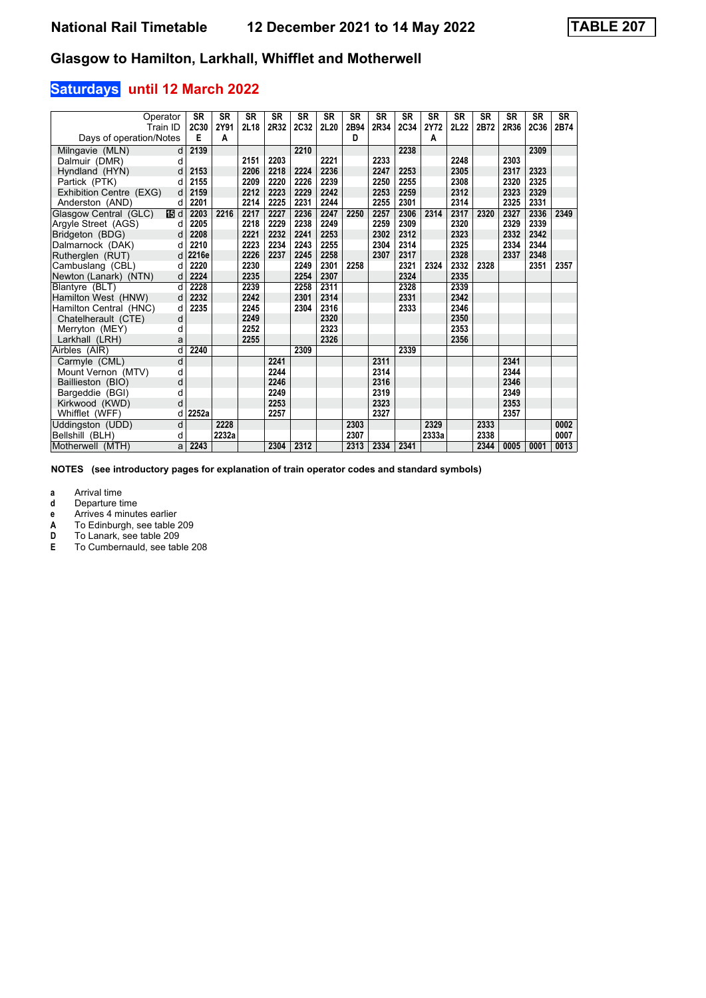### **Saturdays until 12 March 2022**

| Operator<br>Train ID    |      | <b>SR</b><br>2C30 | <b>SR</b><br>2Y91 | <b>SR</b><br>2L18 | <b>SR</b><br>2R32 | <b>SR</b><br>2C32 | <b>SR</b><br>2L20 | <b>SR</b><br>2B94 | <b>SR</b><br>2R34 | <b>SR</b><br>2C34 | <b>SR</b><br>2Y72 | <b>SR</b><br><b>2L22</b> | <b>SR</b><br>2B72 | <b>SR</b><br>2R36 | <b>SR</b><br>2C36 | <b>SR</b><br>2B74 |
|-------------------------|------|-------------------|-------------------|-------------------|-------------------|-------------------|-------------------|-------------------|-------------------|-------------------|-------------------|--------------------------|-------------------|-------------------|-------------------|-------------------|
| Days of operation/Notes |      | Е                 | A                 |                   |                   |                   |                   | D                 |                   |                   | Α                 |                          |                   |                   |                   |                   |
| Milngavie (MLN)         | d    | 2139              |                   |                   |                   | 2210              |                   |                   |                   | 2238              |                   |                          |                   |                   | 2309              |                   |
| Dalmuir (DMR)           | d    |                   |                   | 2151              | 2203              |                   | 2221              |                   | 2233              |                   |                   | 2248                     |                   | 2303              |                   |                   |
| Hyndland (HYN)          | d    | 2153              |                   | 2206              | 2218              | 2224              | 2236              |                   | 2247              | 2253              |                   | 2305                     |                   | 2317              | 2323              |                   |
| Partick (PTK)           | d    | 2155              |                   | 2209              | 2220              | 2226              | 2239              |                   | 2250              | 2255              |                   | 2308                     |                   | 2320              | 2325              |                   |
| Exhibition Centre (EXG) | d    | 2159              |                   | 2212              | 2223              | 2229              | 2242              |                   | 2253              | 2259              |                   | 2312                     |                   | 2323              | 2329              |                   |
| Anderston (AND)         | d    | 2201              |                   | 2214              | 2225              | 2231              | 2244              |                   | 2255              | 2301              |                   | 2314                     |                   | 2325              | 2331              |                   |
| Glasgow Central (GLC)   | 16 d | 2203              | 2216              | 2217              | 2227              | 2236              | 2247              | 2250              | 2257              | 2306              | 2314              | 2317                     | 2320              | 2327              | 2336              | 2349              |
| Argyle Street (AGS)     | d    | 2205              |                   | 2218              | 2229              | 2238              | 2249              |                   | 2259              | 2309              |                   | 2320                     |                   | 2329              | 2339              |                   |
| Bridgeton (BDG)         | d    | 2208              |                   | 2221              | 2232              | 2241              | 2253              |                   | 2302              | 2312              |                   | 2323                     |                   | 2332              | 2342              |                   |
| Dalmarnock (DAK)        | d    | 2210              |                   | 2223              | 2234              | 2243              | 2255              |                   | 2304              | 2314              |                   | 2325                     |                   | 2334              | 2344              |                   |
| Rutherglen (RUT)        | d    | 2216e             |                   | 2226              | 2237              | 2245              | 2258              |                   | 2307              | 2317              |                   | 2328                     |                   | 2337              | 2348              |                   |
| Cambuslang (CBL)        | d    | 2220              |                   | 2230              |                   | 2249              | 2301              | 2258              |                   | 2321              | 2324              | 2332                     | 2328              |                   | 2351              | 2357              |
| Newton (Lanark) (NTN)   | d    | 2224              |                   | 2235              |                   | 2254              | 2307              |                   |                   | 2324              |                   | 2335                     |                   |                   |                   |                   |
| Blantyre (BLT)          | d    | 2228              |                   | 2239              |                   | 2258              | 2311              |                   |                   | 2328              |                   | 2339                     |                   |                   |                   |                   |
| Hamilton West (HNW)     | d    | 2232              |                   | 2242              |                   | 2301              | 2314              |                   |                   | 2331              |                   | 2342                     |                   |                   |                   |                   |
| Hamilton Central (HNC)  | d    | 2235              |                   | 2245              |                   | 2304              | 2316              |                   |                   | 2333              |                   | 2346                     |                   |                   |                   |                   |
| Chatelherault (CTE)     | d    |                   |                   | 2249              |                   |                   | 2320              |                   |                   |                   |                   | 2350                     |                   |                   |                   |                   |
| Merryton (MEY)          | d    |                   |                   | 2252              |                   |                   | 2323              |                   |                   |                   |                   | 2353                     |                   |                   |                   |                   |
| Larkhall (LRH)          | a    |                   |                   | 2255              |                   |                   | 2326              |                   |                   |                   |                   | 2356                     |                   |                   |                   |                   |
| Airbles (AIR)           | d    | 2240              |                   |                   |                   | 2309              |                   |                   |                   | 2339              |                   |                          |                   |                   |                   |                   |
| Carmyle (CML)           | d    |                   |                   |                   | 2241              |                   |                   |                   | 2311              |                   |                   |                          |                   | 2341              |                   |                   |
| Mount Vernon (MTV)      | d    |                   |                   |                   | 2244              |                   |                   |                   | 2314              |                   |                   |                          |                   | 2344              |                   |                   |
| Baillieston (BIO)       | d    |                   |                   |                   | 2246              |                   |                   |                   | 2316              |                   |                   |                          |                   | 2346              |                   |                   |
| Bargeddie (BGI)         | d    |                   |                   |                   | 2249              |                   |                   |                   | 2319              |                   |                   |                          |                   | 2349              |                   |                   |
| Kirkwood (KWD)          | d    |                   |                   |                   | 2253              |                   |                   |                   | 2323              |                   |                   |                          |                   | 2353              |                   |                   |
| Whifflet (WFF)          | d    | 2252a             |                   |                   | 2257              |                   |                   |                   | 2327              |                   |                   |                          |                   | 2357              |                   |                   |
| Uddingston (UDD)        | d    |                   | 2228              |                   |                   |                   |                   | 2303              |                   |                   | 2329              |                          | 2333              |                   |                   | 0002              |
| Bellshill (BLH)         | d    |                   | 2232a             |                   |                   |                   |                   | 2307              |                   |                   | 2333a             |                          | 2338              |                   |                   | 0007              |
| Motherwell (MTH)        | a    | 2243              |                   |                   | 2304              | 2312              |                   | 2313              | 2334              | 2341              |                   |                          | 2344              | 0005              | 0001              | 0013              |

**NOTES (see introductory pages for explanation of train operator codes and standard symbols)**

**a** Arrival time<br>**d** Departure t

**Departure time** 

**e** Arrives 4 minutes earlier<br>**A** To Edinburgh, see table

**A** To Edinburgh, see table 209<br>**D** To Lanark, see table 209

**D** To Lanark, see table 209<br>**E** To Cumbernauld, see tab **(** To Cumbernauld, see table 208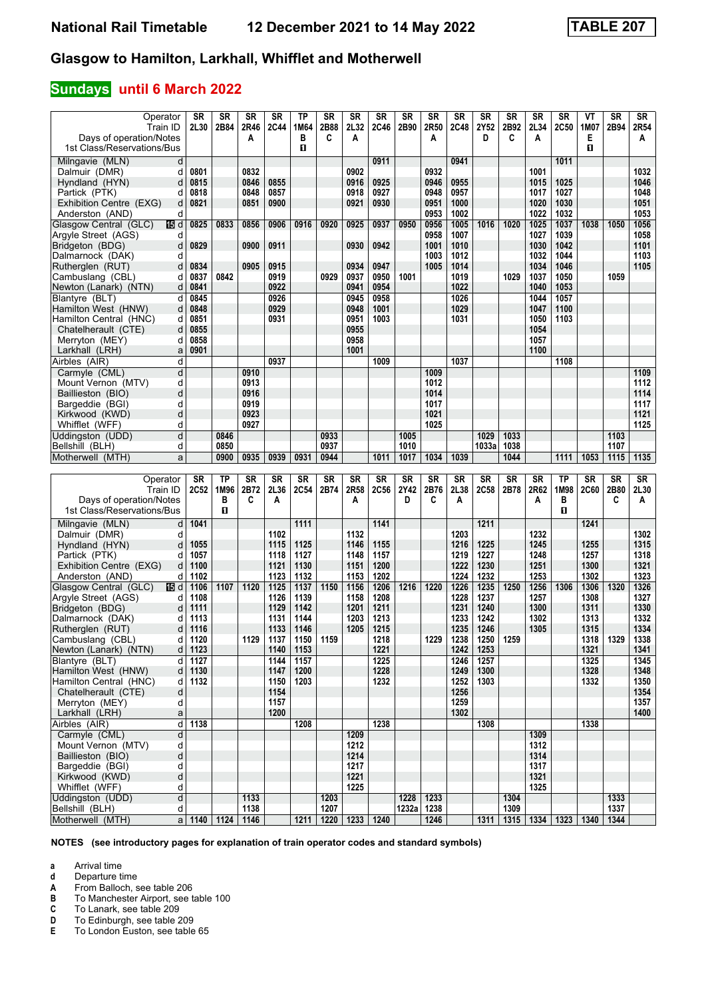### **Sundays until 6 March 2022**

| Operator                        | <b>SR</b> | <b>SR</b> | <b>SR</b> | <b>SR</b>   | <b>TP</b> | <b>SR</b> | <b>SR</b> | <b>SR</b> | <b>SR</b>  | <b>SR</b> | <b>SR</b> | <b>SR</b> | <b>SR</b> | <b>SR</b>          | <b>SR</b> | VT          | <b>SR</b> | <b>SR</b> |
|---------------------------------|-----------|-----------|-----------|-------------|-----------|-----------|-----------|-----------|------------|-----------|-----------|-----------|-----------|--------------------|-----------|-------------|-----------|-----------|
| Train ID                        | 2L30      | 2B84      | 2R46      | <b>2C44</b> | 1M64      | 2B88      | 2L32      | 2C46      | 2B90       | 2R50      | 2C48      | 2Y52      | 2B92      | 2L34               | 2C50      | 1M07        | 2B94      | 2R54      |
| Days of operation/Notes         |           |           | A         |             | в         | C         | A         |           |            | A         |           | D         | C         | A                  |           | Е           |           | A         |
|                                 |           |           |           |             |           |           |           |           |            |           |           |           |           |                    |           |             |           |           |
| 1st Class/Reservations/Bus      |           |           |           |             | O         |           |           |           |            |           |           |           |           |                    |           | п           |           |           |
| Milngavie (MLN)<br>d            |           |           |           |             |           |           |           | 0911      |            |           | 0941      |           |           |                    | 1011      |             |           |           |
| Dalmuir (DMR)<br>d              | 0801      |           | 0832      |             |           |           | 0902      |           |            | 0932      |           |           |           | 1001               |           |             |           | 1032      |
|                                 |           |           |           |             |           |           |           |           |            |           |           |           |           |                    |           |             |           |           |
| Hyndland (HYN)<br>d             | 0815      |           | 0846      | 0855        |           |           | 0916      | 0925      |            | 0946      | 0955      |           |           | 1015               | 1025      |             |           | 1046      |
| Partick (PTK)<br>d              | 0818      |           | 0848      | 0857        |           |           | 0918      | 0927      |            | 0948      | 0957      |           |           | 1017               | 1027      |             |           | 1048      |
| Exhibition Centre (EXG)<br>d    | 0821      |           | 0851      | 0900        |           |           | 0921      | 0930      |            | 0951      | 1000      |           |           | 1020               | 1030      |             |           | 1051      |
| d                               |           |           |           |             |           |           |           |           |            | 0953      | 1002      |           |           | 1022               | 1032      |             |           | 1053      |
| Anderston (AND)                 |           |           |           |             |           |           |           |           |            |           |           |           |           |                    |           |             |           |           |
| Glasgow Central (GLC)<br>115 d  | 0825      | 0833      | 0856      | 0906        | 0916      | 0920      | 0925      | 0937      | 0950       | 0956      | 1005      | 1016      | 1020      | 1025               | 1037      | 1038        | 1050      | 1056      |
| Argyle Street (AGS)<br>d        |           |           |           |             |           |           |           |           |            | 0958      | 1007      |           |           | 1027               | 1039      |             |           | 1058      |
| Bridgeton (BDG)<br>d            | 0829      |           | 0900      | 0911        |           |           | 0930      | 0942      |            | 1001      | 1010      |           |           | 1030               | 1042      |             |           | 1101      |
|                                 |           |           |           |             |           |           |           |           |            |           |           |           |           |                    |           |             |           |           |
| Dalmarnock (DAK)<br>d           |           |           |           |             |           |           |           |           |            | 1003      | 1012      |           |           | 1032               | 1044      |             |           | 1103      |
| Rutherglen (RUT)<br>d           | 0834      |           | 0905      | 0915        |           |           | 0934      | 0947      |            | 1005      | 1014      |           |           | 1034               | 1046      |             |           | 1105      |
| Cambuslang (CBL)<br>d           | 0837      | 0842      |           | 0919        |           | 0929      | 0937      | 0950      | 1001       |           | 1019      |           | 1029      | 1037               | 1050      |             | 1059      |           |
| Newton (Lanark) (NTN)<br>d      | 0841      |           |           | 0922        |           |           | 0941      | 0954      |            |           | 1022      |           |           | 1040               | 1053      |             |           |           |
|                                 |           |           |           |             |           |           |           |           |            |           |           |           |           |                    |           |             |           |           |
| Blantyre (BLT)<br>d             | 0845      |           |           | 0926        |           |           | 0945      | 0958      |            |           | 1026      |           |           | 1044               | 1057      |             |           |           |
| Hamilton West (HNW)<br>d        | 0848      |           |           | 0929        |           |           | 0948      | 1001      |            |           | 1029      |           |           | 1047               | 1100      |             |           |           |
| Hamilton Central (HNC)<br>d     | 0851      |           |           | 0931        |           |           | 0951      | 1003      |            |           | 1031      |           |           | 1050               | 1103      |             |           |           |
| d                               | 0855      |           |           |             |           |           | 0955      |           |            |           |           |           |           | 1054               |           |             |           |           |
| Chatelherault (CTE)             |           |           |           |             |           |           |           |           |            |           |           |           |           |                    |           |             |           |           |
| Merryton (MEY)<br>d             | 0858      |           |           |             |           |           | 0958      |           |            |           |           |           |           | 1057               |           |             |           |           |
| Larkhall (LRH)<br>a             | 0901      |           |           |             |           |           | 1001      |           |            |           |           |           |           | 1100               |           |             |           |           |
| Airbles (AIR)<br>d              |           |           |           | 0937        |           |           |           | 1009      |            |           | 1037      |           |           |                    | 1108      |             |           |           |
|                                 |           |           |           |             |           |           |           |           |            |           |           |           |           |                    |           |             |           |           |
| d<br>Carmyle (CML)              |           |           | 0910      |             |           |           |           |           |            | 1009      |           |           |           |                    |           |             |           | 1109      |
| d<br>Mount Vernon (MTV)         |           |           | 0913      |             |           |           |           |           |            | 1012      |           |           |           |                    |           |             |           | 1112      |
| d<br>Baillieston (BIO)          |           |           | 0916      |             |           |           |           |           |            | 1014      |           |           |           |                    |           |             |           | 1114      |
| d<br>Bargeddie (BGI)            |           |           | 0919      |             |           |           |           |           |            | 1017      |           |           |           |                    |           |             |           | 1117      |
|                                 |           |           | 0923      |             |           |           |           |           |            | 1021      |           |           |           |                    |           |             |           | 1121      |
| d<br>Kirkwood (KWD)             |           |           |           |             |           |           |           |           |            |           |           |           |           |                    |           |             |           |           |
| Whifflet (WFF)<br>d             |           |           | 0927      |             |           |           |           |           |            | 1025      |           |           |           |                    |           |             |           | 1125      |
| d<br>Uddingston (UDD)           |           | 0846      |           |             |           | 0933      |           |           | 1005       |           |           | 1029      | 1033      |                    |           |             | 1103      |           |
| Bellshill (BLH)<br>d            |           | 0850      |           |             |           | 0937      |           |           | 1010       |           |           | 1033a     | 1038      |                    |           |             | 1107      |           |
|                                 |           |           |           |             |           |           |           | 1011      | 1017       | 1034      | 1039      |           | 1044      |                    | 1111      | 1053        | 1115      | 1135      |
|                                 |           |           |           |             |           |           |           |           |            |           |           |           |           |                    |           |             |           |           |
| Motherwell (MTH)<br>a           |           | 0900      | 0935      | 0939        | 0931      | 0944      |           |           |            |           |           |           |           |                    |           |             |           |           |
|                                 |           |           |           |             |           |           |           |           |            |           |           |           |           |                    |           |             |           |           |
| Operator                        | SR        | <b>TP</b> | <b>SR</b> | <b>SR</b>   | SR        | <b>SR</b> | <b>SR</b> | <b>SR</b> | SR         | <b>SR</b> | <b>SR</b> | <b>SR</b> | <b>SR</b> | <b>SR</b>          | <b>TP</b> | <b>SR</b>   | <b>SR</b> | <b>SR</b> |
|                                 |           |           |           |             |           |           |           |           |            |           |           |           |           |                    |           |             |           |           |
| Train ID                        | 2C52      | 1M96      | 2B72      | 2L36        | 2C54      | 2B74      | 2R58      | 2C56      | 2Y42       | 2B76      | 2L38      | 2C58      | 2B78      | 2R62               | 1M98      | <b>2C60</b> | 2B80      | 2L30      |
| Days of operation/Notes         |           | в         | C         | Α           |           |           | A         |           | D          | C         | A         |           |           | Α                  | в         |             | C         | A         |
| 1st Class/Reservations/Bus      |           | п         |           |             |           |           |           |           |            |           |           |           |           |                    | O         |             |           |           |
|                                 |           |           |           |             |           |           |           |           |            |           |           |           |           |                    |           |             |           |           |
| Milngavie (MLN)<br>d            | 1041      |           |           |             | 1111      |           |           | 1141      |            |           |           | 1211      |           |                    |           | 1241        |           |           |
| Dalmuir (DMR)<br>d              |           |           |           | 1102        |           |           | 1132      |           |            |           | 1203      |           |           | 1232               |           |             |           | 1302      |
| Hyndland (HYN)<br>d             | 1055      |           |           | 1115        | 1125      |           | 1146      | 1155      |            |           | 1216      | 1225      |           | 1245               |           | 1255        |           | 1315      |
| Partick (PTK)<br>d              | 1057      |           |           | 1118        | 1127      |           | 1148      | 1157      |            |           | 1219      | 1227      |           | 1248               |           | 1257        |           | 1318      |
|                                 |           |           |           |             |           |           |           |           |            |           |           |           |           |                    |           |             |           |           |
| Exhibition Centre (EXG)<br>d    | 1100      |           |           | 1121        | 1130      |           | 1151      | 1200      |            |           | 1222      | 1230      |           | 1251               |           | 1300        |           | 1321      |
| Anderston (AND)<br>d            | 1102      |           |           | 1123        | 1132      |           | 1153      | 1202      |            |           | 1224      | 1232      |           | 1253               |           | 1302        |           | 1323      |
| Glasgow Central (GLC)<br>165 d  | 1106      | 1107      | 1120      | 1125        | 1137      | 1150      | 1156      | 1206      | 1216       | 1220      | 1226      | 1235      | 1250      | 1256               | 1306      | 1306        | 1320      | 1326      |
| Argyle Street (AGS)<br>d        | 1108      |           |           | 1126        | 1139      |           | 1158      | 1208      |            |           | 1228      | 1237      |           | 1257               |           | 1308        |           | 1327      |
|                                 |           |           |           |             |           |           |           |           |            |           |           |           |           |                    |           |             |           |           |
| Bridgeton (BDG)<br>d            | 1111      |           |           | 1129        | 1142      |           | 1201      | 1211      |            |           | 1231      | 1240      |           | 1300               |           | 1311        |           | 1330      |
| Dalmarnock (DAK)<br>d           | 1113      |           |           | 1131        | 1144      |           | 1203      | 1213      |            |           | 1233      | 1242      |           | 1302               |           | 1313        |           | 1332      |
| Rutherglen (RUT)<br>d           | 1116      |           |           | 1133        | 1146      |           | 1205      | 1215      |            |           | 1235      | 1246      |           | 1305               |           | 1315        |           | 1334      |
| d                               | 1120      |           | 1129      | 1137        | 1150      |           |           | 1218      |            | 1229      | 1238      | 1250      | 1259      |                    |           | 1318        | 1329      | 1338      |
| Cambuslang (CBL)                |           |           |           |             |           | 1159      |           |           |            |           |           |           |           |                    |           |             |           |           |
| Newton (Lanark) (NTN)           | $d$ 1123  |           |           | 1140        | 1153      |           |           | 1221      |            |           | 1242      | 1253      |           |                    |           | 1321        |           | 1341      |
| Blantyre (BLT)<br>d١            | 1127      |           |           | 1144        | 1157      |           |           | 1225      |            |           | 1246      | 1257      |           |                    |           | 1325        |           | 1345      |
| Hamilton West (HNW)<br>$d \mid$ | 1130      |           |           | 1147        | 1200      |           |           | 1228      |            |           | 1249      | 1300      |           |                    |           | 1328        |           | 1348      |
| Hamilton Central (HNC)<br>d     | 1132      |           |           | 1150        | 1203      |           |           | 1232      |            |           | 1252      | 1303      |           |                    |           | 1332        |           | 1350      |
|                                 |           |           |           |             |           |           |           |           |            |           |           |           |           |                    |           |             |           |           |
| Chatelherault (CTE)<br>d        |           |           |           | 1154        |           |           |           |           |            |           | 1256      |           |           |                    |           |             |           | 1354      |
| d<br>Merryton (MEY)             |           |           |           | 1157        |           |           |           |           |            |           | 1259      |           |           |                    |           |             |           | 1357      |
| Larkhall (LRH)<br>a             |           |           |           | 1200        |           |           |           |           |            |           | 1302      |           |           |                    |           |             |           | 1400      |
| d<br>Airbles (AIR)              | 1138      |           |           |             | 1208      |           |           | 1238      |            |           |           | 1308      |           |                    |           | 1338        |           |           |
|                                 |           |           |           |             |           |           |           |           |            |           |           |           |           |                    |           |             |           |           |
| Carmyle (CML)<br>d              |           |           |           |             |           |           | 1209      |           |            |           |           |           |           | 1309               |           |             |           |           |
| d<br>Mount Vernon (MTV)         |           |           |           |             |           |           | 1212      |           |            |           |           |           |           | 1312               |           |             |           |           |
| $\sf d$<br>Baillieston (BIO)    |           |           |           |             |           |           | 1214      |           |            |           |           |           |           | 1314               |           |             |           |           |
| Bargeddie (BGI)<br>d            |           |           |           |             |           |           | 1217      |           |            |           |           |           |           | 1317               |           |             |           |           |
|                                 |           |           |           |             |           |           |           |           |            |           |           |           |           |                    |           |             |           |           |
| Kirkwood (KWD)<br>d             |           |           |           |             |           |           | 1221      |           |            |           |           |           |           | 1321               |           |             |           |           |
| Whifflet (WFF)<br>d             |           |           |           |             |           |           | 1225      |           |            |           |           |           |           | 1325               |           |             |           |           |
| Uddingston (UDD)<br>d           |           |           | 1133      |             |           | 1203      |           |           |            | 1228 1233 |           |           | 1304      |                    |           |             | 1333      |           |
| Bellshill (BLH)<br>d            |           |           | 1138      |             |           | 1207      |           |           | 1232a 1238 |           |           |           | 1309      |                    |           |             | 1337      |           |
| Motherwell (MTH)                | a   1140  | 1124      | 1146      |             | 1211      | 1220      | 1233      | 1240      |            | 1246      |           | 1311      |           | 1315   1334   1323 |           | 1340        | 1344      |           |

**NOTES (see introductory pages for explanation of train operator codes and standard symbols)**

**a** Arrival time<br>**d** Departure t

**d** Departure time<br>**A** From Balloch, s **A** From Balloch, see table 206<br>**B** To Manchester Airport, see t

**B** To Manchester Airport, see table 100<br> **C** To Lanark, see table 209<br> **D** To Edinburgh, see table 209

**C** To Lanark, see table 20

**D** To Edinburgh, see table 209<br>**E** To London Euston, see table

**(** To London Euston, see table 5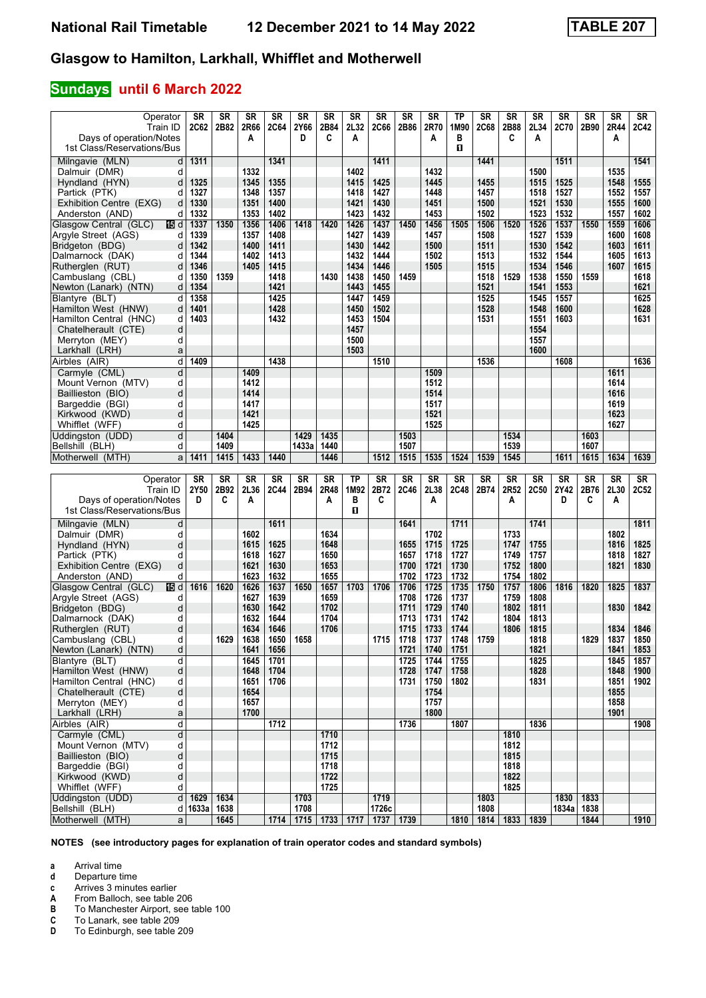### **Sundays until 6 March 2022**

| Operator<br>Train ID<br>Days of operation/Notes<br>1st Class/Reservations/Bus | <b>SR</b><br><b>2C62</b> | <b>SR</b><br>2B82 | <b>SR</b><br>2R66<br>A | <b>SR</b><br><b>2C64</b> | <b>SR</b><br>2Y66<br>D | <b>SR</b><br>2B84<br>C | <b>SR</b><br>2L32<br>A | <b>SR</b><br><b>2C66</b> | <b>SR</b><br>2B86 | <b>SR</b><br>2R70<br>Α | <b>TP</b><br>1M90<br>в<br>п | <b>SR</b><br><b>2C68</b> | <b>SR</b><br>2B88<br>C | <b>SR</b><br>2L34<br>A | <b>SR</b><br>2C70 | <b>SR</b><br>2B90 | <b>SR</b><br>2R44<br>A | SR<br>2C42   |
|-------------------------------------------------------------------------------|--------------------------|-------------------|------------------------|--------------------------|------------------------|------------------------|------------------------|--------------------------|-------------------|------------------------|-----------------------------|--------------------------|------------------------|------------------------|-------------------|-------------------|------------------------|--------------|
|                                                                               |                          |                   |                        |                          |                        |                        |                        |                          |                   |                        |                             |                          |                        |                        |                   |                   |                        |              |
| Milngavie (MLN)<br>d                                                          | 1311                     |                   | 1332                   | 1341                     |                        |                        | 1402                   | 1411                     |                   |                        |                             | 1441                     |                        | 1500                   | 1511              |                   | 1535                   | 1541         |
| Dalmuir (DMR)<br>d<br>Hyndland (HYN)<br>d                                     | 1325                     |                   | 1345                   | 1355                     |                        |                        | 1415                   | 1425                     |                   | 1432<br>1445           |                             | 1455                     |                        | 1515                   | 1525              |                   | 1548                   | 1555         |
| Partick (PTK)<br>d                                                            | 1327                     |                   | 1348                   | 1357                     |                        |                        | 1418                   | 1427                     |                   | 1448                   |                             | 1457                     |                        | 1518                   | 1527              |                   | 1552                   | 1557         |
| Exhibition Centre (EXG)<br>d                                                  | 1330                     |                   | 1351                   | 1400                     |                        |                        | 1421                   | 1430                     |                   | 1451                   |                             | 1500                     |                        | 1521                   | 1530              |                   | 1555                   | 1600         |
| Anderston (AND)<br>d                                                          | 1332                     |                   | 1353                   | 1402                     |                        |                        | 1423                   | 1432                     |                   | 1453                   |                             | 1502                     |                        | 1523                   | 1532              |                   | 1557                   | 1602         |
| Glasgow Central (GLC)<br>165 d                                                | 1337                     | 1350              | 1356                   | 1406                     | 1418                   | 1420                   | 1426                   | 1437                     | 1450              | 1456                   | 1505                        | 1506                     | 1520                   | 1526                   | 1537              | 1550              | 1559                   | 1606         |
| Argyle Street (AGS)<br>d                                                      | 1339                     |                   | 1357                   | 1408                     |                        |                        | 1427                   | 1439                     |                   | 1457                   |                             | 1508                     |                        | 1527                   | 1539              |                   | 1600                   | 1608         |
| Bridgeton (BDG)<br>d                                                          | 1342                     |                   | 1400                   | 1411                     |                        |                        | 1430                   | 1442                     |                   | 1500                   |                             | 1511                     |                        | 1530                   | 1542              |                   | 1603                   | 1611         |
| Dalmarnock (DAK)<br>d                                                         | 1344                     |                   | 1402                   | 1413                     |                        |                        | 1432                   | 1444                     |                   | 1502                   |                             | 1513                     |                        | 1532                   | 1544              |                   | 1605                   | 1613         |
| Rutherglen (RUT)<br>d                                                         | 1346                     |                   | 1405                   | 1415                     |                        |                        | 1434                   | 1446                     |                   | 1505                   |                             | 1515                     |                        | 1534                   | 1546              |                   | 1607                   | 1615         |
| Cambuslang (CBL)<br>d                                                         | 1350                     | 1359              |                        | 1418                     |                        | 1430                   | 1438                   | 1450                     | 1459              |                        |                             | 1518                     | 1529                   | 1538                   | 1550              | 1559              |                        | 1618         |
| d<br>Newton (Lanark) (NTN)                                                    | 1354                     |                   |                        | 1421                     |                        |                        | 1443                   | 1455                     |                   |                        |                             | 1521                     |                        | 1541                   | 1553              |                   |                        | 1621         |
| d<br>Blantyre (BLT)                                                           | 1358                     |                   |                        | 1425                     |                        |                        | 1447                   | 1459                     |                   |                        |                             | 1525                     |                        | 1545                   | 1557              |                   |                        | 1625         |
| d<br>Hamilton West (HNW)<br>Hamilton Central (HNC)<br>d                       | 1401<br>1403             |                   |                        | 1428<br>1432             |                        |                        | 1450<br>1453           | 1502<br>1504             |                   |                        |                             | 1528<br>1531             |                        | 1548<br>1551           | 1600<br>1603      |                   |                        | 1628<br>1631 |
| d<br>Chatelherault (CTE)                                                      |                          |                   |                        |                          |                        |                        | 1457                   |                          |                   |                        |                             |                          |                        | 1554                   |                   |                   |                        |              |
| Merryton (MEY)<br>d                                                           |                          |                   |                        |                          |                        |                        | 1500                   |                          |                   |                        |                             |                          |                        | 1557                   |                   |                   |                        |              |
| Larkhall (LRH)<br>a                                                           |                          |                   |                        |                          |                        |                        | 1503                   |                          |                   |                        |                             |                          |                        | 1600                   |                   |                   |                        |              |
| Airbles (AIR)<br>d                                                            | 1409                     |                   |                        | 1438                     |                        |                        |                        | 1510                     |                   |                        |                             | 1536                     |                        |                        | 1608              |                   |                        | 1636         |
| Carmyle (CML)<br>d                                                            |                          |                   | 1409                   |                          |                        |                        |                        |                          |                   | 1509                   |                             |                          |                        |                        |                   |                   | 1611                   |              |
| d<br>Mount Vernon (MTV)                                                       |                          |                   | 1412                   |                          |                        |                        |                        |                          |                   | 1512                   |                             |                          |                        |                        |                   |                   | 1614                   |              |
| d<br>Baillieston (BIO)                                                        |                          |                   | 1414                   |                          |                        |                        |                        |                          |                   | 1514                   |                             |                          |                        |                        |                   |                   | 1616                   |              |
| d<br>Bargeddie (BGI)                                                          |                          |                   | 1417                   |                          |                        |                        |                        |                          |                   | 1517                   |                             |                          |                        |                        |                   |                   | 1619                   |              |
| d<br>Kirkwood (KWD)                                                           |                          |                   | 1421                   |                          |                        |                        |                        |                          |                   | 1521                   |                             |                          |                        |                        |                   |                   | 1623                   |              |
| Whifflet (WFF)<br>d                                                           |                          |                   | 1425                   |                          |                        |                        |                        |                          |                   | 1525                   |                             |                          |                        |                        |                   |                   | 1627                   |              |
| d<br>Uddingston (UDD)                                                         |                          | 1404              |                        |                          | 1429                   | 1435                   |                        |                          | 1503              |                        |                             |                          | 1534                   |                        |                   | 1603              |                        |              |
| Bellshill (BLH)<br>d                                                          |                          | 1409              |                        |                          | 1433a                  | 1440                   |                        |                          | 1507              |                        |                             |                          | 1539                   |                        |                   | 1607              |                        |              |
| Motherwell (MTH)<br>a                                                         | 1411                     | 1415              | 1433                   | 1440                     |                        | 1446                   |                        | 1512                     | 1515              | 1535                   | 1524                        | 1539                     | 1545                   |                        | 1611              | 1615              | 1634                   | 1639         |
|                                                                               |                          |                   |                        |                          |                        |                        |                        |                          |                   |                        |                             |                          |                        |                        |                   |                   |                        |              |
|                                                                               |                          |                   |                        |                          |                        |                        |                        |                          |                   |                        |                             |                          |                        |                        |                   |                   |                        |              |
| Operator                                                                      | <b>SR</b>                | <b>SR</b>         | <b>SR</b>              | <b>SR</b>                | <b>SR</b>              | <b>SR</b>              | <b>TP</b>              | <b>SR</b>                | SR                | <b>SR</b>              | <b>SR</b>                   | <b>SR</b>                | <b>SR</b>              | SR                     | <b>SR</b>         | <b>SR</b>         | <b>SR</b>              | SR           |
| Train ID                                                                      | 2Y50<br>D                | 2B92<br>C         | 2L36                   | 2C44                     | 2B94                   | 2R48                   | 1M92                   | 2B72<br>C                | 2C46              | 2L38                   | <b>2C48</b>                 | 2B74                     | 2R52                   | 2C50                   | 2Y42<br>D         | 2B76<br>C         | 2L30                   | 2C52         |
| Days of operation/Notes<br>1st Class/Reservations/Bus                         |                          |                   | A                      |                          |                        | A                      | в<br>п                 |                          |                   | A                      |                             |                          | Α                      |                        |                   |                   | Α                      |              |
|                                                                               |                          |                   |                        |                          |                        |                        |                        |                          |                   |                        |                             |                          |                        |                        |                   |                   |                        |              |
| Milngavie (MLN)<br>d                                                          |                          |                   |                        | 1611                     |                        |                        |                        |                          | 1641              |                        | 1711                        |                          |                        | 1741                   |                   |                   |                        | 1811         |
| Dalmuir (DMR)<br>d<br>d                                                       |                          |                   | 1602<br>1615           | 1625                     |                        | 1634<br>1648           |                        |                          | 1655              | 1702<br>1715           | 1725                        |                          | 1733<br>1747           | 1755                   |                   |                   | 1802<br>1816           | 1825         |
| Hyndland (HYN)<br>Partick (PTK)<br>d                                          |                          |                   | 1618                   | 1627                     |                        | 1650                   |                        |                          | 1657              | 1718                   | 1727                        |                          | 1749                   | 1757                   |                   |                   | 1818                   | 1827         |
| d<br>Exhibition Centre (EXG)                                                  |                          |                   | 1621                   | 1630                     |                        | 1653                   |                        |                          | 1700              | 1721                   | 1730                        |                          | 1752                   | 1800                   |                   |                   | 1821                   | 1830         |
| Anderston (AND)<br>d                                                          |                          |                   | 1623                   | 1632                     |                        | 1655                   |                        |                          | 1702              | 1723                   | 1732                        |                          | 1754                   | 1802                   |                   |                   |                        |              |
| 16 d<br>Glasgow Central (GLC)                                                 | 1616                     | 1620              | 1626                   | 1637                     | 1650                   | 1657                   | 1703                   | 1706                     | 1706              | 1725                   | 1735                        | 1750                     | 1757                   | 1806                   | 1816              | 1820              | 1825                   | 1837         |
| Argyle Street (AGS)<br>d                                                      |                          |                   | 1627                   | 1639                     |                        | 1659                   |                        |                          | 1708              | 1726                   | 1737                        |                          | 1759                   | 1808                   |                   |                   |                        |              |
| Bridgeton (BDG)<br>d                                                          |                          |                   | 1630                   | 1642                     |                        | 1702                   |                        |                          | 1711              | 1729                   | 1740                        |                          | 1802                   | 1811                   |                   |                   | 1830                   | 1842         |
| Dalmarnock (DAK)<br>d                                                         |                          |                   | 1632                   | 1644                     |                        | 1704                   |                        |                          | 1713              | 1731                   | 1742                        |                          | 1804                   | 1813                   |                   |                   |                        |              |
| d<br>Rutherglen (RUT)                                                         |                          |                   | 1634                   | 1646                     |                        | 1706                   |                        |                          | 1715              | 1733                   | 1744                        |                          | 1806                   | 1815                   |                   |                   | 1834                   | 1846         |
| d<br>Cambuslang (CBL)                                                         |                          | 1629              | 1638                   | 1650                     | 1658                   |                        |                        | 1715                     | 1718              | 1737                   | 1748                        | 1759                     |                        | 1818                   |                   | 1829              | 1837                   | 1850         |
| d<br>Newton (Lanark) (NTN)                                                    |                          |                   | 1641                   | 1656                     |                        |                        |                        |                          | 1721              | 1740                   | 1751                        |                          |                        | 1821                   |                   |                   | 1841                   | 1853         |
| Blantyre (BLT)<br>d                                                           |                          |                   | 1645                   | 1701                     |                        |                        |                        |                          | 1725              | 1744                   | 1755                        |                          |                        | 1825                   |                   |                   | 1845                   | 1857         |
| Hamilton West (HNW)<br>þ<br>d<br>Hamilton Central (HNC)                       |                          |                   | 1648<br>1651           | 1704<br>1706             |                        |                        |                        |                          | 1728<br>1731      | 1747<br>1750           | 1758<br>1802                |                          |                        | 1828<br>1831           |                   |                   | 1848<br>1851           | 1900<br>1902 |
| d<br>Chatelherault (CTE)                                                      |                          |                   | 1654                   |                          |                        |                        |                        |                          |                   | 1754                   |                             |                          |                        |                        |                   |                   | 1855                   |              |
| d<br>Merryton (MEY)                                                           |                          |                   | 1657                   |                          |                        |                        |                        |                          |                   | 1757                   |                             |                          |                        |                        |                   |                   | 1858                   |              |
| Larkhall (LRH)<br>a                                                           |                          |                   | 1700                   |                          |                        |                        |                        |                          |                   | 1800                   |                             |                          |                        |                        |                   |                   | 1901                   |              |
| þ<br>Airbles (AIR)                                                            |                          |                   |                        | 1712                     |                        |                        |                        |                          | 1736              |                        | 1807                        |                          |                        | 1836                   |                   |                   |                        | 1908         |
| d<br>Carmyle (CML)                                                            |                          |                   |                        |                          |                        | 1710                   |                        |                          |                   |                        |                             |                          | 1810                   |                        |                   |                   |                        |              |
| d<br>Mount Vernon (MTV)                                                       |                          |                   |                        |                          |                        | 1712                   |                        |                          |                   |                        |                             |                          | 1812                   |                        |                   |                   |                        |              |
| d<br>Baillieston (BIO)                                                        |                          |                   |                        |                          |                        | 1715                   |                        |                          |                   |                        |                             |                          | 1815                   |                        |                   |                   |                        |              |
| Bargeddie (BGI)<br>d                                                          |                          |                   |                        |                          |                        | 1718                   |                        |                          |                   |                        |                             |                          | 1818                   |                        |                   |                   |                        |              |
| Kirkwood (KWD)<br>d<br>d                                                      |                          |                   |                        |                          |                        | 1722                   |                        |                          |                   |                        |                             |                          | 1822                   |                        |                   |                   |                        |              |
| Whifflet (WFF)                                                                | 1629                     | 1634              |                        |                          | 1703                   | 1725                   |                        | 1719                     |                   |                        |                             | 1803                     | 1825                   |                        | 1830              | 1833              |                        |              |
| Uddingston (UDD)<br>d<br>Bellshill (BLH)                                      | d 1633a                  | 1638              |                        |                          | 1708                   |                        |                        | 1726c                    |                   |                        |                             | 1808                     |                        |                        | 1834a             | 1838              |                        | 1910         |

**NOTES (see introductory pages for explanation of train operator codes and standard symbols)**

**a** Arrival time<br>**d** Departure time

**d** Departure time<br>**c** Arrives 3 minute

**c** Arrives 3 minutes earlier<br>**A** From Balloch, see table 2

**A** From Balloch, see table 206<br>**B** To Manchester Airport, see t<br>**C** To Lanark, see table 209 **B** To Manchester Airport, see table 100

**C** To Lanark, see table 209<br>**D** To Edinburgh, see table 2

**'** To Edinburgh, see table 20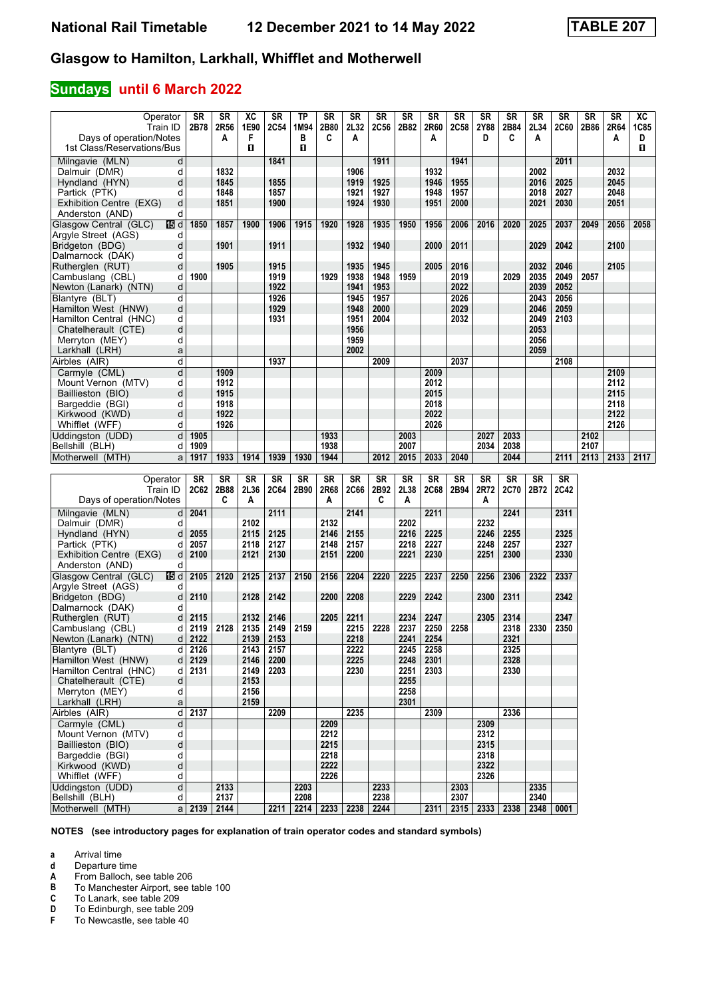### **Sundays until 6 March 2022**

| Operator                                           | SR            | <b>SR</b>    | XC           | <b>SR</b>   | <b>TP</b>                   | <b>SR</b> | <b>SR</b> | <b>SR</b>      | <b>SR</b>    | <b>SR</b> | <b>SR</b> | <b>SR</b>    | <b>SR</b>   | <b>SR</b>                        | <b>SR</b>   | <b>SR</b>    | <b>SR</b>    | XC          |
|----------------------------------------------------|---------------|--------------|--------------|-------------|-----------------------------|-----------|-----------|----------------|--------------|-----------|-----------|--------------|-------------|----------------------------------|-------------|--------------|--------------|-------------|
| Train ID                                           | 2B78          | 2R56         | 1E90         | <b>2C54</b> | 1M94                        | 2B80      | 2L32      | <b>2C56</b>    | 2B82         | 2R60      | 2C58      | 2Y88         | 2B84        | 2L34                             | <b>2C60</b> | 2B86         | 2R64         | <b>1C85</b> |
| Days of operation/Notes                            |               | A            | F            |             | в                           | C         | A         |                |              | A         |           | D            | C           | A                                |             |              | Α            | D           |
| 1st Class/Reservations/Bus                         |               |              | п            |             | O                           |           |           |                |              |           |           |              |             |                                  |             |              |              | п           |
| Milngavie (MLN)<br>d                               |               |              |              | 1841        |                             |           |           | 1911           |              |           | 1941      |              |             |                                  | 2011        |              |              |             |
| Dalmuir (DMR)<br>d                                 |               | 1832         |              |             |                             |           | 1906      |                |              | 1932      |           |              |             | 2002                             |             |              | 2032         |             |
| d<br>Hyndland (HYN)                                |               | 1845         |              | 1855        |                             |           | 1919      | 1925           |              | 1946      | 1955      |              |             | 2016                             | 2025        |              | 2045         |             |
| Partick (PTK)<br>d                                 |               | 1848         |              | 1857        |                             |           | 1921      | 1927           |              | 1948      | 1957      |              |             | 2018                             | 2027        |              | 2048         |             |
| d<br>Exhibition Centre (EXG)                       |               | 1851         |              | 1900        |                             |           | 1924      | 1930           |              | 1951      | 2000      |              |             | 2021                             | 2030        |              | 2051         |             |
| d<br>Anderston (AND)                               |               |              |              |             |                             |           |           |                |              |           |           |              |             |                                  |             |              |              |             |
| Glasgow Central (GLC)<br>16 d                      | 1850          | 1857         | 1900         | 1906        | 1915                        | 1920      | 1928      | 1935           | 1950         | 1956      | 2006      | 2016         | 2020        | 2025                             | 2037        | 2049         | 2056         | 2058        |
| Argyle Street (AGS)<br>d                           |               |              |              |             |                             |           |           |                |              |           |           |              |             |                                  |             |              |              |             |
| d<br>Bridgeton (BDG)                               |               | 1901         |              | 1911        |                             |           | 1932      | 1940           |              | 2000      | 2011      |              |             | 2029                             | 2042        |              | 2100         |             |
| d<br>Dalmarnock (DAK)                              |               |              |              |             |                             |           |           |                |              |           |           |              |             |                                  |             |              |              |             |
| d<br>Rutherglen (RUT)                              |               | 1905         |              | 1915        |                             |           | 1935      | 1945           |              | 2005      | 2016      |              |             | 2032                             | 2046        |              | 2105         |             |
| d<br>Cambuslang (CBL)                              | 1900          |              |              | 1919        |                             | 1929      | 1938      | 1948           | 1959         |           | 2019      |              | 2029        | 2035                             | 2049        | 2057         |              |             |
| d<br>Newton (Lanark) (NTN)                         |               |              |              | 1922        |                             |           | 1941      | 1953           |              |           | 2022      |              |             | 2039                             | 2052        |              |              |             |
| d<br>Blantyre (BLT)                                |               |              |              | 1926        |                             |           | 1945      | 1957           |              |           | 2026      |              |             | 2043                             | 2056        |              |              |             |
| d<br>Hamilton West (HNW)                           |               |              |              | 1929        |                             |           | 1948      | 2000           |              |           | 2029      |              |             | 2046                             | 2059        |              |              |             |
| d<br>Hamilton Central (HNC)                        |               |              |              | 1931        |                             |           | 1951      | 2004           |              |           | 2032      |              |             | 2049                             | 2103        |              |              |             |
| d<br>Chatelherault (CTE)                           |               |              |              |             |                             |           | 1956      |                |              |           |           |              |             | 2053                             |             |              |              |             |
| d<br>Merryton (MEY)                                |               |              |              |             |                             |           | 1959      |                |              |           |           |              |             | 2056                             |             |              |              |             |
| Larkhall (LRH)<br>a                                |               |              |              |             |                             |           | 2002      |                |              |           |           |              |             | 2059                             |             |              |              |             |
| d<br>Airbles (AIR)                                 |               |              |              | 1937        |                             |           |           | 2009           |              |           | 2037      |              |             |                                  | 2108        |              |              |             |
| d<br>Carmyle (CML)                                 |               | 1909         |              |             |                             |           |           |                |              | 2009      |           |              |             |                                  |             |              | 2109         |             |
| d<br>Mount Vernon (MTV)                            |               | 1912         |              |             |                             |           |           |                |              | 2012      |           |              |             |                                  |             |              | 2112         |             |
| d<br>Baillieston (BIO)                             |               | 1915         |              |             |                             |           |           |                |              | 2015      |           |              |             |                                  |             |              | 2115         |             |
| d<br>Bargeddie (BGI)                               |               | 1918         |              |             |                             |           |           |                |              | 2018      |           |              |             |                                  |             |              | 2118         |             |
| d<br>Kirkwood (KWD)                                |               | 1922<br>1926 |              |             |                             |           |           |                |              | 2022      |           |              |             |                                  |             |              | 2122<br>2126 |             |
| d<br>Whifflet (WFF)<br>Uddingston (UDD)            |               |              |              |             |                             | 1933      |           |                |              | 2026      |           |              | 2033        |                                  |             |              |              |             |
| d                                                  | 1905          |              |              |             |                             | 1938      |           |                | 2003<br>2007 |           |           | 2027<br>2034 | 2038        |                                  |             | 2102<br>2107 |              |             |
| Bellshill (BLH)<br>d<br>Motherwell (MTH)<br>a      | 1909<br>1917  | 1933         | 1914         | 1939        | 1930                        | 1944      |           | 2012           | 2015         | 2033      | 2040      |              | 2044        |                                  | 2111        | 2113         | 2133         | 2117        |
|                                                    |               |              |              |             |                             |           |           |                |              |           |           |              |             |                                  |             |              |              |             |
| Operator                                           | <b>SR</b>     | <b>SR</b>    | <b>SR</b>    | SR          | $S_{R}$                     | SR        | <b>SR</b> | S <sub>R</sub> | <b>SR</b>    | <b>SR</b> | <b>SR</b> | SR           | <b>SR</b>   | <b>SR</b>                        | <b>SR</b>   |              |              |             |
| Train ID                                           | 2C62          | 2B88         | 2L36         | 2C64        | 2B90                        | 2R68      | 2C66      | 2B92           | 2L38         | 2C68      | 2B94      | 2R72         | <b>2C70</b> | 2B72                             | <b>2C42</b> |              |              |             |
| Days of operation/Notes                            |               | C            | A            |             |                             | A         |           | C              | A            |           |           | A            |             |                                  |             |              |              |             |
|                                                    |               |              |              | 2111        |                             |           |           |                |              |           |           |              |             |                                  |             |              |              |             |
| Milngavie (MLN)<br>d<br>d                          | 2041          |              | 2102         |             |                             | 2132      | 2141      |                | 2202         | 2211      |           | 2232         | 2241        |                                  | 2311        |              |              |             |
| Dalmuir (DMR)<br>d                                 | 2055          |              | 2115         | 2125        |                             | 2146      | 2155      |                | 2216         | 2225      |           | 2246         | 2255        |                                  | 2325        |              |              |             |
| Hyndland (HYN)<br>Partick (PTK)<br>d               | 2057          |              | 2118         | 2127        |                             | 2148      | 2157      |                | 2218         | 2227      |           | 2248         | 2257        |                                  | 2327        |              |              |             |
| d<br>Exhibition Centre (EXG)                       | 2100          |              | 2121         | 2130        |                             | 2151      | 2200      |                | 2221         | 2230      |           | 2251         | 2300        |                                  | 2330        |              |              |             |
| Anderston (AND)<br>d                               |               |              |              |             |                             |           |           |                |              |           |           |              |             |                                  |             |              |              |             |
| Glasgow Central (GLC)<br>16 d                      | 2105          | 2120         | 2125         | 2137        | 2150                        | 2156      | 2204      | 2220           | 2225         | 2237      | 2250      | 2256         | 2306        | 2322                             | 2337        |              |              |             |
| Argyle Street (AGS)<br>d                           |               |              |              |             |                             |           |           |                |              |           |           |              |             |                                  |             |              |              |             |
| Bridgeton (BDG)<br>d                               | 2110          |              | 2128         | 2142        |                             | 2200      | 2208      |                | 2229         | 2242      |           | 2300         | 2311        |                                  | 2342        |              |              |             |
| Dalmarnock (DAK)<br>d                              |               |              |              |             |                             |           |           |                |              |           |           |              |             |                                  |             |              |              |             |
| Rutherglen (RUT)<br>d                              | 2115          |              | 2132         | 2146        |                             | 2205      | 2211      |                | 2234         | 2247      |           | 2305         | 2314        |                                  | 2347        |              |              |             |
| Cambuslang (CBL)<br>d                              |               |              |              |             |                             |           | 2215      | 2228           | 2237         | 2250      | 2258      |              | 2318        | 2330                             | 2350        |              |              |             |
|                                                    |               |              |              |             |                             |           |           |                |              |           |           |              |             |                                  |             |              |              |             |
|                                                    | 2119          | 2128         | 2135         | 2149        | 2159                        |           |           |                |              |           |           |              | 2321        |                                  |             |              |              |             |
| Newton (Lanark) (NTN)<br>d<br>d                    | 2122          |              | 2139         | 2153        |                             |           | 2218      |                | 2241         | 2254      |           |              |             |                                  |             |              |              |             |
| Blantyre (BLT)                                     | 2126          |              | 2143         | 2157        |                             |           | 2222      |                | 2245         | 2258      |           |              | 2325        |                                  |             |              |              |             |
| Hamilton West (HNW)<br>d<br>d                      | 2129          |              | 2146         | 2200        |                             |           | 2225      |                | 2248         | 2301      |           |              | 2328        |                                  |             |              |              |             |
| Hamilton Central (HNC)<br>Chatelherault (CTE)<br>d | 2131          |              | 2149<br>2153 | 2203        |                             |           | 2230      |                | 2251<br>2255 | 2303      |           |              | 2330        |                                  |             |              |              |             |
| d                                                  |               |              | 2156         |             |                             |           |           |                | 2258         |           |           |              |             |                                  |             |              |              |             |
| Merryton (MEY)<br>Larkhall (LRH)<br>a              |               |              | 2159         |             |                             |           |           |                | 2301         |           |           |              |             |                                  |             |              |              |             |
| Airbles (AIR)<br>$\mathsf{d}$                      | 2137          |              |              | 2209        |                             |           | 2235      |                |              | 2309      |           |              | 2336        |                                  |             |              |              |             |
| Carmyle (CML)<br>d                                 |               |              |              |             |                             | 2209      |           |                |              |           |           | 2309         |             |                                  |             |              |              |             |
| Mount Vernon (MTV)<br>d                            |               |              |              |             |                             | 2212      |           |                |              |           |           | 2312         |             |                                  |             |              |              |             |
| d<br>Baillieston (BIO)                             |               |              |              |             |                             | 2215      |           |                |              |           |           | 2315         |             |                                  |             |              |              |             |
| d<br>Bargeddie (BGI)                               |               |              |              |             |                             | 2218      |           |                |              |           |           | 2318         |             |                                  |             |              |              |             |
| d<br>Kirkwood (KWD)                                |               |              |              |             |                             | 2222      |           |                |              |           |           | 2322         |             |                                  |             |              |              |             |
| Whifflet (WFF)<br>d                                |               |              |              |             |                             | 2226      |           |                |              |           |           | 2326         |             |                                  |             |              |              |             |
| $\overline{d}$<br>Uddingston (UDD)                 |               | 2133         |              |             | 2203                        |           |           | 2233           |              |           | 2303      |              |             | 2335                             |             |              |              |             |
| Bellshill (BLH)<br>d<br>Motherwell (MTH)           | $a$ 2139 2144 | 2137         |              |             | 2208<br>2211 2214 2233 2238 |           |           | 2238<br>2244   |              |           | 2307      |              |             | 2340<br>2315 2333 2338 2348 0001 |             |              |              |             |

**NOTES (see introductory pages for explanation of train operator codes and standard symbols)**

**a** Arrival time<br>**d** Departure t

**d** Departure time<br>**A** From Balloch, s

**A** From Balloch, see table 206<br>**B** To Manchester Airport, see ta

**B** To Manchester Airport, see table 100<br>**C** To Lanark, see table 209

**C** To Lanark, see table 209<br>**D** To Edinburgh, see table 2<br>**F** To Newcastle, see table 4 **'** To Edinburgh, see table 20

To Newcastle, see table 40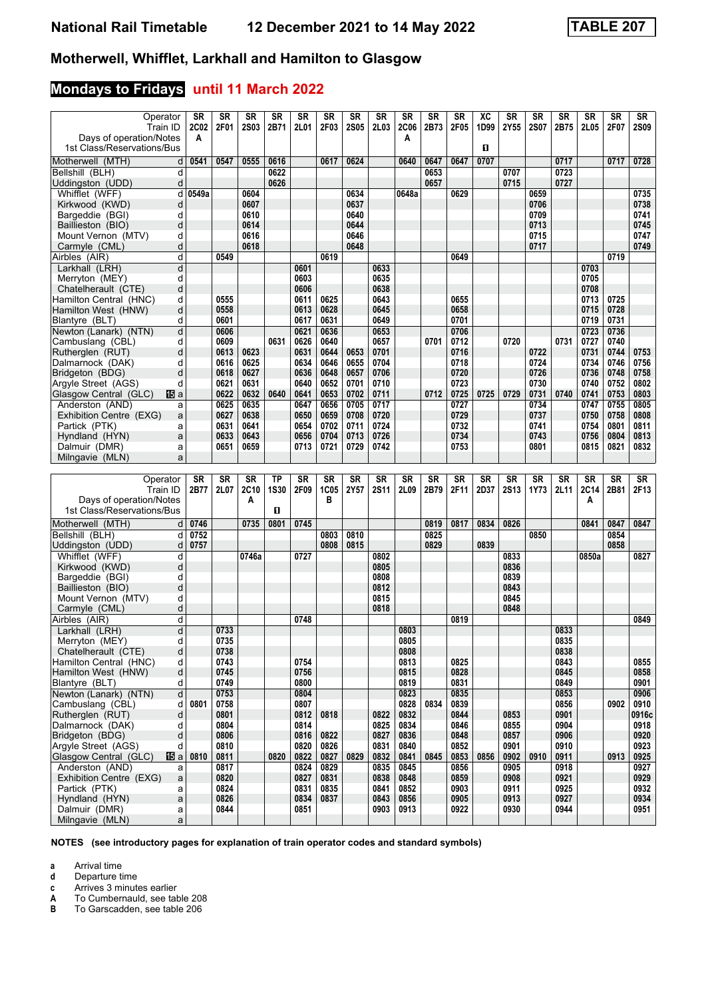## **Mondays to Fridays until 11 March 2022**

| Operator                                                | SR               | <b>SR</b>    | <b>SR</b>    | SR          | <b>SR</b>    | <b>SR</b>    | <b>SR</b>    | SR           | <b>SR</b>        | <b>SR</b>    | <b>SR</b>    | XC        | SR           | <b>SR</b>    | <b>SR</b>    | <b>SR</b>    | <b>SR</b>    | <b>SR</b>    |
|---------------------------------------------------------|------------------|--------------|--------------|-------------|--------------|--------------|--------------|--------------|------------------|--------------|--------------|-----------|--------------|--------------|--------------|--------------|--------------|--------------|
| Train ID<br>Days of operation/Notes                     | <b>2C02</b><br>A | 2F01         | <b>2S03</b>  | 2B71        | 2L01         | 2F03         | <b>2S05</b>  | 2L03         | <b>2C06</b><br>A | 2B73         | 2F05         | 1D99      | 2Y55         | <b>2S07</b>  | 2B75         | 2L05         | 2F07         | <b>2S09</b>  |
| 1st Class/Reservations/Bus                              |                  |              |              |             |              |              |              |              |                  |              |              | п         |              |              |              |              |              |              |
| Motherwell (MTH)<br>d                                   | 0541             | 0547         | 0555         | 0616        |              | 0617         | 0624         |              | 0640             | 0647         | 0647         | 0707      |              |              | 0717         |              | 0717         | 0728         |
| Bellshill (BLH)<br>d                                    |                  |              |              | 0622        |              |              |              |              |                  | 0653         |              |           | 0707         |              | 0723         |              |              |              |
| d<br>Uddingston (UDD)                                   |                  |              |              | 0626        |              |              |              |              |                  | 0657         |              |           | 0715         |              | 0727         |              |              |              |
| Whifflet (WFF)<br>d                                     | 0549a            |              | 0604         |             |              |              | 0634         |              | 0648a            |              | 0629         |           |              | 0659         |              |              |              | 0735         |
| Kirkwood (KWD)<br>d<br>Bargeddie (BGI)<br>d             |                  |              | 0607<br>0610 |             |              |              | 0637<br>0640 |              |                  |              |              |           |              | 0706<br>0709 |              |              |              | 0738<br>0741 |
| Baillieston (BIO)<br>d                                  |                  |              | 0614         |             |              |              | 0644         |              |                  |              |              |           |              | 0713         |              |              |              | 0745         |
| Mount Vernon (MTV)<br>d                                 |                  |              | 0616         |             |              |              | 0646         |              |                  |              |              |           |              | 0715         |              |              |              | 0747         |
| Carmyle (CML)<br>d                                      |                  |              | 0618         |             |              |              | 0648         |              |                  |              |              |           |              | 0717         |              |              |              | 0749         |
| d<br>Airbles (AIR)                                      |                  | 0549         |              |             |              | 0619         |              |              |                  |              | 0649         |           |              |              |              |              | 0719         |              |
| d<br>Larkhall (LRH)                                     |                  |              |              |             | 0601         |              |              | 0633         |                  |              |              |           |              |              |              | 0703         |              |              |
| Merryton (MEY)<br>d<br>Chatelherault (CTE)<br>d         |                  |              |              |             | 0603<br>0606 |              |              | 0635<br>0638 |                  |              |              |           |              |              |              | 0705<br>0708 |              |              |
| Hamilton Central (HNC)<br>d                             |                  | 0555         |              |             | 0611         | 0625         |              | 0643         |                  |              | 0655         |           |              |              |              | 0713         | 0725         |              |
| Hamilton West (HNW)<br>d                                |                  | 0558         |              |             | 0613         | 0628         |              | 0645         |                  |              | 0658         |           |              |              |              | 0715         | 0728         |              |
| Blantyre (BLT)<br>d                                     |                  | 0601         |              |             | 0617         | 0631         |              | 0649         |                  |              | 0701         |           |              |              |              | 0719         | 0731         |              |
| Newton (Lanark) (NTN)<br>d                              |                  | 0606         |              |             | 0621         | 0636         |              | 0653         |                  |              | 0706         |           |              |              |              | 0723         | 0736         |              |
| Cambuslang (CBL)<br>d<br>Rutheralen (RUT)               |                  | 0609<br>0613 | 0623         | 0631        | 0626         | 0640<br>0644 | 0653         | 0657<br>0701 |                  | 0701         | 0712<br>0716 |           | 0720         | 0722         | 0731         | 0727<br>0731 | 0740<br>0744 | 0753         |
| d<br>Dalmarnock (DAK)<br>d                              |                  | 0616         | 0625         |             | 0631<br>0634 | 0646         | 0655         | 0704         |                  |              | 0718         |           |              | 0724         |              | 0734         | 0746         | 0756         |
| Bridgeton (BDG)<br>d                                    |                  | 0618         | 0627         |             | 0636         | 0648         | 0657         | 0706         |                  |              | 0720         |           |              | 0726         |              | 0736         | 0748         | 0758         |
| Argyle Street (AGS)<br>d                                |                  | 0621         | 0631         |             | 0640         | 0652         | 0701         | 0710         |                  |              | 0723         |           |              | 0730         |              | 0740         | 0752         | 0802         |
| Glasgow Central (GLC)<br>阳a                             |                  | 0622         | 0632         | 0640        | 0641         | 0653         | 0702         | 0711         |                  | 0712         | 0725         | 0725      | 0729         | 0731         | 0740         | 0741         | 0753         | 0803         |
| Anderston (AND)<br>a                                    |                  | 0625         | 0635         |             | 0647         | 0656         | 0705         | 0717         |                  |              | 0727         |           |              | 0734         |              | 0747         | 0755         | 0805         |
| Exhibition Centre (EXG)<br>a<br>Partick (PTK)           |                  | 0627<br>0631 | 0638<br>0641 |             | 0650<br>0654 | 0659<br>0702 | 0708<br>0711 | 0720<br>0724 |                  |              | 0729<br>0732 |           |              | 0737<br>0741 |              | 0750<br>0754 | 0758<br>0801 | 0808<br>0811 |
| a<br>Hyndland (HYN)<br>a                                |                  | 0633         | 0643         |             | 0656         | 0704         | 0713         | 0726         |                  |              | 0734         |           |              | 0743         |              | 0756         | 0804         | 0813         |
| Dalmuir (DMR)<br>a                                      |                  | 0651         | 0659         |             | 0713         | 0721         | 0729         | 0742         |                  |              | 0753         |           |              | 0801         |              | 0815         | 0821         | 0832         |
| Milngavie (MLN)<br>a                                    |                  |              |              |             |              |              |              |              |                  |              |              |           |              |              |              |              |              |              |
|                                                         |                  |              |              |             |              |              |              |              |                  |              |              |           |              |              |              |              |              |              |
|                                                         |                  |              |              |             |              |              |              |              |                  |              |              |           |              |              |              |              |              |              |
| Operator                                                | SR               | <b>SR</b>    | <b>SR</b>    | ТP          | <b>SR</b>    | <b>SR</b>    | <b>SR</b>    | <b>SR</b>    | <b>SR</b>        | <b>SR</b>    | <b>SR</b>    | <b>SR</b> | <b>SR</b>    | <b>SR</b>    | <b>SR</b>    | <b>SR</b>    | <b>SR</b>    | <b>SR</b>    |
| Train ID                                                | 2B77             | 2L07         | 2C10         | <b>1S30</b> | 2F09         | 1C05         | 2Y57         | <b>2S11</b>  | 2L09             | 2B79         | 2F11         | 2D37      | <b>2S13</b>  | 1Y73         | 2L11         | <b>2C14</b>  | 2B81         | 2F13         |
| Days of operation/Notes<br>1st Class/Reservations/Bus   |                  |              | Α            | O           |              | в            |              |              |                  |              |              |           |              |              |              | A            |              |              |
|                                                         |                  |              |              |             |              |              |              |              |                  |              |              |           |              |              |              |              |              |              |
| Motherwell (MTH)<br>d<br>d<br>Bellshill (BLH)           | 0746<br>0752     |              | 0735         | 0801        | 0745         | 0803         | 0810         |              |                  | 0819<br>0825 | 0817         | 0834      | 0826         | 0850         |              | 0841         | 0847<br>0854 | 0847         |
| Uddingston (UDD)<br>d                                   | 0757             |              |              |             |              | 0808         | 0815         |              |                  | 0829         |              | 0839      |              |              |              |              | 0858         |              |
| Whifflet (WFF)<br>d                                     |                  |              | 0746a        |             | 0727         |              |              | 0802         |                  |              |              |           | 0833         |              |              | 0850a        |              | 0827         |
| d<br>Kirkwood (KWD)                                     |                  |              |              |             |              |              |              | 0805         |                  |              |              |           | 0836         |              |              |              |              |              |
| d<br>Bargeddie (BGI)                                    |                  |              |              |             |              |              |              | 0808         |                  |              |              |           | 0839         |              |              |              |              |              |
| d<br>Baillieston (BIO)<br>d                             |                  |              |              |             |              |              |              | 0812         |                  |              |              |           | 0843<br>0845 |              |              |              |              |              |
| Mount Vernon (MTV)<br>d<br>Carmyle (CML)                |                  |              |              |             |              |              |              | 0815<br>0818 |                  |              |              |           | 0848         |              |              |              |              |              |
| Airbles (AIR)<br>d                                      |                  |              |              |             | 0748         |              |              |              |                  |              | 0819         |           |              |              |              |              |              | 0849         |
| d<br>Larkhall (LRH)                                     |                  | 0733         |              |             |              |              |              |              | 0803             |              |              |           |              |              | 0833         |              |              |              |
| Merryton (MEY)<br>d                                     |                  | 0735         |              |             |              |              |              |              | 0805             |              |              |           |              |              | 0835         |              |              |              |
| Chatelherault (CTE)<br>d                                |                  | 0738         |              |             |              |              |              |              | 0808             |              |              |           |              |              | 0838         |              |              |              |
| Hamilton Central (HNC)<br>d<br>d<br>Hamilton West (HNW) |                  | 0743<br>0745 |              |             | 0754<br>0756 |              |              |              | 0813<br>0815     |              | 0825<br>0828 |           |              |              | 0843<br>0845 |              |              | 0855<br>0858 |
| Blantyre (BLT)<br>d                                     |                  | 0749         |              |             | 0800         |              |              |              | 0819             |              | 0831         |           |              |              | 0849         |              |              | 0901         |
| Newton (Lanark) (NTN)<br>$\overline{\mathsf{d}}$        |                  | 0753         |              |             | 0804         |              |              |              | 0823             |              | 0835         |           |              |              | 0853         |              |              | 0906         |
| Cambuslang (CBL)<br>d                                   | 0801             | 0758         |              |             | 0807         |              |              |              | 0828             | 0834         | 0839         |           |              |              | 0856         |              | 0902         | 0910         |
| Rutherglen (RUT)<br>d                                   |                  | 0801         |              |             | 0812         | 0818         |              | 0822         | 0832             |              | 0844         |           | 0853         |              | 0901         |              |              | 0916c        |
| Dalmarnock (DAK)<br>d<br>d                              |                  | 0804<br>0806 |              |             | 0814         | 0822         |              | 0825         | 0834             |              | 0846<br>0848 |           | 0855<br>0857 |              | 0904<br>0906 |              |              | 0918         |
| Bridgeton (BDG)<br>Argyle Street (AGS)<br>d             |                  | 0810         |              |             | 0816<br>0820 | 0826         |              | 0827<br>0831 | 0836<br>0840     |              | 0852         |           | 0901         |              | 0910         |              |              | 0920<br>0923 |
| Glasgow Central (GLC)<br>15日 al                         | 0810             | 0811         |              | 0820        | 0822         | 0827         | 0829         | 0832         | 0841             | 0845         | 0853         | 0856      | 0902         | 0910         | 0911         |              | 0913         | 0925         |
| Anderston (AND)<br>a                                    |                  | 0817         |              |             | 0824         | 0829         |              | 0835         | 0845             |              | 0856         |           | 0905         |              | 0918         |              |              | 0927         |
| Exhibition Centre (EXG)<br>$\mathsf{a}$                 |                  | 0820         |              |             | 0827         | 0831         |              | 0838         | 0848             |              | 0859         |           | 0908         |              | 0921         |              |              | 0929         |
| Partick (PTK)<br>a                                      |                  | 0824         |              |             | 0831         | 0835         |              | 0841         | 0852             |              | 0903         |           | 0911         |              | 0925         |              |              | 0932         |
| Hyndland (HYN)<br>a<br>Dalmuir (DMR)<br>a               |                  | 0826<br>0844 |              |             | 0834<br>0851 | 0837         |              | 0843<br>0903 | 0856<br>0913     |              | 0905<br>0922 |           | 0913<br>0930 |              | 0927<br>0944 |              |              | 0934<br>0951 |

**NOTES (see introductory pages for explanation of train operator codes and standard symbols)**

**a** Arrival time<br>**d** Departure time

**d** Departure time<br>**c** Arrives 3 minute

**c** Arrives 3 minutes earlier<br>**A** To Cumbernauld, see tab **A** To Cumbernauld, see table 208<br>**B** To Garscadden, see table 206

To Garscadden, see table 206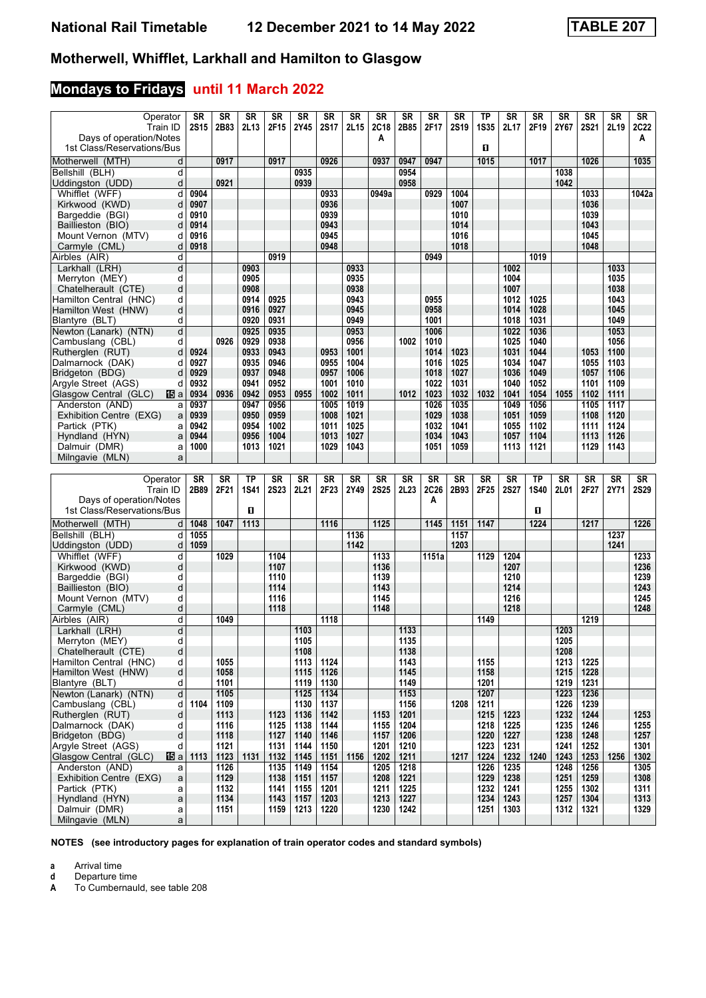## **Mondays to Fridays until 11 March 2022**

| Operator<br>Train ID                                        | <b>SR</b><br><b>2S15</b> | <b>SR</b><br>2B83 | <b>SR</b><br>2L13 | SR<br>2F15   | <b>SR</b><br>2Y45 | <b>SR</b><br><b>2S17</b> | <b>SR</b><br>2L15 | <b>SR</b><br><b>2C18</b> | SR<br>2B85   | <b>SR</b><br>2F17 | <b>SR</b><br><b>2S19</b> | <b>TP</b><br><b>1S35</b> | SR<br>2L17   | <b>SR</b><br>2F19 | <b>SR</b><br>2Y67 | <b>SR</b><br><b>2S21</b> | <b>SR</b><br>2L19 | $\overline{\text{S}}\text{R}$<br><b>2C22</b> |
|-------------------------------------------------------------|--------------------------|-------------------|-------------------|--------------|-------------------|--------------------------|-------------------|--------------------------|--------------|-------------------|--------------------------|--------------------------|--------------|-------------------|-------------------|--------------------------|-------------------|----------------------------------------------|
| Days of operation/Notes<br>1st Class/Reservations/Bus       |                          |                   |                   |              |                   |                          |                   | A                        |              |                   |                          | O                        |              |                   |                   |                          |                   | Α                                            |
| Motherwell (MTH)<br>d                                       |                          | 0917              |                   | 0917         |                   | 0926                     |                   | 0937                     | 0947         | 0947              |                          | 1015                     |              | 1017              |                   | 1026                     |                   | 1035                                         |
| d<br>Bellshill (BLH)                                        |                          |                   |                   |              | 0935              |                          |                   |                          | 0954         |                   |                          |                          |              |                   | 1038              |                          |                   |                                              |
| d<br>Uddingston (UDD)                                       |                          | 0921              |                   |              | 0939              |                          |                   |                          | 0958         |                   |                          |                          |              |                   | 1042              |                          |                   |                                              |
| d<br>Whifflet (WFF)                                         | 0904                     |                   |                   |              |                   | 0933                     |                   | 0949a                    |              | 0929              | 1004                     |                          |              |                   |                   | 1033                     |                   | 1042a                                        |
| d<br>Kirkwood (KWD)                                         | 0907                     |                   |                   |              |                   | 0936                     |                   |                          |              |                   | 1007                     |                          |              |                   |                   | 1036                     |                   |                                              |
| Bargeddie (BGI)<br>d                                        | 0910                     |                   |                   |              |                   | 0939                     |                   |                          |              |                   | 1010                     |                          |              |                   |                   | 1039                     |                   |                                              |
| Baillieston (BIO)<br>d                                      | 0914                     |                   |                   |              |                   | 0943                     |                   |                          |              |                   | 1014                     |                          |              |                   |                   | 1043                     |                   |                                              |
| Mount Vernon (MTV)<br>d                                     | 0916                     |                   |                   |              |                   | 0945                     |                   |                          |              |                   | 1016                     |                          |              |                   |                   | 1045                     |                   |                                              |
| Carmyle (CML)<br>d<br>d                                     | 0918                     |                   |                   | 0919         |                   | 0948                     |                   |                          |              | 0949              | 1018                     |                          |              | 1019              |                   | 1048                     |                   |                                              |
| Airbles (AIR)<br>d<br>Larkhall (LRH)                        |                          |                   | 0903              |              |                   |                          | 0933              |                          |              |                   |                          |                          | 1002         |                   |                   |                          | 1033              |                                              |
| Merryton (MEY)<br>d                                         |                          |                   | 0905              |              |                   |                          | 0935              |                          |              |                   |                          |                          | 1004         |                   |                   |                          | 1035              |                                              |
| d<br>Chatelherault (CTE)                                    |                          |                   | 0908              |              |                   |                          | 0938              |                          |              |                   |                          |                          | 1007         |                   |                   |                          | 1038              |                                              |
| Hamilton Central (HNC)<br>d                                 |                          |                   | 0914              | 0925         |                   |                          | 0943              |                          |              | 0955              |                          |                          | 1012         | 1025              |                   |                          | 1043              |                                              |
| Hamilton West (HNW)<br>d                                    |                          |                   | 0916              | 0927         |                   |                          | 0945              |                          |              | 0958              |                          |                          | 1014         | 1028              |                   |                          | 1045              |                                              |
| Blantyre (BLT)<br>d                                         |                          |                   | 0920              | 0931         |                   |                          | 0949              |                          |              | 1001              |                          |                          | 1018         | 1031              |                   |                          | 1049              |                                              |
| d<br>Newton (Lanark) (NTN)                                  |                          |                   | 0925              | 0935         |                   |                          | 0953              |                          |              | 1006              |                          |                          | 1022         | 1036              |                   |                          | 1053              |                                              |
| Cambuslang (CBL)<br>d                                       |                          | 0926              | 0929              | 0938         |                   |                          | 0956              |                          | 1002         | 1010              |                          |                          | 1025         | 1040              |                   |                          | 1056              |                                              |
| Rutherglen (RUT)<br>d                                       | 0924                     |                   | 0933              | 0943         |                   | 0953                     | 1001              |                          |              | 1014              | 1023                     |                          | 1031         | 1044              |                   | 1053                     | 1100              |                                              |
| Dalmarnock (DAK)<br>d                                       | 0927                     |                   | 0935<br>0937      | 0946<br>0948 |                   | 0955                     | 1004<br>1006      |                          |              | 1016              | 1025<br>1027             |                          | 1034<br>1036 | 1047<br>1049      |                   | 1055<br>1057             | 1103<br>1106      |                                              |
| Bridgeton (BDG)<br>d<br>Argyle Street (AGS)<br>d            | 0929<br>0932             |                   | 0941              | 0952         |                   | 0957<br>1001             | 1010              |                          |              | 1018<br>1022      | 1031                     |                          | 1040         | 1052              |                   | 1101                     | 1109              |                                              |
| Glasgow Central (GLC)<br>阳a                                 | 0934                     | 0936              | 0942              | 0953         | 0955              | 1002                     | 1011              |                          | 1012         | 1023              | 1032                     | 1032                     | 1041         | 1054              | 1055              | 1102                     | 1111              |                                              |
| Anderston (AND)<br>a                                        | 0937                     |                   | 0947              | 0956         |                   | 1005                     | 1019              |                          |              | 1026              | 1035                     |                          | 1049         | 1056              |                   | 1105                     | 1117              |                                              |
| Exhibition Centre (EXG)<br>a                                | 0939                     |                   | 0950              | 0959         |                   | 1008                     | 1021              |                          |              | 1029              | 1038                     |                          | 1051         | 1059              |                   | 1108                     | 1120              |                                              |
| Partick (PTK)<br>a                                          | 0942                     |                   | 0954              | 1002         |                   | 1011                     | 1025              |                          |              | 1032              | 1041                     |                          | 1055         | 1102              |                   | 1111                     | 1124              |                                              |
| Hyndland (HYN)<br>a                                         | 0944                     |                   | 0956              | 1004         |                   | 1013                     | 1027              |                          |              | 1034              | 1043                     |                          | 1057         | 1104              |                   | 1113                     | 1126              |                                              |
| Dalmuir (DMR)<br>a                                          | 1000                     |                   | 1013              | 1021         |                   | 1029                     | 1043              |                          |              | 1051              | 1059                     |                          | 1113         | 1121              |                   | 1129                     | 1143              |                                              |
| Milngavie (MLN)<br>a                                        |                          |                   |                   |              |                   |                          |                   |                          |              |                   |                          |                          |              |                   |                   |                          |                   |                                              |
|                                                             |                          |                   |                   |              |                   |                          |                   |                          |              |                   |                          |                          |              |                   |                   |                          |                   |                                              |
|                                                             |                          |                   |                   |              |                   |                          |                   |                          |              |                   |                          |                          |              |                   |                   |                          |                   |                                              |
| Operator                                                    | <b>SR</b>                | <b>SR</b>         | <b>TP</b>         | <b>SR</b>    | <b>SR</b>         | <b>SR</b>                | <b>SR</b>         | <b>SR</b>                | <b>SR</b>    | <b>SR</b>         | <b>SR</b>                | <b>SR</b>                | <b>SR</b>    | TP                | <b>SR</b>         | <b>SR</b>                | <b>SR</b>         | $S_{R}$                                      |
| Train ID                                                    | 2B89                     | 2F21              | <b>1S41</b>       | <b>2S23</b>  | 2L21              | 2F23                     | 2Y49              | <b>2S25</b>              | 2L23         | 2C26              | 2B93                     | 2F25                     | <b>2S27</b>  | 1S40              | 2L01              | 2F27                     | 2Y71              | <b>2S29</b>                                  |
| Days of operation/Notes                                     |                          |                   | п                 |              |                   |                          |                   |                          |              | A                 |                          |                          |              | п                 |                   |                          |                   |                                              |
| 1st Class/Reservations/Bus                                  |                          |                   |                   |              |                   |                          |                   |                          |              |                   |                          |                          |              |                   |                   |                          |                   |                                              |
| Motherwell (MTH)<br>d                                       | 1048                     | 1047              | 1113              |              |                   | 1116                     |                   | 1125                     |              | 1145              | 1151                     | 1147                     |              | 1224              |                   | 1217                     |                   | 1226                                         |
| d<br>Bellshill (BLH)                                        | 1055                     |                   |                   |              |                   |                          | 1136              |                          |              |                   | 1157                     |                          |              |                   |                   |                          | 1237              |                                              |
| d<br>Uddingston (UDD)<br>Whifflet (WFF)<br>d                | 1059                     | 1029              |                   | 1104         |                   |                          | 1142              | 1133                     |              | 1151a             | 1203                     | 1129                     | 1204         |                   |                   |                          | 1241              | 1233                                         |
| d<br>Kirkwood (KWD)                                         |                          |                   |                   | 1107         |                   |                          |                   | 1136                     |              |                   |                          |                          | 1207         |                   |                   |                          |                   | 1236                                         |
| d<br>Bargeddie (BGI)                                        |                          |                   |                   | 1110         |                   |                          |                   | 1139                     |              |                   |                          |                          | 1210         |                   |                   |                          |                   | 1239                                         |
| d<br>Baillieston (BIO)                                      |                          |                   |                   | 1114         |                   |                          |                   | 1143                     |              |                   |                          |                          | 1214         |                   |                   |                          |                   | 1243                                         |
| Mount Vernon (MTV)<br>d                                     |                          |                   |                   | 1116         |                   |                          |                   | 1145                     |              |                   |                          |                          | 1216         |                   |                   |                          |                   | 1245                                         |
| d<br>Carmyle (CML)                                          |                          |                   |                   | 1118         |                   |                          |                   | 1148                     |              |                   |                          |                          | 1218         |                   |                   |                          |                   | 1248                                         |
| Airbles (AIR)<br>d                                          |                          | 1049              |                   |              |                   | 1118                     |                   |                          |              |                   |                          | 1149                     |              |                   |                   | 1219                     |                   |                                              |
| d<br>Larkhall (LRH)                                         |                          |                   |                   |              | 1103              |                          |                   |                          | 1133         |                   |                          |                          |              |                   | 1203              |                          |                   |                                              |
| Merryton (MEY)<br>d                                         |                          |                   |                   |              | 1105              |                          |                   |                          | 1135         |                   |                          |                          |              |                   | 1205              |                          |                   |                                              |
| d<br>Chatelherault (CTE)<br>Hamilton Central (HNC)<br>d     |                          | 1055              |                   |              | 1108<br>1113      | 1124                     |                   |                          | 1138<br>1143 |                   |                          | 1155                     |              |                   | 1208<br>1213      | 1225                     |                   |                                              |
| d<br>Hamilton West (HNW)                                    |                          | 1058              |                   |              | 1115              | 1126                     |                   |                          | 1145         |                   |                          | 1158                     |              |                   | 1215              | 1228                     |                   |                                              |
| Blantyre (BLT)<br>d                                         |                          | 1101              |                   |              | 1119              | 1130                     |                   |                          | 1149         |                   |                          | 1201                     |              |                   | 1219              | 1231                     |                   |                                              |
| d<br>Newton (Lanark) (NTN)                                  |                          | 1105              |                   |              | 1125              | 1134                     |                   |                          | 1153         |                   |                          | 1207                     |              |                   | 1223              | 1236                     |                   |                                              |
| Cambuslang (CBL)<br>d                                       | 1104                     | 1109              |                   |              | 1130              | 1137                     |                   |                          | 1156         |                   | 1208                     | 1211                     |              |                   | 1226              | 1239                     |                   |                                              |
| Rutherglen (RUT)<br>d                                       |                          | 1113              |                   | 1123         | 1136              | 1142                     |                   | 1153                     | 1201         |                   |                          | 1215                     | 1223         |                   | 1232              | 1244                     |                   | 1253                                         |
| Dalmarnock (DAK)<br>d                                       |                          | 1116              |                   | 1125         | 1138              | 1144                     |                   | 1155                     | 1204         |                   |                          | 1218                     | 1225         |                   | 1235              | 1246                     |                   | 1255                                         |
| Bridgeton (BDG)<br>d                                        |                          | 1118              |                   | 1127         | 1140              | 1146                     |                   | 1157                     | 1206         |                   |                          | 1220                     | 1227         |                   | 1238              | 1248                     |                   | 1257                                         |
| Argyle Street (AGS)<br>d<br>Glasgow Central (GLC)<br>115 al | 1113                     | 1121<br>1123      | 1131              | 1131<br>1132 | 1144<br>1145      | 1150<br>1151             | 1156              | 1201<br>1202             | 1210<br>1211 |                   | 1217                     | 1223<br>1224             | 1231<br>1232 | 1240              | 1241<br>1243      | 1252<br>1253             | 1256              | 1301<br>1302                                 |
| Anderston (AND)<br>a                                        |                          | 1126              |                   | 1135         | 1149              | 1154                     |                   | 1205                     | 1218         |                   |                          | 1226                     | 1235         |                   | 1248              | 1256                     |                   | 1305                                         |
| Exhibition Centre (EXG)<br>$\mathsf{a}$                     |                          | 1129              |                   | 1138         | 1151              | 1157                     |                   | 1208                     | 1221         |                   |                          | 1229                     | 1238         |                   | 1251              | 1259                     |                   | 1308                                         |
| Partick (PTK)<br>a                                          |                          | 1132              |                   | 1141         | 1155              | 1201                     |                   | 1211                     | 1225         |                   |                          | 1232                     | 1241         |                   | 1255              | 1302                     |                   | 1311                                         |
| Hyndland (HYN)<br>a                                         |                          | 1134              |                   | 1143         | 1157              | 1203                     |                   | 1213                     | 1227         |                   |                          | 1234                     | 1243         |                   | 1257              | 1304                     |                   | 1313                                         |
| Dalmuir (DMR)<br>a<br>Milngavie (MLN)<br>a                  |                          | 1151              |                   | 1159         | 1213              | 1220                     |                   | 1230                     | 1242         |                   |                          | 1251                     | 1303         |                   | 1312              | 1321                     |                   | 1329                                         |

**NOTES (see introductory pages for explanation of train operator codes and standard symbols)**

**a** Arrival time<br>**d** Departure t

**d** Departure time<br>**A** To Cumbernaul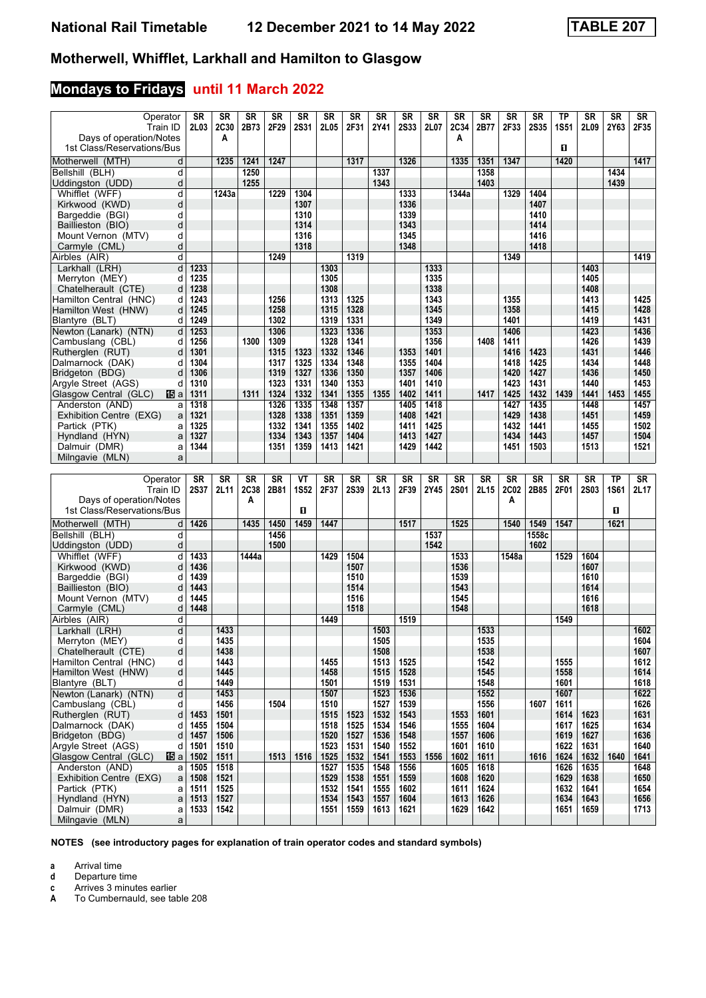## **Mondays to Fridays until 11 March 2022**

| Operator                                                | SR           | SR           | <b>SR</b> | SR           | <b>SR</b>    | <b>SR</b>    | SR           | <b>SR</b>    | <b>SR</b>    | SR           | SR           | <b>SR</b>    | SR           | <b>SR</b>    | <b>TP</b>    | SR           | <b>SR</b>   | SR           |
|---------------------------------------------------------|--------------|--------------|-----------|--------------|--------------|--------------|--------------|--------------|--------------|--------------|--------------|--------------|--------------|--------------|--------------|--------------|-------------|--------------|
| Train ID                                                | 2L03         | 2C30         | 2B73      | 2F29         | <b>2S31</b>  | 2L05         | 2F31         | 2Y41         | <b>2S33</b>  | 2L07         | <b>2C34</b>  | 2B77         | 2F33         | <b>2S35</b>  | <b>1S51</b>  | 2L09         | 2Y63        | 2F35         |
| Days of operation/Notes                                 |              | A            |           |              |              |              |              |              |              |              | Α            |              |              |              |              |              |             |              |
| 1st Class/Reservations/Bus                              |              |              |           |              |              |              |              |              |              |              |              |              |              |              | 0            |              |             |              |
| Motherwell (MTH)<br>d                                   |              | 1235         | 1241      | 1247         |              |              | 1317         |              | 1326         |              | 1335         | 1351         | 1347         |              | 1420         |              |             | 1417         |
| Bellshill (BLH)<br>d                                    |              |              | 1250      |              |              |              |              | 1337         |              |              |              | 1358         |              |              |              |              | 1434        |              |
| Uddingston (UDD)<br>d<br>Whifflet (WFF)<br>d            |              | 1243a        | 1255      | 1229         | 1304         |              |              | 1343         | 1333         |              | 1344a        | 1403         | 1329         | 1404         |              |              | 1439        |              |
| d<br>Kirkwood (KWD)                                     |              |              |           |              | 1307         |              |              |              | 1336         |              |              |              |              | 1407         |              |              |             |              |
| d<br>Bargeddie (BGI)                                    |              |              |           |              | 1310         |              |              |              | 1339         |              |              |              |              | 1410         |              |              |             |              |
| Baillieston (BIO)<br>d                                  |              |              |           |              | 1314         |              |              |              | 1343         |              |              |              |              | 1414         |              |              |             |              |
| Mount Vernon (MTV)<br>d                                 |              |              |           |              | 1316         |              |              |              | 1345         |              |              |              |              | 1416         |              |              |             |              |
| Carmyle (CML)<br>d                                      |              |              |           |              | 1318         |              |              |              | 1348         |              |              |              |              | 1418         |              |              |             |              |
| d<br>Airbles (AIR)                                      |              |              |           | 1249         |              |              | 1319         |              |              |              |              |              | 1349         |              |              |              |             | 1419         |
| Larkhall (LRH)<br>d                                     | 1233         |              |           |              |              | 1303         |              |              |              | 1333         |              |              |              |              |              | 1403         |             |              |
| Merryton (MEY)<br>d                                     | 1235         |              |           |              |              | 1305         |              |              |              | 1335         |              |              |              |              |              | 1405         |             |              |
| Chatelherault (CTE)<br>d                                | 1238         |              |           |              |              | 1308         |              |              |              | 1338         |              |              |              |              |              | 1408         |             |              |
| Hamilton Central (HNC)<br>d<br>Hamilton West (HNW)<br>d | 1243<br>1245 |              |           | 1256<br>1258 |              | 1313<br>1315 | 1325<br>1328 |              |              | 1343<br>1345 |              |              | 1355<br>1358 |              |              | 1413<br>1415 |             | 1425<br>1428 |
| Blantyre (BLT)<br>d                                     | 1249         |              |           | 1302         |              | 1319         | 1331         |              |              | 1349         |              |              | 1401         |              |              | 1419         |             | 1431         |
| Newton (Lanark) (NTN)<br>d                              | 1253         |              |           | 1306         |              | 1323         | 1336         |              |              | 1353         |              |              | 1406         |              |              | 1423         |             | 1436         |
| Cambuslang (CBL)<br>d                                   | 1256         |              | 1300      | 1309         |              | 1328         | 1341         |              |              | 1356         |              | 1408         | 1411         |              |              | 1426         |             | 1439         |
| Rutheralen (RUT)<br>d                                   | 1301         |              |           | 1315         | 1323         | 1332         | 1346         |              | 1353         | 1401         |              |              | 1416         | 1423         |              | 1431         |             | 1446         |
| Dalmarnock (DAK)<br>d                                   | 1304         |              |           | 1317         | 1325         | 1334         | 1348         |              | 1355         | 1404         |              |              | 1418         | 1425         |              | 1434         |             | 1448         |
| Bridgeton (BDG)<br>d                                    | 1306         |              |           | 1319         | 1327         | 1336         | 1350         |              | 1357         | 1406         |              |              | 1420         | 1427         |              | 1436         |             | 1450         |
| Argyle Street (AGS)<br>d                                | 1310         |              |           | 1323         | 1331         | 1340         | 1353         |              | 1401         | 1410         |              |              | 1423         | 1431         |              | 1440         |             | 1453         |
| Glasgow Central (GLC)<br>阳a                             | 1311         |              | 1311      | 1324         | 1332         | 1341         | 1355         | 1355         | 1402         | 1411         |              | 1417         | 1425         | 1432         | 1439         | 1441         | 1453        | 1455         |
| Anderston (AND)<br>a                                    | 1318         |              |           | 1326         | 1335         | 1348         | 1357         |              | 1405         | 1418         |              |              | 1427         | 1435         |              | 1448         |             | 1457         |
| Exhibition Centre (EXG)<br>a<br>Partick (PTK)           | 1321<br>1325 |              |           | 1328<br>1332 | 1338<br>1341 | 1351<br>1355 | 1359<br>1402 |              | 1408<br>1411 | 1421<br>1425 |              |              | 1429<br>1432 | 1438<br>1441 |              | 1451<br>1455 |             | 1459<br>1502 |
| a<br>Hyndland (HYN)<br>a                                | 1327         |              |           | 1334         | 1343         | 1357         | 1404         |              | 1413         | 1427         |              |              | 1434         | 1443         |              | 1457         |             | 1504         |
| Dalmuir (DMR)<br>a                                      | 1344         |              |           | 1351         | 1359         | 1413         | 1421         |              | 1429         | 1442         |              |              | 1451         | 1503         |              | 1513         |             | 1521         |
| Milngavie (MLN)<br>a                                    |              |              |           |              |              |              |              |              |              |              |              |              |              |              |              |              |             |              |
|                                                         |              |              |           |              |              |              |              |              |              |              |              |              |              |              |              |              |             |              |
|                                                         |              |              |           |              |              |              |              |              |              |              |              |              |              |              |              |              |             |              |
| Operator                                                | SR           | SR           | <b>SR</b> | <b>SR</b>    | VT           | <b>SR</b>    | <b>SR</b>    | <b>SR</b>    | SR           | <b>SR</b>    | SR           | <b>SR</b>    | SR           | SR           | <b>SR</b>    | <b>SR</b>    | ТP          | SR           |
| Train ID                                                | <b>2S37</b>  | 2L11         | 2C38      | 2B81         | <b>1S52</b>  | 2F37         | <b>2S39</b>  | 2L13         | 2F39         | 2Y45         | <b>2S01</b>  | 2L15         | 2C02         | 2B85         | 2F01         | 2S03         | <b>1S61</b> |              |
| Days of operation/Notes                                 |              |              | А         |              |              |              |              |              |              |              |              |              | A            |              |              |              |             | 2L17         |
| 1st Class/Reservations/Bus                              |              |              |           |              | $\mathbf{u}$ |              |              |              |              |              |              |              |              |              |              |              | п           |              |
| Motherwell (MTH)<br>d                                   | 1426         |              | 1435      | 1450         | 1459         | 1447         |              |              | 1517         |              | 1525         |              | 1540         | 1549         | 1547         |              | 1621        |              |
| Bellshill (BLH)<br>d                                    |              |              |           | 1456         |              |              |              |              |              | 1537         |              |              |              | 1558c        |              |              |             |              |
| d<br>Uddingston (UDD)                                   |              |              |           | 1500         |              |              |              |              |              | 1542         |              |              |              | 1602         |              |              |             |              |
| Whifflet (WFF)<br>d                                     | 1433         |              | 1444a     |              |              | 1429         | 1504         |              |              |              | 1533         |              | 1548a        |              | 1529         | 1604         |             |              |
| Kirkwood (KWD)<br>d                                     | 1436         |              |           |              |              |              | 1507         |              |              |              | 1536         |              |              |              |              | 1607         |             |              |
| Bargeddie (BGI)<br>d                                    | 1439         |              |           |              |              |              | 1510         |              |              |              | 1539         |              |              |              |              | 1610         |             |              |
| Baillieston (BIO)<br>d<br>d                             | 1443<br>1445 |              |           |              |              |              | 1514<br>1516 |              |              |              | 1543<br>1545 |              |              |              |              | 1614<br>1616 |             |              |
| Mount Vernon (MTV)<br>Carmyle (CML)<br>d                | 1448         |              |           |              |              |              | 1518         |              |              |              | 1548         |              |              |              |              | 1618         |             |              |
| Airbles (AIR)<br>d                                      |              |              |           |              |              | 1449         |              |              | 1519         |              |              |              |              |              | 1549         |              |             |              |
| Larkhall (LRH)<br>d                                     |              | 1433         |           |              |              |              |              | 1503         |              |              |              | 1533         |              |              |              |              |             | 1602         |
| Merryton (MEY)<br>d                                     |              | 1435         |           |              |              |              |              | 1505         |              |              |              | 1535         |              |              |              |              |             | 1604         |
| Chatelherault (CTE)<br>d                                |              | 1438         |           |              |              |              |              | 1508         |              |              |              | 1538         |              |              |              |              |             | 1607         |
| Hamilton Central (HNC)<br>d                             |              | 1443         |           |              |              | 1455         |              | 1513         | 1525         |              |              | 1542         |              |              | 1555         |              |             | 1612         |
| d<br>Hamilton West (HNW)                                |              | 1445         |           |              |              | 1458         |              | 1515         | 1528         |              |              | 1545         |              |              | 1558         |              |             | 1614         |
| Blantyre (BLT)<br>d                                     |              | 1449         |           |              |              | 1501         |              | 1519         | 1531         |              |              | 1548         |              |              | 1601         |              |             | 1618         |
| $\overline{\mathsf{d}}$<br>Newton (Lanark) (NTN)        |              | 1453         |           |              |              | 1507         |              | 1523         | 1536         |              |              | 1552         |              | 1607         | 1607         |              |             | 1622         |
| Cambuslang (CBL)<br>d<br>Rutherglen (RUT)<br>d          | 1453         | 1456<br>1501 |           | 1504         |              | 1510<br>1515 | 1523         | 1527<br>1532 | 1539<br>1543 |              | 1553         | 1556<br>1601 |              |              | 1611<br>1614 | 1623         |             | 1626<br>1631 |
| Dalmarnock (DAK)<br>d                                   | 1455         | 1504         |           |              |              | 1518         | 1525         | 1534         | 1546         |              | 1555         | 1604         |              |              | 1617         | 1625         |             | 1634         |
| Bridgeton (BDG)<br>d                                    | 1457         | 1506         |           |              |              | 1520         | 1527         | 1536         | 1548         |              | 1557         | 1606         |              |              | 1619         | 1627         |             | 1636         |
| Argyle Street (AGS)<br>d                                | 1501         | 1510         |           |              |              | 1523         | 1531         | 1540         | 1552         |              | 1601         | 1610         |              |              | 1622         | 1631         |             | 1640         |
| Glasgow Central (GLC)<br>個a                             | 1502         | 1511         |           | 1513         | 1516         | 1525         | 1532         | 1541         | 1553         | 1556         | 1602         | 1611         |              | 1616         | 1624         | 1632         | 1640        | 1641         |
| Anderston (AND)<br>a                                    | 1505         | 1518         |           |              |              | 1527         | 1535         | 1548         | 1556         |              | 1605         | 1618         |              |              | 1626         | 1635         |             | 1648         |
| Exhibition Centre (EXG)<br>a                            | 1508         | 1521         |           |              |              | 1529         | 1538         | 1551         | 1559         |              | 1608         | 1620         |              |              | 1629         | 1638         |             | 1650         |
| Partick (PTK)<br>a                                      | 1511         | 1525         |           |              |              | 1532         | 1541         | 1555         | 1602         |              | 1611         | 1624         |              |              | 1632         | 1641         |             | 1654         |
| Hyndland (HYN)<br>a<br>Dalmuir (DMR)<br>a               | 1513<br>1533 | 1527<br>1542 |           |              |              | 1534<br>1551 | 1543<br>1559 | 1557<br>1613 | 1604<br>1621 |              | 1613<br>1629 | 1626<br>1642 |              |              | 1634<br>1651 | 1643<br>1659 |             | 1656<br>1713 |

**NOTES (see introductory pages for explanation of train operator codes and standard symbols)**

**a** Arrival time<br>**d** Departure t

**d** Departure time<br>**c** Arrives 3 minute

**c** Arrives 3 minutes earlier<br>**A** To Cumbernauld, see tak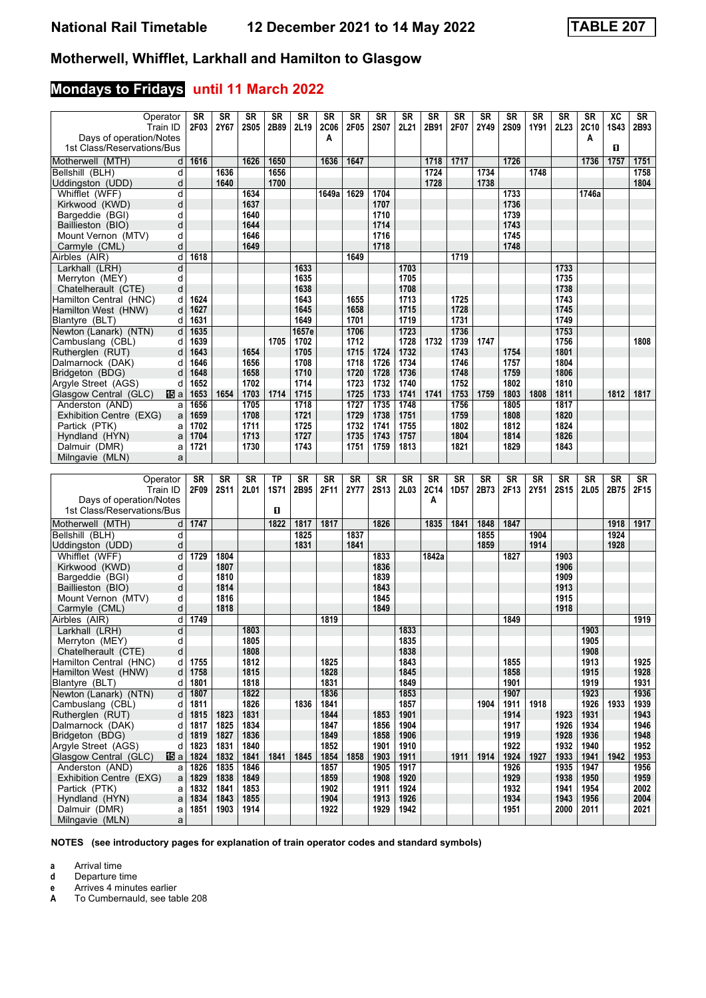## **Mondays to Fridays until 11 March 2022**

| Operator<br>Train ID<br>Days of operation/Notes         | SR<br>2F03   | <b>SR</b><br>2Y67 | <b>SR</b><br><b>2S05</b> | SR<br>2B89   | <b>SR</b><br>2L19 | SR<br><b>2C06</b><br>A | <b>SR</b><br>2F05 | <b>SR</b><br><b>2S07</b> | <b>SR</b><br>2L21 | SR<br>2B91   | <b>SR</b><br>2F07 | <b>SR</b><br>2Y49 | SR<br><b>2S09</b> | <b>SR</b><br>1Y91 | <b>SR</b><br>2L <sub>23</sub> | <b>SR</b><br>2C10<br>A | XC<br><b>1S43</b> | SR<br>2B93   |
|---------------------------------------------------------|--------------|-------------------|--------------------------|--------------|-------------------|------------------------|-------------------|--------------------------|-------------------|--------------|-------------------|-------------------|-------------------|-------------------|-------------------------------|------------------------|-------------------|--------------|
| 1st Class/Reservations/Bus                              |              |                   |                          |              |                   |                        |                   |                          |                   |              |                   |                   |                   |                   |                               |                        | п                 |              |
| Motherwell (MTH)<br>d                                   | 1616         |                   | 1626                     | 1650         |                   | 1636                   | 1647              |                          |                   | 1718         | 1717              |                   | 1726              |                   |                               | 1736                   | 1757              | 1751         |
| Bellshill (BLH)<br>d<br>d<br>Uddingston (UDD)           |              | 1636<br>1640      |                          | 1656<br>1700 |                   |                        |                   |                          |                   | 1724<br>1728 |                   | 1734<br>1738      |                   | 1748              |                               |                        |                   | 1758<br>1804 |
| Whifflet (WFF)<br>d                                     |              |                   | 1634                     |              |                   | 1649a                  | 1629              | 1704                     |                   |              |                   |                   | 1733              |                   |                               | 1746a                  |                   |              |
| d<br>Kirkwood (KWD)                                     |              |                   | 1637                     |              |                   |                        |                   | 1707                     |                   |              |                   |                   | 1736              |                   |                               |                        |                   |              |
| d<br>Bargeddie (BGI)                                    |              |                   | 1640                     |              |                   |                        |                   | 1710                     |                   |              |                   |                   | 1739              |                   |                               |                        |                   |              |
| Baillieston (BIO)<br>d                                  |              |                   | 1644                     |              |                   |                        |                   | 1714                     |                   |              |                   |                   | 1743              |                   |                               |                        |                   |              |
| Mount Vernon (MTV)<br>d                                 |              |                   | 1646                     |              |                   |                        |                   | 1716                     |                   |              |                   |                   | 1745              |                   |                               |                        |                   |              |
| Carmyle (CML)<br>d<br>d<br>Airbles (AIR)                | 1618         |                   | 1649                     |              |                   |                        | 1649              | 1718                     |                   |              | 1719              |                   | 1748              |                   |                               |                        |                   |              |
| Larkhall (LRH)<br>d                                     |              |                   |                          |              | 1633              |                        |                   |                          | 1703              |              |                   |                   |                   |                   | 1733                          |                        |                   |              |
| Merryton (MEY)<br>d                                     |              |                   |                          |              | 1635              |                        |                   |                          | 1705              |              |                   |                   |                   |                   | 1735                          |                        |                   |              |
| Chatelherault (CTE)<br>d                                |              |                   |                          |              | 1638              |                        |                   |                          | 1708              |              |                   |                   |                   |                   | 1738                          |                        |                   |              |
| Hamilton Central (HNC)<br>d                             | 1624         |                   |                          |              | 1643              |                        | 1655              |                          | 1713              |              | 1725              |                   |                   |                   | 1743                          |                        |                   |              |
| Hamilton West (HNW)<br>d                                | 1627         |                   |                          |              | 1645              |                        | 1658              |                          | 1715              |              | 1728              |                   |                   |                   | 1745                          |                        |                   |              |
| Blantyre (BLT)<br>d                                     | 1631<br>1635 |                   |                          |              | 1649<br>1657e     |                        | 1701<br>1706      |                          | 1719<br>1723      |              | 1731<br>1736      |                   |                   |                   | 1749<br>1753                  |                        |                   |              |
| Newton (Lanark) (NTN)<br>d<br>Cambuslang (CBL)<br>d     | 1639         |                   |                          | 1705         | 1702              |                        | 1712              |                          | 1728              | 1732         | 1739              | 1747              |                   |                   | 1756                          |                        |                   | 1808         |
| Rutherglen (RUT)<br>d                                   | 1643         |                   | 1654                     |              | 1705              |                        | 1715              | 1724                     | 1732              |              | 1743              |                   | 1754              |                   | 1801                          |                        |                   |              |
| Dalmarnock (DAK)<br>d                                   | 1646         |                   | 1656                     |              | 1708              |                        | 1718              | 1726                     | 1734              |              | 1746              |                   | 1757              |                   | 1804                          |                        |                   |              |
| Bridgeton (BDG)<br>d                                    | 1648         |                   | 1658                     |              | 1710              |                        | 1720              | 1728                     | 1736              |              | 1748              |                   | 1759              |                   | 1806                          |                        |                   |              |
| Argyle Street (AGS)<br>d                                | 1652         |                   | 1702                     |              | 1714              |                        | 1723              | 1732                     | 1740              |              | 1752              |                   | 1802              |                   | 1810                          |                        |                   |              |
| Glasgow Central (GLC)<br>16 a                           | 1653         | 1654              | 1703                     | 1714         | 1715              |                        | 1725              | 1733                     | 1741              | 1741         | 1753              | 1759              | 1803              | 1808              | 1811                          |                        | 1812              | 1817         |
| Anderston (AND)<br>a<br>Exhibition Centre (EXG)         | 1656<br>1659 |                   | 1705<br>1708             |              | 1718<br>1721      |                        | 1727<br>1729      | 1735<br>1738             | 1748<br>1751      |              | 1756<br>1759      |                   | 1805<br>1808      |                   | 1817<br>1820                  |                        |                   |              |
| a<br>Partick (PTK)<br>a                                 | 1702         |                   | 1711                     |              | 1725              |                        | 1732              | 1741                     | 1755              |              | 1802              |                   | 1812              |                   | 1824                          |                        |                   |              |
| Hyndland (HYN)<br>a                                     | 1704         |                   | 1713                     |              | 1727              |                        | 1735              | 1743                     | 1757              |              | 1804              |                   | 1814              |                   | 1826                          |                        |                   |              |
| Dalmuir (DMR)<br>a                                      | 1721         |                   | 1730                     |              | 1743              |                        | 1751              | 1759                     | 1813              |              | 1821              |                   | 1829              |                   | 1843                          |                        |                   |              |
| Milngavie (MLN)<br>a                                    |              |                   |                          |              |                   |                        |                   |                          |                   |              |                   |                   |                   |                   |                               |                        |                   |              |
|                                                         |              |                   |                          |              |                   |                        |                   |                          |                   |              |                   |                   |                   |                   |                               |                        |                   |              |
| Operator                                                |              |                   |                          |              |                   |                        |                   |                          |                   |              |                   |                   |                   |                   |                               |                        |                   |              |
|                                                         | SR           | <b>SR</b>         | <b>SR</b>                | TP           | <b>SR</b>         | <b>SR</b>              | <b>SR</b>         | <b>SR</b>                | <b>SR</b>         | <b>SR</b>    | <b>SR</b>         | <b>SR</b>         | <b>SR</b>         | <b>SR</b>         | <b>SR</b>                     | <b>SR</b>              | <b>SR</b>         | <b>SR</b>    |
| Train ID                                                | 2F09         | <b>2S11</b>       | 2L01                     | <b>1S71</b>  | 2B95              | 2F11                   | 2Y77              | <b>2S13</b>              | 2L03              | <b>2C14</b>  | 1D57              | 2B73              | 2F13              | 2Y51              | 2S15                          | 2L05                   | 2B75              | 2F15         |
| Days of operation/Notes<br>1st Class/Reservations/Bus   |              |                   |                          | п            |                   |                        |                   |                          |                   | A            |                   |                   |                   |                   |                               |                        |                   |              |
|                                                         |              |                   |                          |              |                   |                        |                   |                          |                   |              |                   |                   |                   |                   |                               |                        |                   |              |
| Motherwell (MTH)<br>d<br>d<br>Bellshill (BLH)           | 1747         |                   |                          | 1822         | 1817<br>1825      | 1817                   | 1837              | 1826                     |                   | 1835         | 1841              | 1848<br>1855      | 1847              | 1904              |                               |                        | 1918<br>1924      | 1917         |
| d<br>Uddingston (UDD)                                   |              |                   |                          |              | 1831              |                        | 1841              |                          |                   |              |                   | 1859              |                   | 1914              |                               |                        | 1928              |              |
| Whifflet (WFF)<br>d                                     | 1729         | 1804              |                          |              |                   |                        |                   | 1833                     |                   | 1842a        |                   |                   | 1827              |                   | 1903                          |                        |                   |              |
| Kirkwood (KWD)<br>d                                     |              | 1807              |                          |              |                   |                        |                   | 1836                     |                   |              |                   |                   |                   |                   | 1906                          |                        |                   |              |
| Bargeddie (BGI)<br>d                                    |              | 1810              |                          |              |                   |                        |                   | 1839                     |                   |              |                   |                   |                   |                   | 1909                          |                        |                   |              |
| Baillieston (BIO)<br>d                                  |              | 1814              |                          |              |                   |                        |                   | 1843                     |                   |              |                   |                   |                   |                   | 1913                          |                        |                   |              |
| Mount Vernon (MTV)<br>d<br>d<br>Carmyle (CML)           |              | 1816<br>1818      |                          |              |                   |                        |                   | 1845<br>1849             |                   |              |                   |                   |                   |                   | 1915<br>1918                  |                        |                   |              |
| Airbles (AIR)<br>d                                      | 1749         |                   |                          |              |                   | 1819                   |                   |                          |                   |              |                   |                   | 1849              |                   |                               |                        |                   | 1919         |
| d<br>Larkhall (LRH)                                     |              |                   | 1803                     |              |                   |                        |                   |                          | 1833              |              |                   |                   |                   |                   |                               | 1903                   |                   |              |
| Merryton (MEY)<br>d                                     |              |                   | 1805                     |              |                   |                        |                   |                          | 1835              |              |                   |                   |                   |                   |                               | 1905                   |                   |              |
| Chatelherault (CTE)<br>d                                |              |                   | 1808                     |              |                   |                        |                   |                          | 1838              |              |                   |                   |                   |                   |                               | 1908                   |                   |              |
| Hamilton Central (HNC)<br>d                             | 1755         |                   | 1812                     |              |                   | 1825                   |                   |                          | 1843              |              |                   |                   | 1855              |                   |                               | 1913                   |                   | 1925         |
| Hamilton West (HNW)<br>d<br>Blantyre (BLT)<br>d         | 1758         |                   | 1815<br>1818             |              |                   | 1828<br>1831           |                   |                          | 1845<br>1849      |              |                   |                   | 1858<br>1901      |                   |                               | 1915<br>1919           |                   | 1928<br>1931 |
| Newton (Lanark) (NTN)<br>d                              | 1801<br>1807 |                   | 1822                     |              |                   | 1836                   |                   |                          | 1853              |              |                   |                   | 1907              |                   |                               | 1923                   |                   | 1936         |
| Cambuslang (CBL)<br>d                                   | 1811         |                   | 1826                     |              | 1836              | 1841                   |                   |                          | 1857              |              |                   | 1904              | 1911              | 1918              |                               | 1926                   | 1933              | 1939         |
| Rutherglen (RUT)<br>d                                   | 1815         | 1823              | 1831                     |              |                   | 1844                   |                   | 1853                     | 1901              |              |                   |                   | 1914              |                   | 1923                          | 1931                   |                   | 1943         |
| Dalmarnock (DAK)<br>d                                   | 1817         | 1825              | 1834                     |              |                   | 1847                   |                   | 1856                     | 1904              |              |                   |                   | 1917              |                   | 1926                          | 1934                   |                   | 1946         |
| Bridgeton (BDG)<br>d                                    | 1819         | 1827              | 1836                     |              |                   | 1849                   |                   | 1858                     | 1906              |              |                   |                   | 1919              |                   | 1928                          | 1936                   |                   | 1948         |
| Argyle Street (AGS)<br>d<br>Glasgow Central (GLC)<br>個a | 1823<br>1824 | 1831<br>1832      | 1840<br>1841             | 1841         | 1845              | 1852<br>1854           | 1858              | 1901<br>1903             | 1910<br>1911      |              | 1911              | 1914              | 1922<br>1924      | 1927              | 1932<br>1933                  | 1940<br>1941           | 1942              | 1952<br>1953 |
| Anderston (AND)<br>a                                    | 1826         | 1835              | 1846                     |              |                   | 1857                   |                   | 1905                     | 1917              |              |                   |                   | 1926              |                   | 1935                          | 1947                   |                   | 1956         |
| Exhibition Centre (EXG)<br>a                            | 1829         | 1838              | 1849                     |              |                   | 1859                   |                   | 1908                     | 1920              |              |                   |                   | 1929              |                   | 1938                          | 1950                   |                   | 1959         |
| Partick (PTK)<br>a                                      | 1832         | 1841              | 1853                     |              |                   | 1902                   |                   | 1911                     | 1924              |              |                   |                   | 1932              |                   | 1941                          | 1954                   |                   | 2002         |
| Hyndland (HYN)<br>a<br>Dalmuir (DMR)<br>a               | 1834<br>1851 | 1843<br>1903      | 1855<br>1914             |              |                   | 1904<br>1922           |                   | 1913<br>1929             | 1926<br>1942      |              |                   |                   | 1934<br>1951      |                   | 1943<br>2000                  | 1956<br>2011           |                   | 2004<br>2021 |

**NOTES (see introductory pages for explanation of train operator codes and standard symbols)**

**a** Arrival time<br>**d** Departure t

**d** Departure time

**e** Arrives 4 minutes earlier<br>**A** To Cumbernauld, see tak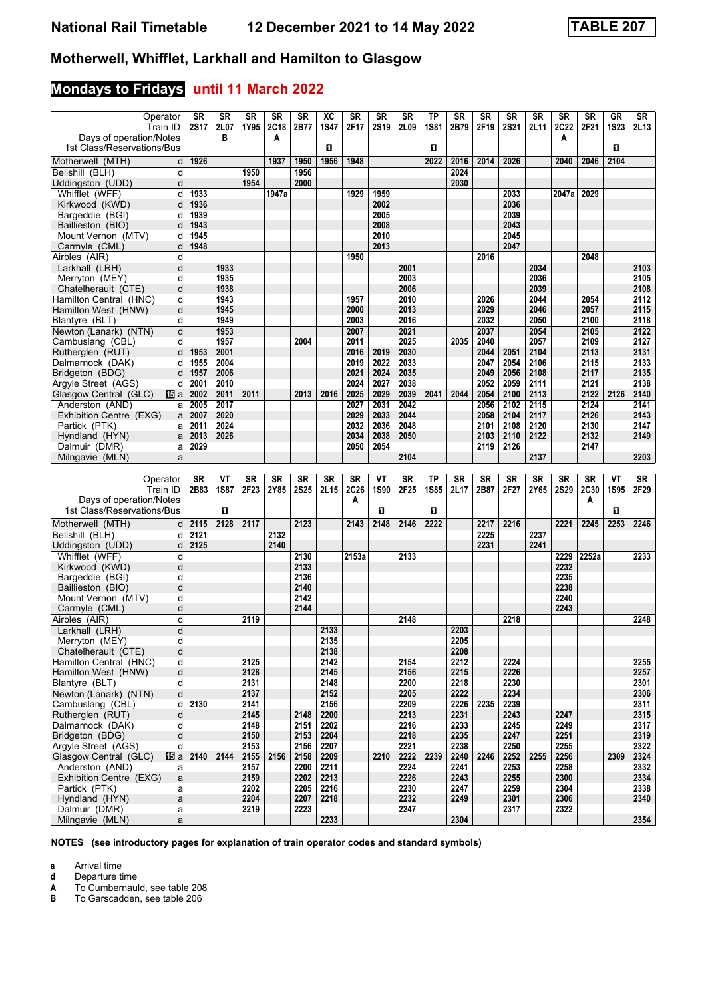## **Mondays to Fridays until 11 March 2022**

| Operator<br>Train ID                                  | SR<br><b>2S17</b> | SR<br>2L07   | <b>SR</b><br>1Y95 | SR<br>2C18 | SR<br>2B77   | XC<br><b>1S47</b> | SR<br>2F17        | <b>SR</b><br>2S19 | <b>SR</b><br>2L09 | <b>TP</b><br><b>1S81</b> | SR<br>2B79   | <b>SR</b><br>2F19 | SR<br><b>2S21</b> | <b>SR</b>    | SR<br><b>2C22</b> | SR<br>2F21   | <b>GR</b><br><b>1S23</b> | SR<br>2L13        |
|-------------------------------------------------------|-------------------|--------------|-------------------|------------|--------------|-------------------|-------------------|-------------------|-------------------|--------------------------|--------------|-------------------|-------------------|--------------|-------------------|--------------|--------------------------|-------------------|
| Days of operation/Notes                               |                   | в            |                   | Α          |              |                   |                   |                   |                   |                          |              |                   |                   | 2L11         | A                 |              |                          |                   |
| 1st Class/Reservations/Bus                            |                   |              |                   |            |              | O                 |                   |                   |                   | п                        |              |                   |                   |              |                   |              | п                        |                   |
| Motherwell (MTH)<br>d<br>d                            | 1926              |              | 1950              | 1937       | 1950<br>1956 | 1956              | 1948              |                   |                   | 2022                     | 2016<br>2024 | 2014              | 2026              |              | 2040              | 2046         | 2104                     |                   |
| Bellshill (BLH)<br>Uddingston (UDD)<br>d              |                   |              | 1954              |            | 2000         |                   |                   |                   |                   |                          | 2030         |                   |                   |              |                   |              |                          |                   |
| Whifflet (WFF)<br>d                                   | 1933              |              |                   | 1947a      |              |                   | 1929              | 1959              |                   |                          |              |                   | 2033              |              | 2047a             | 2029         |                          |                   |
| Kirkwood (KWD)<br>d                                   | 1936              |              |                   |            |              |                   |                   | 2002              |                   |                          |              |                   | 2036              |              |                   |              |                          |                   |
| Bargeddie (BGI)<br>d                                  | 1939              |              |                   |            |              |                   |                   | 2005              |                   |                          |              |                   | 2039              |              |                   |              |                          |                   |
| Baillieston (BIO)<br>d                                | 1943              |              |                   |            |              |                   |                   | 2008              |                   |                          |              |                   | 2043              |              |                   |              |                          |                   |
| Mount Vernon (MTV)<br>d                               | 1945              |              |                   |            |              |                   |                   | 2010              |                   |                          |              |                   | 2045              |              |                   |              |                          |                   |
| Carmyle (CML)<br>d<br>d                               | 1948              |              |                   |            |              |                   | 1950              | 2013              |                   |                          |              | 2016              | 2047              |              |                   | 2048         |                          |                   |
| Airbles (AIR)<br>Larkhall (LRH)<br>d                  |                   | 1933         |                   |            |              |                   |                   |                   | 2001              |                          |              |                   |                   | 2034         |                   |              |                          | 2103              |
| Merryton (MEY)<br>d                                   |                   | 1935         |                   |            |              |                   |                   |                   | 2003              |                          |              |                   |                   | 2036         |                   |              |                          | 2105              |
| Chatelherault (CTE)<br>d                              |                   | 1938         |                   |            |              |                   |                   |                   | 2006              |                          |              |                   |                   | 2039         |                   |              |                          | 2108              |
| Hamilton Central (HNC)<br>d                           |                   | 1943         |                   |            |              |                   | 1957              |                   | 2010              |                          |              | 2026              |                   | 2044         |                   | 2054         |                          | 2112              |
| Hamilton West (HNW)<br>d                              |                   | 1945         |                   |            |              |                   | 2000              |                   | 2013              |                          |              | 2029              |                   | 2046         |                   | 2057         |                          | 2115              |
| Blantyre (BLT)<br>d                                   |                   | 1949         |                   |            |              |                   | 2003              |                   | 2016              |                          |              | 2032              |                   | 2050         |                   | 2100         |                          | 2118              |
| $\mathsf{d}$<br>Newton (Lanark) (NTN)                 |                   | 1953         |                   |            |              |                   | 2007              |                   | 2021              |                          |              | 2037              |                   | 2054         |                   | 2105         |                          | 2122              |
| Cambuslang (CBL)<br>d<br>Rutheralen (RUT)             | 1953              | 1957<br>2001 |                   |            | 2004         |                   | 2011<br>2016      | 2019              | 2025<br>2030      |                          | 2035         | 2040<br>2044      | 2051              | 2057<br>2104 |                   | 2109<br>2113 |                          | 2127<br>2131      |
| d<br>Dalmarnock (DAK)<br>d                            | 1955              | 2004         |                   |            |              |                   | 2019              | 2022              | 2033              |                          |              | 2047              | 2054              | 2106         |                   | 2115         |                          | 2133              |
| Bridgeton (BDG)<br>d                                  | 1957              | 2006         |                   |            |              |                   | 2021              | 2024              | 2035              |                          |              | 2049              | 2056              | 2108         |                   | 2117         |                          | 2135              |
| Argyle Street (AGS)<br>d                              | 2001              | 2010         |                   |            |              |                   | 2024              | 2027              | 2038              |                          |              | 2052              | 2059              | 2111         |                   | 2121         |                          | 2138              |
| Glasgow Central (GLC)<br>個a                           | 2002              | 2011         | 2011              |            | 2013         | 2016              | 2025              | 2029              | 2039              | 2041                     | 2044         | 2054              | 2100              | 2113         |                   | 2122         | 2126                     | 2140              |
| Anderston (AND)<br>a                                  | 2005              | 2017         |                   |            |              |                   | 2027              | 2031              | 2042              |                          |              | 2056              | 2102              | 2115         |                   | 2124         |                          | 2141              |
| Exhibition Centre (EXG)<br>a                          | 2007              | 2020         |                   |            |              |                   | 2029              | 2033              | 2044              |                          |              | 2058              | 2104              | 2117         |                   | 2126         |                          | 2143              |
| Partick (PTK)<br>a                                    | 2011              | 2024         |                   |            |              |                   | 2032              | 2036              | 2048              |                          |              | 2101              | 2108              | 2120         |                   | 2130         |                          | 2147              |
| Hyndland (HYN)<br>a                                   | 2013              | 2026         |                   |            |              |                   | 2034              | 2038              | 2050              |                          |              | 2103              | 2110              | 2122         |                   | 2132         |                          | 2149              |
| Dalmuir (DMR)<br>a<br>Milngavie (MLN)<br>a            | 2029              |              |                   |            |              |                   | 2050              | 2054              | 2104              |                          |              | 2119              | 2126              | 2137         |                   | 2147         |                          | 2203              |
|                                                       |                   |              |                   |            |              |                   |                   |                   |                   |                          |              |                   |                   |              |                   |              |                          |                   |
|                                                       |                   |              |                   |            |              |                   |                   |                   |                   |                          |              |                   |                   |              |                   |              |                          |                   |
|                                                       |                   | ۷T           | <b>SR</b>         | <b>SR</b>  | <b>SR</b>    | <b>SR</b>         |                   | ۷T                | <b>SR</b>         | ТP                       | <b>SR</b>    | <b>SR</b>         | SR                | <b>SR</b>    | <b>SR</b>         | <b>SR</b>    | VT                       |                   |
| Operator<br>Train ID                                  | <b>SR</b><br>2B83 | <b>1S87</b>  | 2F23              | 2Y85       | <b>2S25</b>  | 2L15              | <b>SR</b><br>2C26 | <b>1S90</b>       | 2F25              | <b>1S85</b>              | 2L17         | 2B87              | 2F27              | 2Y65         | <b>2S29</b>       | 2C30         | <b>1S95</b>              | <b>SR</b><br>2F29 |
| Days of operation/Notes                               |                   |              |                   |            |              |                   | A                 |                   |                   |                          |              |                   |                   |              |                   | A            |                          |                   |
| 1st Class/Reservations/Bus                            |                   | О            |                   |            |              |                   |                   | П                 |                   | $\blacksquare$           |              |                   |                   |              |                   |              | п                        |                   |
| Motherwell (MTH)<br>d                                 | 2115              | 2128         | 2117              |            | 2123         |                   | 2143              | 2148              | 2146              | 2222                     |              | 2217              | 2216              |              | 2221              | 2245         | 2253                     | 2246              |
| d<br>Bellshill (BLH)                                  | 2121              |              |                   | 2132       |              |                   |                   |                   |                   |                          |              | 2225              |                   | 2237         |                   |              |                          |                   |
| Uddingston (UDD)<br>d                                 | 2125              |              |                   | 2140       |              |                   |                   |                   |                   |                          |              | 2231              |                   | 2241         |                   |              |                          |                   |
| Whifflet (WFF)<br>d                                   |                   |              |                   |            | 2130         |                   | 2153a             |                   | 2133              |                          |              |                   |                   |              | 2229              | 2252a        |                          | 2233              |
| Kirkwood (KWD)<br>d                                   |                   |              |                   |            | 2133         |                   |                   |                   |                   |                          |              |                   |                   |              | 2232              |              |                          |                   |
| Bargeddie (BGI)<br>d                                  |                   |              |                   |            | 2136         |                   |                   |                   |                   |                          |              |                   |                   |              | 2235              |              |                          |                   |
| Baillieston (BIO)<br>d<br>Mount Vernon (MTV)<br>d     |                   |              |                   |            | 2140<br>2142 |                   |                   |                   |                   |                          |              |                   |                   |              | 2238<br>2240      |              |                          |                   |
| Carmyle (CML)<br>d                                    |                   |              |                   |            | 2144         |                   |                   |                   |                   |                          |              |                   |                   |              | 2243              |              |                          |                   |
| d<br>Airbles (AIR)                                    |                   |              | 2119              |            |              |                   |                   |                   | 2148              |                          |              |                   | 2218              |              |                   |              |                          | 2248              |
| Larkhall (LRH)<br>d                                   |                   |              |                   |            |              | 2133              |                   |                   |                   |                          | 2203         |                   |                   |              |                   |              |                          |                   |
| Merryton (MEY)<br>d                                   |                   |              |                   |            |              | 2135              |                   |                   |                   |                          | 2205         |                   |                   |              |                   |              |                          |                   |
| d<br>Chatelherault (CTE)                              |                   |              |                   |            |              | 2138              |                   |                   |                   |                          | 2208         |                   |                   |              |                   |              |                          |                   |
| Hamilton Central (HNC)<br>d                           |                   |              | 2125              |            |              | 2142              |                   |                   | 2154              |                          | 2212         |                   | 2224              |              |                   |              |                          | 2255              |
| d<br>Hamilton West (HNW)<br>d<br>Blantyre (BLT)       |                   |              | 2128<br>2131      |            |              | 2145<br>2148      |                   |                   | 2156<br>2200      |                          | 2215<br>2218 |                   | 2226              |              |                   |              |                          | 2257              |
| $\overline{\mathsf{d}}$<br>Newton (Lanark) (NTN)      |                   |              | 2137              |            |              | 2152              |                   |                   | 2205              |                          | 2222         |                   | 2230<br>2234      |              |                   |              |                          | 2301<br>2306      |
| Cambuslang (CBL)<br>d                                 | 2130              |              | 2141              |            |              | 2156              |                   |                   | 2209              |                          | 2226         | 2235              | 2239              |              |                   |              |                          | 2311              |
| Rutherglen (RUT)<br>d                                 |                   |              | 2145              |            | 2148         | 2200              |                   |                   | 2213              |                          | 2231         |                   | 2243              |              | 2247              |              |                          | 2315              |
| Dalmarnock (DAK)<br>d                                 |                   |              | 2148              |            | 2151         | 2202              |                   |                   | 2216              |                          | 2233         |                   | 2245              |              | 2249              |              |                          | 2317              |
| Bridgeton (BDG)<br>d                                  |                   |              | 2150              |            | 2153         | 2204              |                   |                   | 2218              |                          | 2235         |                   | 2247              |              | 2251              |              |                          | 2319              |
| Argyle Street (AGS)<br>d                              |                   |              | 2153              |            | 2156         | 2207              |                   |                   | 2221              |                          | 2238         |                   | 2250              |              | 2255              |              |                          | 2322              |
| <b>個</b> a<br>Glasgow Central (GLC)                   | 2140              | 2144         | 2155              | 2156       | 2158         | 2209              |                   | 2210              | 2222              | 2239                     | 2240         | 2246              | 2252              | 2255         | 2256              |              | 2309                     | 2324              |
| Anderston (AND)<br>a<br>Exhibition Centre (EXG)<br>a  |                   |              | 2157<br>2159      |            | 2200<br>2202 | 2211<br>2213      |                   |                   | 2224<br>2226      |                          | 2241<br>2243 |                   | 2253<br>2255      |              | 2258<br>2300      |              |                          | 2332              |
| Partick (PTK)<br>a                                    |                   |              | 2202              |            | 2205         | 2216              |                   |                   | 2230              |                          | 2247         |                   | 2259              |              | 2304              |              |                          | 2334<br>2338      |
| Hyndland (HYN)<br>$\mathsf{a}$                        |                   |              | 2204              |            | 2207         | 2218              |                   |                   | 2232              |                          | 2249         |                   | 2301              |              | 2306              |              |                          | 2340              |
| Dalmuir (DMR)<br>a<br>Milngavie (MLN)<br>$\mathsf{a}$ |                   |              | 2219              |            | 2223         | 2233              |                   |                   | 2247              |                          | 2304         |                   | 2317              |              | 2322              |              |                          | 2354              |

**NOTES (see introductory pages for explanation of train operator codes and standard symbols)**

**a** Arrival time<br>**d** Departure t

**d** Departure time<br> **A** To Cumbernaul<br> **B** To Garscadden **A** To Cumbernauld, see table 208

To Garscadden, see table 206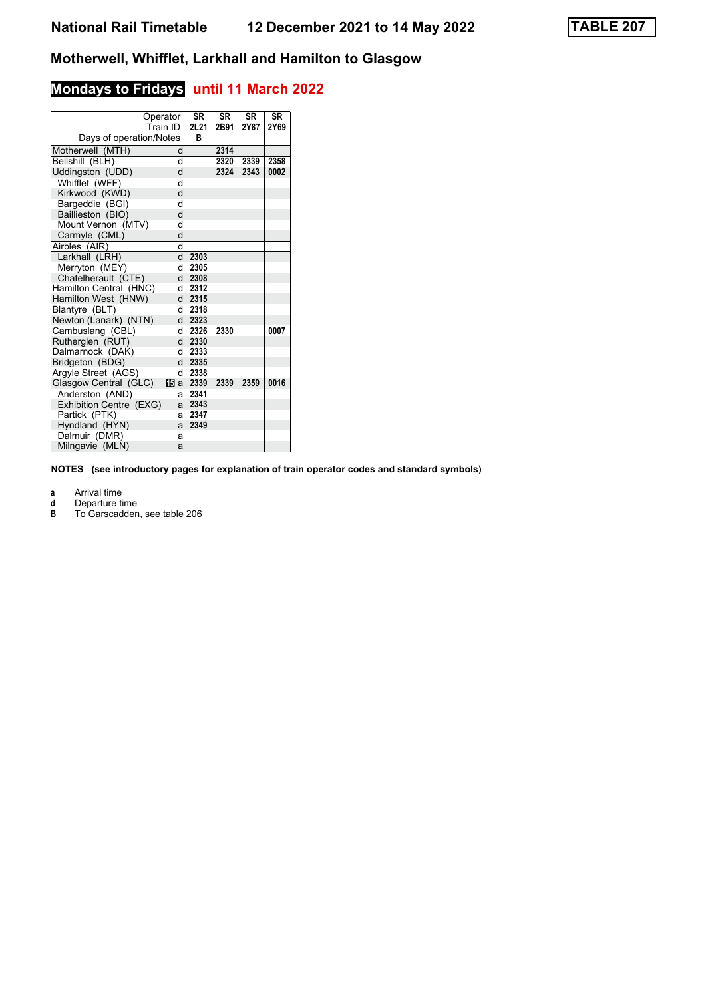## **Mondays to Fridays until 11 March 2022**

|                         | Operator<br>Train ID | <b>SR</b><br>21 21 | <b>SR</b><br>2B91 | <b>SR</b><br>2Y87 | <b>SR</b><br>2Y69 |
|-------------------------|----------------------|--------------------|-------------------|-------------------|-------------------|
| Days of operation/Notes |                      | в                  |                   |                   |                   |
| Motherwell (MTH)        | d                    |                    | 2314              |                   |                   |
| Bellshill (BLH)         | d                    |                    | 2320              | 2339              | 2358              |
| Uddingston (UDD)        | d                    |                    | 2324              | 2343              | 0002              |
| Whifflet (WFF)          | d                    |                    |                   |                   |                   |
| Kirkwood (KWD)          | d                    |                    |                   |                   |                   |
| Bargeddie (BGI)         | d                    |                    |                   |                   |                   |
| Baillieston (BIO)       | d                    |                    |                   |                   |                   |
| Mount Vernon (MTV)      | q                    |                    |                   |                   |                   |
| Carmyle (CML)           | d                    |                    |                   |                   |                   |
| Airbles (AIR)           | d                    |                    |                   |                   |                   |
| Larkhall (LRH)          | d.                   | 2303               |                   |                   |                   |
| Merryton (MEY)          | d                    | 2305               |                   |                   |                   |
| Chatelherault (CTE)     | d                    | 2308               |                   |                   |                   |
| Hamilton Central (HNC)  | d                    | 2312               |                   |                   |                   |
| Hamilton West (HNW)     | d                    | 2315               |                   |                   |                   |
| Blantyre (BLT)          | d                    | 2318               |                   |                   |                   |
| Newton (Lanark) (NTN)   | d.                   | 2323               |                   |                   |                   |
| Cambuslang (CBL)        | d                    | 2326               | 2330              |                   | 0007              |
| Rutherglen (RUT)        | <sub>d</sub>         | 2330               |                   |                   |                   |
| Dalmarnock (DAK)        | q                    | 2333               |                   |                   |                   |
| Bridgeton (BDG)         | <sub>d</sub>         | 2335               |                   |                   |                   |
| Argyle Street (AGS)     | d                    | 2338               |                   |                   |                   |
| Glasgow Central (GLC)   | 15 a                 | 2339               | 2339              | 2359              | 0016              |
| Anderston (AND)         | a                    | 2341               |                   |                   |                   |
| Exhibition Centre (EXG) | a                    | 2343               |                   |                   |                   |
| Partick (PTK)           | a                    | 2347               |                   |                   |                   |
| Hyndland (HYN)          | a                    | 2349               |                   |                   |                   |
| Dalmuir (DMR)           | a                    |                    |                   |                   |                   |
| Milngavie (MLN)         | a                    |                    |                   |                   |                   |

**NOTES (see introductory pages for explanation of train operator codes and standard symbols)**

**a** Arrival time<br>**d** Departure t

**d** Departure time

**B** To Garscadden, see table 20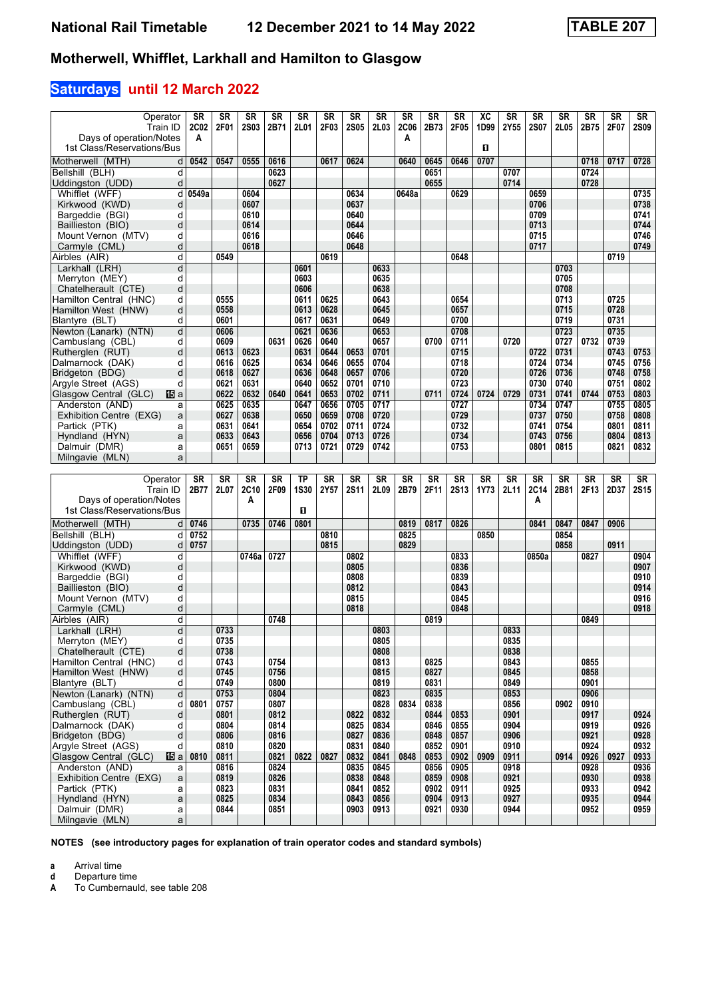## **Saturdays until 12 March 2022**

| Operator                                       | SR               | SR           | <b>SR</b>    | SR           | <b>SR</b>    | <b>SR</b>    | SR           | <b>SR</b>    | SR               | <b>SR</b>    | SR           | XC        | SR           | <b>SR</b>    | <b>SR</b>    | SR           | <b>SR</b>    | SR           |
|------------------------------------------------|------------------|--------------|--------------|--------------|--------------|--------------|--------------|--------------|------------------|--------------|--------------|-----------|--------------|--------------|--------------|--------------|--------------|--------------|
| Train ID<br>Days of operation/Notes            | <b>2C02</b><br>A | 2F01         | <b>2S03</b>  | 2B71         | 2L01         | 2F03         | <b>2S05</b>  | 2L03         | <b>2C06</b><br>Α | 2B73         | 2F05         | 1D99      | 2Y55         | <b>2S07</b>  | 2L05         | 2B75         | 2F07         | <b>2S09</b>  |
| 1st Class/Reservations/Bus                     |                  |              |              |              |              |              |              |              |                  |              |              | П         |              |              |              |              |              |              |
| Motherwell (MTH)<br>d                          | 0542             | 0547         | 0555         | 0616         |              | 0617         | 0624         |              | 0640             | 0645         | 0646         | 0707      |              |              |              | 0718         | 0717         | 0728         |
| Bellshill (BLH)<br>d                           |                  |              |              | 0623         |              |              |              |              |                  | 0651         |              |           | 0707         |              |              | 0724         |              |              |
| Uddingston (UDD)<br>d                          |                  |              |              | 0627         |              |              |              |              |                  | 0655         |              |           | 0714         |              |              | 0728         |              |              |
| Whifflet (WFF)<br>d                            | 0549a            |              | 0604         |              |              |              | 0634         |              | 0648a            |              | 0629         |           |              | 0659         |              |              |              | 0735         |
| Kirkwood (KWD)<br>d                            |                  |              | 0607         |              |              |              | 0637         |              |                  |              |              |           |              | 0706         |              |              |              | 0738         |
| Bargeddie (BGI)<br>d                           |                  |              | 0610         |              |              |              | 0640         |              |                  |              |              |           |              | 0709         |              |              |              | 0741         |
| Baillieston (BIO)<br>d                         |                  |              | 0614         |              |              |              | 0644         |              |                  |              |              |           |              | 0713         |              |              |              | 0744         |
| Mount Vernon (MTV)<br>d                        |                  |              | 0616         |              |              |              | 0646         |              |                  |              |              |           |              | 0715         |              |              |              | 0746         |
| Carmyle (CML)<br>d<br>Airbles (AIR)<br>d       |                  | 0549         | 0618         |              |              | 0619         | 0648         |              |                  |              | 0648         |           |              | 0717         |              |              | 0719         | 0749         |
| d<br>Larkhall (LRH)                            |                  |              |              |              | 0601         |              |              | 0633         |                  |              |              |           |              |              | 0703         |              |              |              |
| Merryton (MEY)<br>d                            |                  |              |              |              | 0603         |              |              | 0635         |                  |              |              |           |              |              | 0705         |              |              |              |
| Chatelherault (CTE)<br>d                       |                  |              |              |              | 0606         |              |              | 0638         |                  |              |              |           |              |              | 0708         |              |              |              |
| Hamilton Central (HNC)<br>d                    |                  | 0555         |              |              | 0611         | 0625         |              | 0643         |                  |              | 0654         |           |              |              | 0713         |              | 0725         |              |
| Hamilton West (HNW)<br>d                       |                  | 0558         |              |              | 0613         | 0628         |              | 0645         |                  |              | 0657         |           |              |              | 0715         |              | 0728         |              |
| d<br>Blantyre (BLT)                            |                  | 0601         |              |              | 0617         | 0631         |              | 0649         |                  |              | 0700         |           |              |              | 0719         |              | 0731         |              |
| Newton (Lanark) (NTN)<br>d                     |                  | 0606         |              |              | 0621         | 0636         |              | 0653         |                  |              | 0708         |           |              |              | 0723         |              | 0735         |              |
| Cambuslang (CBL)<br>d                          |                  | 0609         |              | 0631         | 0626         | 0640         |              | 0657         |                  | 0700         | 0711         |           | 0720         |              | 0727         | 0732         | 0739         |              |
| Rutheralen (RUT)<br>d<br>d                     |                  | 0613<br>0616 | 0623<br>0625 |              | 0631<br>0634 | 0644<br>0646 | 0653<br>0655 | 0701<br>0704 |                  |              | 0715<br>0718 |           |              | 0722<br>0724 | 0731<br>0734 |              | 0743<br>0745 | 0753<br>0756 |
| Dalmarnock (DAK)<br>Bridgeton (BDG)<br>d       |                  | 0618         | 0627         |              | 0636         | 0648         | 0657         | 0706         |                  |              | 0720         |           |              | 0726         | 0736         |              | 0748         | 0758         |
| Argyle Street (AGS)<br>d                       |                  | 0621         | 0631         |              | 0640         | 0652         | 0701         | 0710         |                  |              | 0723         |           |              | 0730         | 0740         |              | 0751         | 0802         |
| Glasgow Central (GLC)<br>阳a                    |                  | 0622         | 0632         | 0640         | 0641         | 0653         | 0702         | 0711         |                  | 0711         | 0724         | 0724      | 0729         | 0731         | 0741         | 0744         | 0753         | 0803         |
| Anderston (AND)<br>a                           |                  | 0625         | 0635         |              | 0647         | 0656         | 0705         | 0717         |                  |              | 0727         |           |              | 0734         | 0747         |              | 0755         | 0805         |
| Exhibition Centre (EXG)<br>a                   |                  | 0627         | 0638         |              | 0650         | 0659         | 0708         | 0720         |                  |              | 0729         |           |              | 0737         | 0750         |              | 0758         | 0808         |
| Partick (PTK)<br>a                             |                  | 0631         | 0641         |              | 0654         | 0702         | 0711         | 0724         |                  |              | 0732         |           |              | 0741         | 0754         |              | 0801         | 0811         |
| Hyndland (HYN)<br>a                            |                  | 0633         | 0643         |              | 0656         | 0704         | 0713         | 0726         |                  |              | 0734         |           |              | 0743         | 0756         |              | 0804         | 0813         |
| Dalmuir (DMR)<br>a                             |                  | 0651         | 0659         |              | 0713         | 0721         | 0729         | 0742         |                  |              | 0753         |           |              | 0801         | 0815         |              | 0821         | 0832         |
| Milngavie (MLN)<br>a                           |                  |              |              |              |              |              |              |              |                  |              |              |           |              |              |              |              |              |              |
|                                                |                  |              |              |              |              |              |              |              |                  |              |              |           |              |              |              |              |              |              |
|                                                |                  |              |              |              |              |              |              |              |                  |              |              |           |              |              |              |              |              |              |
| Operator                                       | SR               | <b>SR</b>    | <b>SR</b>    | SR           | <b>TP</b>    | <b>SR</b>    | <b>SR</b>    | <b>SR</b>    | SR               | <b>SR</b>    | <b>SR</b>    | <b>SR</b> | <b>SR</b>    | <b>SR</b>    | <b>SR</b>    | <b>SR</b>    | <b>SR</b>    | SR           |
| Train ID<br>Days of operation/Notes            | 2B77             | 2L07         | 2C10<br>А    | 2F09         | <b>1S30</b>  | 2Y57         | <b>2S11</b>  | 2L09         | 2B79             | 2F11         | <b>2S13</b>  | 1Y73      | 2L11         | 2C14<br>A    | 2B81         | 2F13         | 2D37         | <b>2S15</b>  |
| 1st Class/Reservations/Bus                     |                  |              |              |              | O            |              |              |              |                  |              |              |           |              |              |              |              |              |              |
| Motherwell (MTH)<br>d                          | 0746             |              | 0735         | 0746         | 0801         |              |              |              | 0819             | 0817         | 0826         |           |              | 0841         | 0847         | 0847         | 0906         |              |
| Bellshill (BLH)<br>d                           | 0752             |              |              |              |              | 0810         |              |              | 0825             |              |              | 0850      |              |              | 0854         |              |              |              |
| Uddingston (UDD)<br>d                          | 0757             |              |              |              |              | 0815         |              |              | 0829             |              |              |           |              |              | 0858         |              | 0911         |              |
| Whifflet (WFF)<br>d                            |                  |              | 0746a        | 0727         |              |              | 0802         |              |                  |              | 0833         |           |              | 0850a        |              | 0827         |              | 0904         |
| Kirkwood (KWD)<br>d                            |                  |              |              |              |              |              | 0805         |              |                  |              | 0836         |           |              |              |              |              |              | 0907         |
| Bargeddie (BGI)<br>d                           |                  |              |              |              |              |              | 0808         |              |                  |              | 0839         |           |              |              |              |              |              | 0910         |
| d<br>Baillieston (BIO)                         |                  |              |              |              |              |              | 0812         |              |                  |              | 0843         |           |              |              |              |              |              | 0914         |
| Mount Vernon (MTV)<br>d<br>d                   |                  |              |              |              |              |              | 0815<br>0818 |              |                  |              | 0845<br>0848 |           |              |              |              |              |              | 0916<br>0918 |
| Carmyle (CML)<br>d<br>Airbles (AIR)            |                  |              |              | 0748         |              |              |              |              |                  | 0819         |              |           |              |              |              | 0849         |              |              |
| d<br>Larkhall (LRH)                            |                  | 0733         |              |              |              |              |              | 0803         |                  |              |              |           | 0833         |              |              |              |              |              |
| d<br>Merryton (MEY)                            |                  | 0735         |              |              |              |              |              | 0805         |                  |              |              |           | 0835         |              |              |              |              |              |
| Chatelherault (CTE)<br>d                       |                  | 0738         |              |              |              |              |              | 0808         |                  |              |              |           | 0838         |              |              |              |              |              |
| Hamilton Central (HNC)<br>d                    |                  | 0743         |              | 0754         |              |              |              | 0813         |                  | 0825         |              |           | 0843         |              |              | 0855         |              |              |
| Hamilton West (HNW)<br>d                       |                  | 0745         |              | 0756         |              |              |              | 0815         |                  | 0827         |              |           | 0845         |              |              | 0858         |              |              |
| Blantyre (BLT)<br>d                            |                  | 0749         |              | 0800         |              |              |              | 0819         |                  | 0831         |              |           | 0849         |              |              | 0901         |              |              |
| Newton (Lanark) (NTN)<br>d                     |                  | 0753         |              | 0804         |              |              |              | 0823         |                  | 0835         |              |           | 0853         |              |              | 0906         |              |              |
| Cambuslang (CBL)<br>d                          | 0801             | 0757         |              | 0807         |              |              |              | 0828         | 0834             | 0838         |              |           | 0856         |              | 0902         | 0910         |              |              |
| Rutherglen (RUT)<br>d<br>Dalmarnock (DAK)<br>d |                  | 0801<br>0804 |              | 0812<br>0814 |              |              | 0822<br>0825 | 0832<br>0834 |                  | 0844<br>0846 | 0853<br>0855 |           | 0901<br>0904 |              |              | 0917<br>0919 |              | 0924<br>0926 |
| Bridgeton (BDG)<br>d                           |                  | 0806         |              | 0816         |              |              | 0827         | 0836         |                  | 0848         | 0857         |           | 0906         |              |              | 0921         |              | 0928         |
| Aravle Street (AGS)<br>d                       |                  | 0810         |              | 0820         |              |              | 0831         | 0840         |                  | 0852         | 0901         |           | 0910         |              |              | 0924         |              | 0932         |
| Glasgow Central (GLC)<br>15日 al                | 0810             | 0811         |              | 0821         | 0822         | 0827         | 0832         | 0841         | 0848             | 0853         | 0902         | 0909      | 0911         |              | 0914         | 0926         | 0927         | 0933         |
| Anderston (AND)<br>a                           |                  | 0816         |              | 0824         |              |              | 0835         | 0845         |                  | 0856         | 0905         |           | 0918         |              |              | 0928         |              | 0936         |
| Exhibition Centre (EXG)<br>a                   |                  | 0819         |              | 0826         |              |              | 0838         | 0848         |                  | 0859         | 0908         |           | 0921         |              |              | 0930         |              | 0938         |
| Partick (PTK)<br>a                             |                  | 0823         |              | 0831         |              |              | 0841         | 0852         |                  | 0902         | 0911         |           | 0925         |              |              | 0933         |              | 0942         |
| Hyndland (HYN)<br>a<br>Dalmuir (DMR)<br>a      |                  | 0825<br>0844 |              | 0834<br>0851 |              |              | 0843<br>0903 | 0856<br>0913 |                  | 0904<br>0921 | 0913<br>0930 |           | 0927<br>0944 |              |              | 0935<br>0952 |              | 0944<br>0959 |

**NOTES (see introductory pages for explanation of train operator codes and standard symbols)**

**a** Arrival time<br>**d** Departure t

**d** Departure time<br>**A** To Cumbernaul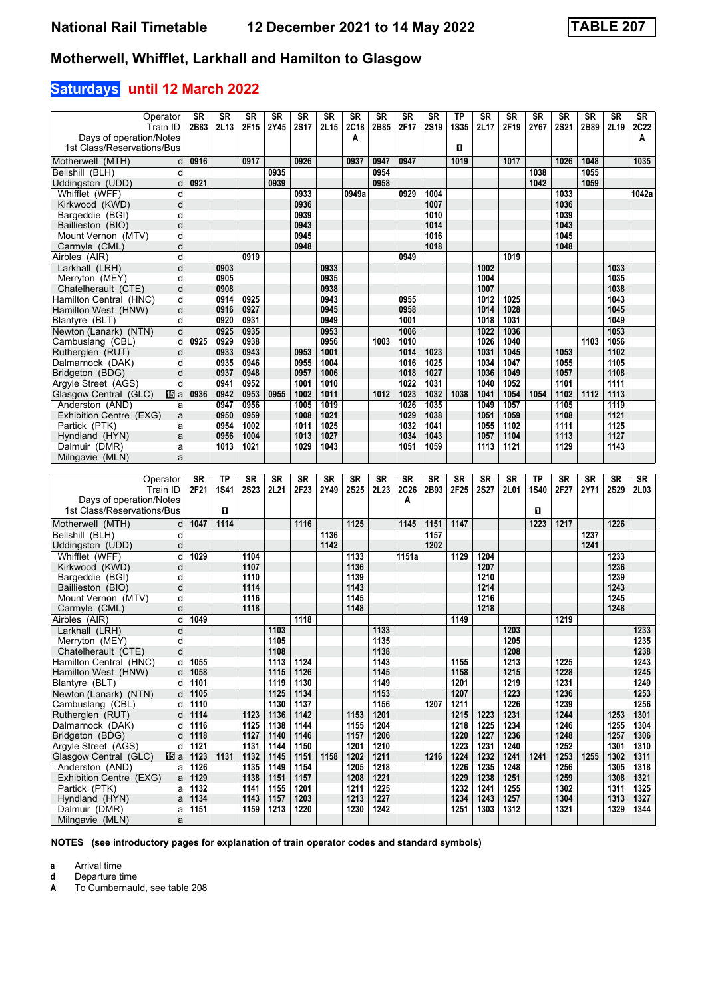## **Saturdays until 12 March 2022**

| Operator                                   | SR   | SR          | <b>SR</b>    | SR        | <b>SR</b>        | <b>SR</b> | SR           | <b>SR</b> | SR    | <b>SR</b>   | ТP          | <b>SR</b>    | SR        | SR          | <b>SR</b>   | SR   | <b>SR</b>    | SR          |
|--------------------------------------------|------|-------------|--------------|-----------|------------------|-----------|--------------|-----------|-------|-------------|-------------|--------------|-----------|-------------|-------------|------|--------------|-------------|
| Train ID                                   | 2B83 | 2L13        | 2F15         | 2Y45      | <b>2S17</b>      | 2L15      | 2C18         | 2B85      | 2F17  | <b>2S19</b> | <b>1S35</b> | 2L17         | 2F19      | 2Y67        | <b>2S21</b> | 2B89 | 2L19         | <b>2C22</b> |
| Days of operation/Notes                    |      |             |              |           |                  |           | A            |           |       |             |             |              |           |             |             |      |              | А           |
| 1st Class/Reservations/Bus                 |      |             |              |           |                  |           |              |           |       |             | п           |              |           |             |             |      |              |             |
|                                            |      |             |              |           |                  |           |              |           |       |             |             |              |           |             |             |      |              |             |
| Motherwell (MTH)<br>d                      | 0916 |             | 0917         |           | 0926             |           | 0937         | 0947      | 0947  |             | 1019        |              | 1017      |             | 1026        | 1048 |              | 1035        |
| Bellshill (BLH)<br>d                       |      |             |              | 0935      |                  |           |              | 0954      |       |             |             |              |           | 1038        |             | 1055 |              |             |
| Uddingston (UDD)<br>d                      | 0921 |             |              | 0939      |                  |           |              | 0958      |       |             |             |              |           | 1042        |             | 1059 |              |             |
| Whifflet (WFF)<br>d                        |      |             |              |           | 0933             |           | 0949a        |           | 0929  | 1004        |             |              |           |             | 1033        |      |              | 1042a       |
| Kirkwood (KWD)<br>d                        |      |             |              |           | 0936             |           |              |           |       | 1007        |             |              |           |             | 1036        |      |              |             |
| Bargeddie (BGI)<br>d                       |      |             |              |           | 0939             |           |              |           |       | 1010        |             |              |           |             | 1039        |      |              |             |
| Baillieston (BIO)<br>d                     |      |             |              |           | 0943             |           |              |           |       | 1014        |             |              |           |             | 1043        |      |              |             |
| Mount Vernon (MTV)<br>d                    |      |             |              |           | 0945             |           |              |           |       | 1016        |             |              |           |             | 1045        |      |              |             |
| d<br>Carmyle (CML)                         |      |             |              |           | 0948             |           |              |           |       | 1018        |             |              |           |             | 1048        |      |              |             |
| Airbles (AIR)<br>d                         |      |             | 0919         |           |                  |           |              |           | 0949  |             |             |              | 1019      |             |             |      |              |             |
| d<br>Larkhall (LRH)                        |      | 0903        |              |           |                  | 0933      |              |           |       |             |             | 1002         |           |             |             |      | 1033         |             |
| Merryton (MEY)<br>d                        |      | 0905        |              |           |                  | 0935      |              |           |       |             |             | 1004         |           |             |             |      | 1035         |             |
| d<br>Chatelherault (CTE)                   |      | 0908        |              |           |                  | 0938      |              |           |       |             |             | 1007         |           |             |             |      | 1038         |             |
| Hamilton Central (HNC)<br>d                |      | 0914        | 0925         |           |                  | 0943      |              |           | 0955  |             |             | 1012         | 1025      |             |             |      | 1043         |             |
| Hamilton West (HNW)<br>d                   |      | 0916        | 0927         |           |                  | 0945      |              |           | 0958  |             |             | 1014         | 1028      |             |             |      | 1045         |             |
| d<br>Blantyre (BLT)                        |      | 0920        | 0931         |           |                  | 0949      |              |           | 1001  |             |             | 1018         | 1031      |             |             |      | 1049         |             |
| Newton (Lanark) (NTN)<br>d                 |      | 0925        | 0935         |           |                  | 0953      |              |           | 1006  |             |             | 1022         | 1036      |             |             |      | 1053         |             |
| Cambuslang (CBL)<br>d                      | 0925 | 0929        | 0938         |           |                  | 0956      |              | 1003      | 1010  |             |             | 1026         | 1040      |             |             | 1103 | 1056         |             |
| Rutherglen (RUT)<br>d                      |      | 0933        | 0943         |           | 0953             | 1001      |              |           | 1014  | 1023        |             | 1031         | 1045      |             | 1053        |      | 1102         |             |
| Dalmarnock (DAK)<br>d                      |      | 0935        | 0946         |           | 0955             | 1004      |              |           | 1016  | 1025        |             | 1034         | 1047      |             | 1055        |      | 1105         |             |
| Bridgeton (BDG)<br>d                       |      | 0937        | 0948         |           | 0957             | 1006      |              |           | 1018  | 1027        |             | 1036         | 1049      |             | 1057        |      | 1108         |             |
| Argyle Street (AGS)<br>d                   |      | 0941        | 0952         |           | 1001             | 1010      |              |           | 1022  | 1031        |             | 1040         | 1052      |             | 1101        |      | 1111         |             |
| Glasgow Central (GLC)<br>阳a                | 0936 | 0942        | 0953         | 0955      | 1002             | 1011      |              | 1012      | 1023  | 1032        | 1038        | 1041         | 1054      | 1054        | 1102        | 1112 | 1113         |             |
| Anderston (AND)                            |      | 0947        | 0956         |           | $\frac{1}{1005}$ | 1019      |              |           |       | 1035        |             | 1049         | 1057      |             | 1105        |      | 1119         |             |
| a                                          |      |             |              |           |                  |           |              |           | 1026  |             |             |              |           |             |             |      |              |             |
| Exhibition Centre (EXG)<br>a               |      | 0950        | 0959         |           | 1008             | 1021      |              |           | 1029  | 1038        |             | 1051         | 1059      |             | 1108        |      | 1121         |             |
| Partick (PTK)<br>a                         |      | 0954        | 1002         |           | 1011             | 1025      |              |           | 1032  | 1041        |             | 1055         | 1102      |             | 1111        |      | 1125         |             |
| Hyndland (HYN)<br>a                        |      | 0956        | 1004         |           | 1013             | 1027      |              |           | 1034  | 1043        |             | 1057         | 1104      |             | 1113        |      | 1127         |             |
| Dalmuir (DMR)<br>a                         |      | 1013        | 1021         |           | 1029             | 1043      |              |           | 1051  | 1059        |             | 1113         | 1121      |             | 1129        |      | 1143         |             |
| Milngavie (MLN)<br>a                       |      |             |              |           |                  |           |              |           |       |             |             |              |           |             |             |      |              |             |
|                                            |      |             |              |           |                  |           |              |           |       |             |             |              |           |             |             |      |              |             |
|                                            |      |             |              |           |                  |           |              |           |       |             |             |              |           |             |             |      |              |             |
| Operator                                   | SR   | <b>TP</b>   | <b>SR</b>    | <b>SR</b> | <b>SR</b>        | <b>SR</b> | <b>SR</b>    | <b>SR</b> | SR    | <b>SR</b>   | SR          | <b>SR</b>    | <b>SR</b> | <b>TP</b>   | <b>SR</b>   | SR   | <b>SR</b>    | SR          |
| Train ID                                   | 2F21 | <b>1S41</b> | <b>2S23</b>  | 2L21      | 2F23             | 2Y49      | <b>2S25</b>  | 2L23      | 2C26  | 2B93        | 2F25        | <b>2S27</b>  | 2L01      | <b>1S40</b> | 2F27        | 2Y71 | <b>2S29</b>  | 2L03        |
| Days of operation/Notes                    |      |             |              |           |                  |           |              |           | A     |             |             |              |           |             |             |      |              |             |
| 1st Class/Reservations/Bus                 |      | О           |              |           |                  |           |              |           |       |             |             |              |           | п           |             |      |              |             |
| Motherwell (MTH)<br>d                      | 1047 | 1114        |              |           | 1116             |           | 1125         |           | 1145  | 1151        | 1147        |              |           | 1223        | 1217        |      | 1226         |             |
| Bellshill (BLH)<br>d                       |      |             |              |           |                  | 1136      |              |           |       | 1157        |             |              |           |             |             | 1237 |              |             |
| Uddingston (UDD)<br>d                      |      |             |              |           |                  | 1142      |              |           |       | 1202        |             |              |           |             |             | 1241 |              |             |
| d                                          | 1029 |             | 1104         |           |                  |           | 1133         |           | 1151a |             | 1129        | 1204         |           |             |             |      | 1233         |             |
| Whifflet (WFF)<br>d                        |      |             | 1107         |           |                  |           | 1136         |           |       |             |             | 1207         |           |             |             |      | 1236         |             |
| Kirkwood (KWD)<br>d                        |      |             |              |           |                  |           | 1139         |           |       |             |             | 1210         |           |             |             |      |              |             |
| Bargeddie (BGI)<br>d                       |      |             | 1110<br>1114 |           |                  |           | 1143         |           |       |             |             | 1214         |           |             |             |      | 1239         |             |
| Baillieston (BIO)                          |      |             |              |           |                  |           |              |           |       |             |             |              |           |             |             |      | 1243         |             |
| Mount Vernon (MTV)<br>d<br>d               |      |             | 1116         |           |                  |           | 1145<br>1148 |           |       |             |             | 1216<br>1218 |           |             |             |      | 1245<br>1248 |             |
| Carmyle (CML)                              |      |             | 1118         |           |                  |           |              |           |       |             | 1149        |              |           |             |             |      |              |             |
| Airbles (AIR)<br>d                         | 1049 |             |              |           | 1118             |           |              |           |       |             |             |              |           |             | 1219        |      |              |             |
| d<br>Larkhall (LRH)                        |      |             |              | 1103      |                  |           |              | 1133      |       |             |             |              | 1203      |             |             |      |              | 1233        |
| d<br>Merryton (MEY)                        |      |             |              | 1105      |                  |           |              | 1135      |       |             |             |              | 1205      |             |             |      |              | 1235        |
| Chatelherault (CTE)<br>d                   |      |             |              | 1108      |                  |           |              | 1138      |       |             |             |              | 1208      |             |             |      |              | 1238        |
| Hamilton Central (HNC)<br>d                | 1055 |             |              | 1113      | 1124             |           |              | 1143      |       |             | 1155        |              | 1213      |             | 1225        |      |              | 1243        |
| Hamilton West (HNW)<br>d                   | 1058 |             |              | 1115      | 1126             |           |              | 1145      |       |             | 1158        |              | 1215      |             | 1228        |      |              | 1245        |
| Blantyre (BLT)<br>d                        | 1101 |             |              | 1119      | 1130             |           |              | 1149      |       |             | 1201        |              | 1219      |             | 1231        |      |              | 1249        |
| Newton (Lanark) (NTN)<br>d                 | 1105 |             |              | 1125      | 1134             |           |              | 1153      |       |             | 1207        |              | 1223      |             | 1236        |      |              | 1253        |
| Cambuslang (CBL)<br>d                      | 1110 |             |              | 1130      | 1137             |           |              | 1156      |       | 1207        | 1211        |              | 1226      |             | 1239        |      |              | 1256        |
| Rutherglen (RUT)<br>d                      | 1114 |             | 1123         | 1136      | 1142             |           | 1153         | 1201      |       |             | 1215        | 1223         | 1231      |             | 1244        |      | 1253         | 1301        |
| Dalmarnock (DAK)<br>d                      | 1116 |             | 1125         | 1138      | 1144             |           | 1155         | 1204      |       |             | 1218        | 1225         | 1234      |             | 1246        |      | 1255         | 1304        |
| Bridgeton (BDG)<br>d                       | 1118 |             | 1127         | 1140      | 1146             |           | 1157         | 1206      |       |             | 1220        | 1227         | 1236      |             | 1248        |      | 1257         | 1306        |
| Argyle Street (AGS)<br>d                   | 1121 |             | 1131         | 1144      | 1150             |           | 1201         | 1210      |       |             | 1223        | 1231         | 1240      |             | 1252        |      | 1301         | 1310        |
| Glasgow Central (GLC)<br>115 a             | 1123 | 1131        | 1132         | 1145      | 1151             | 1158      | 1202         | 1211      |       | 1216        | 1224        | 1232         | 1241      | 1241        | 1253        | 1255 | 1302         | 1311        |
| Anderston (AND)<br>a                       | 1126 |             | 1135         | 1149      | 1154             |           | 1205         | 1218      |       |             | 1226        | 1235         | 1248      |             | 1256        |      | 1305         | 1318        |
| Exhibition Centre (EXG)<br>a               | 1129 |             | 1138         | 1151      | 1157             |           | 1208         | 1221      |       |             | 1229        | 1238         | 1251      |             | 1259        |      | 1308         | 1321        |
| Partick (PTK)<br>a                         | 1132 |             | 1141         | 1155      | 1201             |           | 1211         | 1225      |       |             | 1232        | 1241         | 1255      |             | 1302        |      | 1311         | 1325        |
| Hyndland (HYN)<br>$\mathsf{a}$             | 1134 |             | 1143         | 1157      | 1203             |           | 1213         | 1227      |       |             | 1234        | 1243         | 1257      |             | 1304        |      | 1313         | 1327        |
| Dalmuir (DMR)<br>a<br>Milngavie (MLN)<br>a | 1151 |             | 1159         | 1213      | 1220             |           | 1230         | 1242      |       |             | 1251        | 1303         | 1312      |             | 1321        |      | 1329         | 1344        |

**NOTES (see introductory pages for explanation of train operator codes and standard symbols)**

**a** Arrival time<br>**d** Departure t

**d** Departure time<br>**A** To Cumbernaul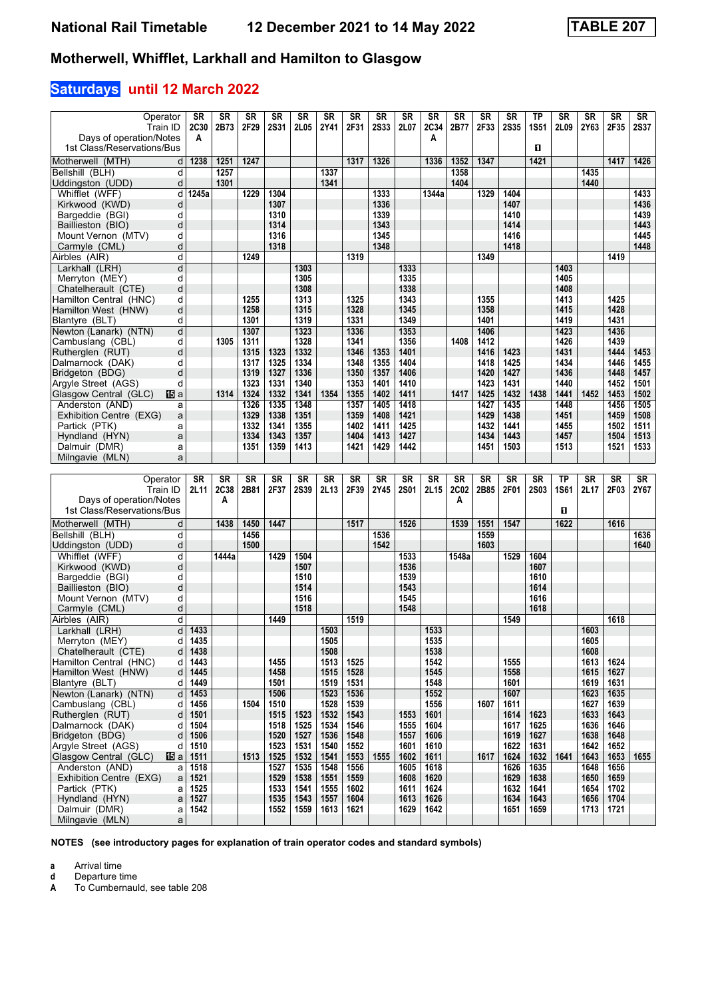## **Saturdays until 12 March 2022**

| Operator                                                | SR           | SR           | <b>SR</b>         | SR           | <b>SR</b>    | <b>SR</b>    | SR           | <b>SR</b>         | SR           | <b>SR</b>    | SR               | SR             | SR                | ТP           | SR           | SR           | <b>SR</b>         | SR              |
|---------------------------------------------------------|--------------|--------------|-------------------|--------------|--------------|--------------|--------------|-------------------|--------------|--------------|------------------|----------------|-------------------|--------------|--------------|--------------|-------------------|-----------------|
| Train ID                                                | <b>2C30</b>  | 2B73         | 2F29              | <b>2S31</b>  | 2L05         | 2Y41         | 2F31         | <b>2S33</b>       | 2L07         | 2C34         | 2B77             | 2F33           | <b>2S35</b>       | <b>1S51</b>  | 2L09         | 2Y63         | 2F35              | <b>2S37</b>     |
| Days of operation/Notes<br>1st Class/Reservations/Bus   | A            |              |                   |              |              |              |              |                   |              | Α            |                  |                |                   | 0            |              |              |                   |                 |
|                                                         |              |              |                   |              |              |              |              |                   |              |              |                  |                |                   |              |              |              |                   |                 |
| Motherwell (MTH)<br>d<br>Bellshill (BLH)<br>d           | 1238         | 1251<br>1257 | 1247              |              |              | 1337         | 1317         | 1326              |              | 1336         | 1352<br>1358     | 1347           |                   | 1421         |              | 1435         | 1417              | 1426            |
| Uddingston (UDD)<br>d                                   |              | 1301         |                   |              |              | 1341         |              |                   |              |              | 1404             |                |                   |              |              | 1440         |                   |                 |
| Whifflet (WFF)<br>d                                     | 1245a        |              | 1229              | 1304         |              |              |              | 1333              |              | 1344a        |                  | 1329           | 1404              |              |              |              |                   | 1433            |
| Kirkwood (KWD)<br>d                                     |              |              |                   | 1307         |              |              |              | 1336              |              |              |                  |                | 1407              |              |              |              |                   | 1436            |
| Bargeddie (BGI)<br>d                                    |              |              |                   | 1310         |              |              |              | 1339              |              |              |                  |                | 1410              |              |              |              |                   | 1439            |
| Baillieston (BIO)<br>d                                  |              |              |                   | 1314         |              |              |              | 1343              |              |              |                  |                | 1414              |              |              |              |                   | 1443            |
| Mount Vernon (MTV)<br>d                                 |              |              |                   | 1316         |              |              |              | 1345              |              |              |                  |                | 1416              |              |              |              |                   | 1445            |
| Carmyle (CML)<br>d                                      |              |              |                   | 1318         |              |              |              | 1348              |              |              |                  |                | 1418              |              |              |              |                   | 1448            |
| Airbles (AIR)<br>d                                      |              |              | 1249              |              |              |              | 1319         |                   |              |              |                  | 1349           |                   |              |              |              | 1419              |                 |
| d<br>Larkhall (LRH)                                     |              |              |                   |              | 1303         |              |              |                   | 1333         |              |                  |                |                   |              | 1403         |              |                   |                 |
| Merryton (MEY)<br>d                                     |              |              |                   |              | 1305         |              |              |                   | 1335         |              |                  |                |                   |              | 1405         |              |                   |                 |
| Chatelherault (CTE)<br>d                                |              |              |                   |              | 1308         |              |              |                   | 1338         |              |                  |                |                   |              | 1408         |              |                   |                 |
| Hamilton Central (HNC)<br>d<br>Hamilton West (HNW)<br>d |              |              | 1255<br>1258      |              | 1313<br>1315 |              | 1325<br>1328 |                   | 1343<br>1345 |              |                  | 1355<br>1358   |                   |              | 1413<br>1415 |              | 1425<br>1428      |                 |
| Blantyre (BLT)<br>d                                     |              |              | 1301              |              | 1319         |              | 1331         |                   | 1349         |              |                  | 1401           |                   |              | 1419         |              | 1431              |                 |
| Newton (Lanark) (NTN)<br>d                              |              |              | 1307              |              | 1323         |              | 1336         |                   | 1353         |              |                  | 1406           |                   |              | 1423         |              | 1436              |                 |
| Cambuslang (CBL)<br>d                                   |              | 1305         | 1311              |              | 1328         |              | 1341         |                   | 1356         |              | 1408             | 1412           |                   |              | 1426         |              | 1439              |                 |
| Rutheralen (RUT)<br>d                                   |              |              | 1315              | 1323         | 1332         |              | 1346         | 1353              | 1401         |              |                  | 1416           | 1423              |              | 1431         |              | 1444              | 1453            |
| Dalmarnock (DAK)<br>d                                   |              |              | 1317              | 1325         | 1334         |              | 1348         | 1355              | 1404         |              |                  | 1418           | 1425              |              | 1434         |              | 1446              | 1455            |
| Bridgeton (BDG)<br>d                                    |              |              | 1319              | 1327         | 1336         |              | 1350         | 1357              | 1406         |              |                  | 1420           | 1427              |              | 1436         |              | 1448              | 1457            |
| Argyle Street (AGS)<br>d                                |              |              | 1323              | 1331         | 1340         |              | 1353         | 1401              | 1410         |              |                  | 1423           | 1431              |              | 1440         |              | 1452              | 1501            |
| 阳a<br>Glasgow Central (GLC)                             |              | 1314         | 1324              | 1332         | 1341         | 1354         | 1355         | 1402              | 1411         |              | 1417             | 1425           | 1432              | 1438         | 1441         | 1452         | 1453              | 1502            |
| Anderston (AND)<br>a                                    |              |              | 1326              | 1335         | 1348         |              | 1357         | 1405              | 1418         |              |                  | 1427           | 1435              |              | 1448         |              | 1456              | 1505            |
| Exhibition Centre (EXG)<br>a                            |              |              | 1329              | 1338         | 1351         |              | 1359         | 1408              | 1421         |              |                  | 1429           | 1438              |              | 1451         |              | 1459              | 1508            |
| Partick (PTK)<br>a                                      |              |              | 1332              | 1341         | 1355         |              | 1402         | 1411              | 1425         |              |                  | 1432           | 1441              |              | 1455         |              | 1502              | 1511            |
| Hyndland (HYN)<br>a<br>Dalmuir (DMR)<br>a               |              |              | 1334<br>1351      | 1343<br>1359 | 1357<br>1413 |              | 1404<br>1421 | 1413<br>1429      | 1427<br>1442 |              |                  | 1434<br>1451   | 1443<br>1503      |              | 1457<br>1513 |              | 1504<br>1521      | 1513<br>1533    |
| Milngavie (MLN)<br>a                                    |              |              |                   |              |              |              |              |                   |              |              |                  |                |                   |              |              |              |                   |                 |
|                                                         |              |              |                   |              |              |              |              |                   |              |              |                  |                |                   |              |              |              |                   |                 |
|                                                         |              |              |                   |              |              |              |              |                   |              |              |                  |                |                   |              |              |              |                   |                 |
|                                                         |              |              |                   |              |              |              |              |                   |              |              |                  |                |                   |              |              |              |                   |                 |
| Operator<br>Train ID                                    | SR<br>2L11   | <b>SR</b>    | <b>SR</b><br>2B81 | SR           | <b>SR</b>    | <b>SR</b>    | <b>SR</b>    | <b>SR</b><br>2Y45 | <b>SR</b>    | <b>SR</b>    | <b>SR</b>        | S <sub>R</sub> | <b>SR</b><br>2F01 | <b>SR</b>    | <b>TP</b>    | <b>SR</b>    | <b>SR</b><br>2F03 | $S_{R}$<br>2Y67 |
| Days of operation/Notes                                 |              | 2C38<br>A    |                   | 2F37         | <b>2S39</b>  | 2L13         | 2F39         |                   | <b>2S01</b>  | 2L15         | <b>2C02</b><br>A | 2B85           |                   | <b>2S03</b>  | <b>1S61</b>  | 2L17         |                   |                 |
| 1st Class/Reservations/Bus                              |              |              |                   |              |              |              |              |                   |              |              |                  |                |                   |              | O            |              |                   |                 |
| Motherwell (MTH)<br>d                                   |              | 1438         | 1450              | 1447         |              |              | 1517         |                   | 1526         |              | 1539             | 1551           | 1547              |              | 1622         |              | 1616              |                 |
| Bellshill (BLH)<br>d                                    |              |              | 1456              |              |              |              |              | 1536              |              |              |                  | 1559           |                   |              |              |              |                   | 1636            |
| Uddingston (UDD)<br>d                                   |              |              | 1500              |              |              |              |              | 1542              |              |              |                  | 1603           |                   |              |              |              |                   | 1640            |
| d<br>Whifflet (WFF)                                     |              | 1444a        |                   | 1429         | 1504         |              |              |                   | 1533         |              | 1548a            |                | 1529              | 1604         |              |              |                   |                 |
| Kirkwood (KWD)<br>d                                     |              |              |                   |              | 1507         |              |              |                   | 1536         |              |                  |                |                   | 1607         |              |              |                   |                 |
| Bargeddie (BGI)<br>d                                    |              |              |                   |              | 1510         |              |              |                   | 1539         |              |                  |                |                   | 1610         |              |              |                   |                 |
| Baillieston (BIO)<br>d                                  |              |              |                   |              | 1514         |              |              |                   | 1543         |              |                  |                |                   | 1614         |              |              |                   |                 |
| Mount Vernon (MTV)<br>d                                 |              |              |                   |              | 1516         |              |              |                   | 1545         |              |                  |                |                   | 1616         |              |              |                   |                 |
| d<br>Carmyle (CML)                                      |              |              |                   |              | 1518         |              |              |                   | 1548         |              |                  |                |                   | 1618         |              |              |                   |                 |
| d<br>Airbles (AIR)                                      |              |              |                   | 1449         |              |              | 1519         |                   |              |              |                  |                | 1549              |              |              |              | 1618              |                 |
| d<br>Larkhall (LRH)                                     | 1433         |              |                   |              |              | 1503         |              |                   |              | 1533         |                  |                |                   |              |              | 1603         |                   |                 |
| Merryton (MEY)<br>d<br>Chatelherault (CTE)<br>d         | 1435<br>1438 |              |                   |              |              | 1505<br>1508 |              |                   |              | 1535         |                  |                |                   |              |              | 1605<br>1608 |                   |                 |
| Hamilton Central (HNC)<br>d                             | 1443         |              |                   | 1455         |              | 1513         | 1525         |                   |              | 1538<br>1542 |                  |                | 1555              |              |              | 1613         | 1624              |                 |
| Hamilton West (HNW)<br>d                                | 1445         |              |                   | 1458         |              | 1515         | 1528         |                   |              | 1545         |                  |                | 1558              |              |              | 1615         | 1627              |                 |
| Blantyre (BLT)<br>d                                     | 1449         |              |                   | 1501         |              | 1519         | 1531         |                   |              | 1548         |                  |                | 1601              |              |              | 1619         | 1631              |                 |
| Newton (Lanark) (NTN)<br>d                              | 1453         |              |                   | 1506         |              | 1523         | 1536         |                   |              | 1552         |                  |                | 1607              |              |              | 1623         | 1635              |                 |
| Cambuslang (CBL)<br>d                                   | 1456         |              | 1504              | 1510         |              | 1528         | 1539         |                   |              | 1556         |                  | 1607           | 1611              |              |              | 1627         | 1639              |                 |
| Rutherglen (RUT)<br>d                                   | 1501         |              |                   | 1515         | 1523         | 1532         | 1543         |                   | 1553         | 1601         |                  |                | 1614              | 1623         |              | 1633         | 1643              |                 |
| Dalmarnock (DAK)<br>d                                   | 1504         |              |                   | 1518         | 1525         | 1534         | 1546         |                   | 1555         | 1604         |                  |                | 1617              | 1625         |              | 1636         | 1646              |                 |
| Bridgeton (BDG)<br>d                                    | 1506         |              |                   | 1520         | 1527         | 1536         | 1548         |                   | 1557         | 1606         |                  |                | 1619              | 1627         |              | 1638         | 1648              |                 |
| Argyle Street (AGS)<br>d                                | 1510         |              |                   | 1523         | 1531         | 1540         | 1552         |                   | 1601         | 1610         |                  |                | 1622              | 1631         |              | 1642         | 1652              |                 |
| Glasgow Central (GLC)<br>阳a<br>Anderston (AND)          | 1511         |              | 1513              | 1525         | 1532         | 1541         | 1553         | 1555              | 1602         | 1611         |                  | 1617           | 1624              | 1632         | 1641         | 1643         | 1653              | 1655            |
| a<br>Exhibition Centre (EXG)<br>a                       | 1518<br>1521 |              |                   | 1527<br>1529 | 1535<br>1538 | 1548<br>1551 | 1556<br>1559 |                   | 1605<br>1608 | 1618<br>1620 |                  |                | 1626<br>1629      | 1635<br>1638 |              | 1648<br>1650 | 1656<br>1659      |                 |
| Partick (PTK)<br>a                                      | 1525         |              |                   | 1533         | 1541         | 1555         | 1602         |                   | 1611         | 1624         |                  |                | 1632              | 1641         |              | 1654         | 1702              |                 |
| Hyndland (HYN)<br>a                                     | 1527         |              |                   | 1535         | 1543         | 1557         | 1604         |                   | 1613         | 1626         |                  |                | 1634              | 1643         |              | 1656         | 1704              |                 |
| Dalmuir (DMR)<br>a<br>Milngavie (MLN)<br>a              | 1542         |              |                   | 1552         | 1559         | 1613         | 1621         |                   | 1629         | 1642         |                  |                | 1651              | 1659         |              | 1713         | 1721              |                 |

**NOTES (see introductory pages for explanation of train operator codes and standard symbols)**

**a** Arrival time<br>**d** Departure t

**d** Departure time<br>**A** To Cumbernaul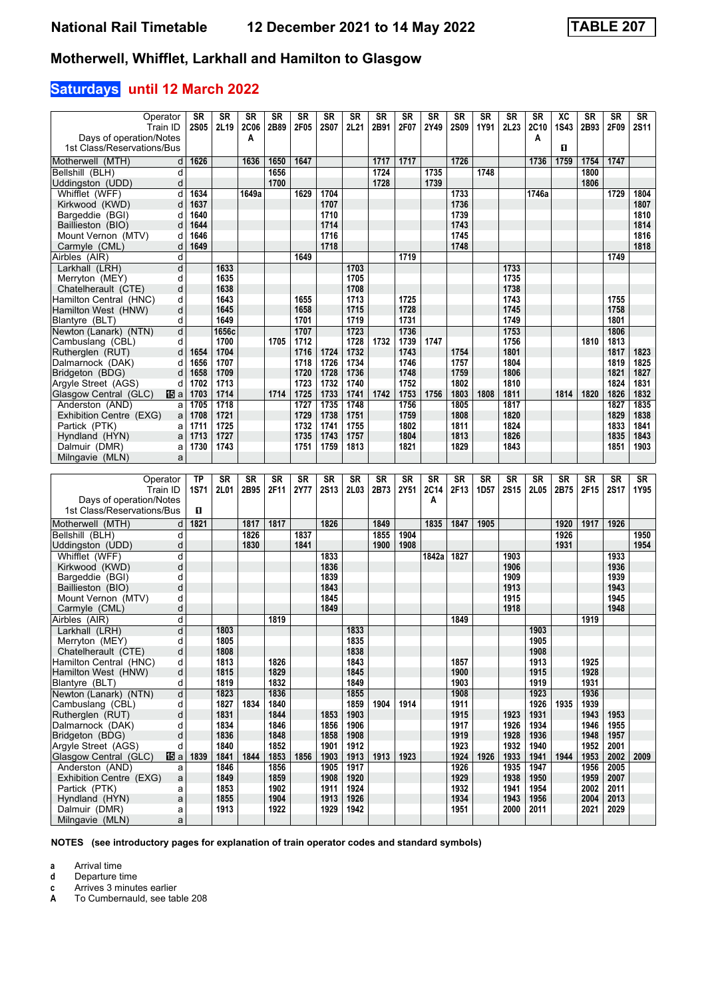# **Saturdays until 12 March 2022**

| Operator<br>Train ID                                    | SR<br><b>2S05</b> | SR<br>2L19   | <b>SR</b><br><b>2C06</b> | <b>SR</b><br>2B89 | <b>SR</b><br>2F05 | <b>SR</b><br><b>2S07</b> | SR<br>2L21   | <b>SR</b><br>2B91 | SR<br>2F07   | <b>SR</b><br>2Y49 | SR<br><b>2S09</b> | <b>SR</b><br>1Y91 | <b>SR</b><br>2L <sub>23</sub> | <b>SR</b><br>2C10 | XC<br><b>1S43</b> | <b>SR</b><br>2B93 | <b>SR</b><br>2F09 | SR<br>2S11   |
|---------------------------------------------------------|-------------------|--------------|--------------------------|-------------------|-------------------|--------------------------|--------------|-------------------|--------------|-------------------|-------------------|-------------------|-------------------------------|-------------------|-------------------|-------------------|-------------------|--------------|
| Days of operation/Notes                                 |                   |              | А                        |                   |                   |                          |              |                   |              |                   |                   |                   |                               | A                 |                   |                   |                   |              |
| 1st Class/Reservations/Bus                              |                   |              |                          |                   |                   |                          |              |                   |              |                   |                   |                   |                               |                   | $\mathbf{u}$      |                   |                   |              |
| Motherwell (MTH)<br>d                                   | 1626              |              | 1636                     | 1650              | 1647              |                          |              | 1717              | 1717         |                   | 1726              |                   |                               | 1736              | 1759              | 1754              | 1747              |              |
| Bellshill (BLH)<br>d                                    |                   |              |                          | 1656              |                   |                          |              | 1724              |              | 1735              |                   | 1748              |                               |                   |                   | 1800              |                   |              |
| d<br>Uddingston (UDD)                                   |                   |              |                          | 1700              |                   |                          |              | 1728              |              | 1739              |                   |                   |                               |                   |                   | 1806              |                   |              |
| Whifflet (WFF)<br>d                                     | 1634              |              | 1649a                    |                   | 1629              | 1704                     |              |                   |              |                   | 1733              |                   |                               | 1746a             |                   |                   | 1729              | 1804         |
| Kirkwood (KWD)<br>d                                     | 1637              |              |                          |                   |                   | 1707                     |              |                   |              |                   | 1736              |                   |                               |                   |                   |                   |                   | 1807         |
| Bargeddie (BGI)<br>d<br>Baillieston (BIO)<br>d          | 1640<br>1644      |              |                          |                   |                   | 1710<br>1714             |              |                   |              |                   | 1739<br>1743      |                   |                               |                   |                   |                   |                   | 1810<br>1814 |
| Mount Vernon (MTV)<br>d                                 | 1646              |              |                          |                   |                   | 1716                     |              |                   |              |                   | 1745              |                   |                               |                   |                   |                   |                   | 1816         |
| Carmyle (CML)<br>d                                      | 1649              |              |                          |                   |                   | 1718                     |              |                   |              |                   | 1748              |                   |                               |                   |                   |                   |                   | 1818         |
| Airbles (AIR)<br>d                                      |                   |              |                          |                   | 1649              |                          |              |                   | 1719         |                   |                   |                   |                               |                   |                   |                   | 1749              |              |
| Larkhall (LRH)<br>d                                     |                   | 1633         |                          |                   |                   |                          | 1703         |                   |              |                   |                   |                   | 1733                          |                   |                   |                   |                   |              |
| Merryton (MEY)<br>d                                     |                   | 1635         |                          |                   |                   |                          | 1705         |                   |              |                   |                   |                   | 1735                          |                   |                   |                   |                   |              |
| Chatelherault (CTE)<br>d                                |                   | 1638         |                          |                   |                   |                          | 1708         |                   |              |                   |                   |                   | 1738                          |                   |                   |                   |                   |              |
| Hamilton Central (HNC)<br>d                             |                   | 1643         |                          |                   | 1655              |                          | 1713         |                   | 1725         |                   |                   |                   | 1743                          |                   |                   |                   | 1755              |              |
| Hamilton West (HNW)<br>d                                |                   | 1645<br>1649 |                          |                   | 1658<br>1701      |                          | 1715<br>1719 |                   | 1728<br>1731 |                   |                   |                   | 1745<br>1749                  |                   |                   |                   | 1758              |              |
| d<br>Blantyre (BLT)<br>Newton (Lanark) (NTN)<br>d       |                   | 1656c        |                          |                   | 1707              |                          | 1723         |                   | 1736         |                   |                   |                   | 1753                          |                   |                   |                   | 1801<br>1806      |              |
| Cambuslang (CBL)<br>d                                   |                   | 1700         |                          | 1705              | 1712              |                          | 1728         | 1732              | 1739         | 1747              |                   |                   | 1756                          |                   |                   | 1810              | 1813              |              |
| Rutherglen (RUT)<br>d                                   | 1654              | 1704         |                          |                   | 1716              | 1724                     | 1732         |                   | 1743         |                   | 1754              |                   | 1801                          |                   |                   |                   | 1817              | 1823         |
| Dalmarnock (DAK)<br>d                                   | 1656              | 1707         |                          |                   | 1718              | 1726                     | 1734         |                   | 1746         |                   | 1757              |                   | 1804                          |                   |                   |                   | 1819              | 1825         |
| Bridgeton (BDG)<br>d                                    | 1658              | 1709         |                          |                   | 1720              | 1728                     | 1736         |                   | 1748         |                   | 1759              |                   | 1806                          |                   |                   |                   | 1821              | 1827         |
| Argyle Street (AGS)<br>d                                | 1702              | 1713         |                          |                   | 1723              | 1732                     | 1740         |                   | 1752         |                   | 1802              |                   | 1810                          |                   |                   |                   | 1824              | 1831         |
| Glasgow Central (GLC)<br>個a                             | 1703              | 1714         |                          | 1714              | 1725              | 1733                     | 1741         | 1742              | 1753         | 1756              | 1803              | 1808              | 1811                          |                   | 1814              | 1820              | 1826              | 1832         |
| Anderston (AND)<br>a                                    | 1705              | 1718         |                          |                   | 1727              | 1735                     | 1748         |                   | 1756         |                   | 1805              |                   | 1817                          |                   |                   |                   | 1827              | 1835         |
| Exhibition Centre (EXG)<br>a<br>Partick (PTK)           | 1708              | 1721<br>1725 |                          |                   | 1729<br>1732      | 1738<br>1741             | 1751<br>1755 |                   | 1759<br>1802 |                   | 1808<br>1811      |                   | 1820<br>1824                  |                   |                   |                   | 1829<br>1833      | 1838<br>1841 |
| a<br>Hyndland (HYN)<br>a                                | 1711<br>1713      | 1727         |                          |                   | 1735              | 1743                     | 1757         |                   | 1804         |                   | 1813              |                   | 1826                          |                   |                   |                   | 1835              | 1843         |
| Dalmuir (DMR)<br>a                                      | 1730              | 1743         |                          |                   | 1751              | 1759                     | 1813         |                   | 1821         |                   | 1829              |                   | 1843                          |                   |                   |                   | 1851              | 1903         |
| Milngavie (MLN)<br>a                                    |                   |              |                          |                   |                   |                          |              |                   |              |                   |                   |                   |                               |                   |                   |                   |                   |              |
|                                                         |                   |              |                          |                   |                   |                          |              |                   |              |                   |                   |                   |                               |                   |                   |                   |                   |              |
|                                                         |                   |              |                          |                   |                   |                          |              |                   |              |                   |                   |                   |                               |                   |                   |                   |                   |              |
| Operator                                                | ТP                | <b>SR</b>    | <b>SR</b>                | <b>SR</b>         | <b>SR</b>         | <b>SR</b>                | <b>SR</b>    | <b>SR</b>         | SR           | <b>SR</b>         | <b>SR</b>         | <b>SR</b>         | <b>SR</b>                     | <b>SR</b>         | <b>SR</b>         | SR                | <b>SR</b>         | SR           |
| Train ID                                                | <b>1S71</b>       | 2L01         | 2B95                     | 2F11              | 2Y77              | <b>2S13</b>              | 2L03         | 2B73              | 2Y51         | <b>2C14</b>       | 2F13              | 1D <sub>57</sub>  | <b>2S15</b>                   | 2L05              | 2B75              | 2F15              | <b>2S17</b>       | 1Y95         |
| Days of operation/Notes                                 |                   |              |                          |                   |                   |                          |              |                   |              | Α                 |                   |                   |                               |                   |                   |                   |                   |              |
| 1st Class/Reservations/Bus                              | п                 |              |                          |                   |                   |                          |              |                   |              |                   |                   |                   |                               |                   |                   |                   |                   |              |
| Motherwell (MTH)<br>d                                   | 1821              |              | 1817                     | 1817              |                   | 1826                     |              | 1849              |              | 1835              | 1847              | 1905              |                               |                   | 1920              | 1917              | 1926              |              |
| Bellshill (BLH)<br>d                                    |                   |              | 1826                     |                   | 1837              |                          |              | 1855              | 1904         |                   |                   |                   |                               |                   | 1926              |                   |                   | 1950         |
| d<br>Uddingston (UDD)                                   |                   |              | 1830                     |                   | 1841              |                          |              | 1900              | 1908         |                   |                   |                   |                               |                   | 1931              |                   |                   | 1954         |
| Whifflet (WFF)<br>d                                     |                   |              |                          |                   |                   | 1833                     |              |                   |              | 1842a             | 1827              |                   | 1903                          |                   |                   |                   | 1933              |              |
| d<br>Kirkwood (KWD)<br>d                                |                   |              |                          |                   |                   | 1836                     |              |                   |              |                   |                   |                   | 1906                          |                   |                   |                   | 1936<br>1939      |              |
| Bargeddie (BGI)<br>d<br>Baillieston (BIO)               |                   |              |                          |                   |                   | 1839<br>1843             |              |                   |              |                   |                   |                   | 1909<br>1913                  |                   |                   |                   | 1943              |              |
| Mount Vernon (MTV)<br>d                                 |                   |              |                          |                   |                   | 1845                     |              |                   |              |                   |                   |                   | 1915                          |                   |                   |                   | 1945              |              |
| d<br>Carmyle (CML)                                      |                   |              |                          |                   |                   | 1849                     |              |                   |              |                   |                   |                   | 1918                          |                   |                   |                   | 1948              |              |
| d<br>Airbles (AIR)                                      |                   |              |                          | 1819              |                   |                          |              |                   |              |                   | 1849              |                   |                               |                   |                   | 1919              |                   |              |
| d<br>Larkhall (LRH)                                     |                   | 1803         |                          |                   |                   |                          | 1833         |                   |              |                   |                   |                   |                               | 1903              |                   |                   |                   |              |
| d<br>Merryton (MEY)                                     |                   | 1805         |                          |                   |                   |                          | 1835         |                   |              |                   |                   |                   |                               | 1905              |                   |                   |                   |              |
| Chatelherault (CTE)<br>d                                |                   | 1808<br>1813 |                          |                   |                   |                          | 1838<br>1843 |                   |              |                   |                   |                   |                               | 1908              |                   |                   |                   |              |
| Hamilton Central (HNC)<br>d<br>d<br>Hamilton West (HNW) |                   | 1815         |                          | 1826<br>1829      |                   |                          | 1845         |                   |              |                   | 1857<br>1900      |                   |                               | 1913<br>1915      |                   | 1925<br>1928      |                   |              |
| d<br>Blantyre (BLT)                                     |                   | 1819         |                          | 1832              |                   |                          | 1849         |                   |              |                   | 1903              |                   |                               | 1919              |                   | 1931              |                   |              |
| Newton (Lanark) (NTN)<br>d                              |                   | 1823         |                          | 1836              |                   |                          | 1855         |                   |              |                   | 1908              |                   |                               | 1923              |                   | 1936              |                   |              |
| Cambuslang (CBL)<br>d                                   |                   | 1827         | 1834                     | 1840              |                   |                          | 1859         | 1904              | 1914         |                   | 1911              |                   |                               | 1926              | 1935              | 1939              |                   |              |
| Rutherglen (RUT)<br>d                                   |                   | 1831         |                          | 1844              |                   | 1853                     | 1903         |                   |              |                   | 1915              |                   | 1923                          | 1931              |                   | 1943              | 1953              |              |
| Dalmarnock (DAK)<br>d                                   |                   | 1834         |                          | 1846              |                   | 1856                     | 1906         |                   |              |                   | 1917              |                   | 1926                          | 1934              |                   | 1946              | 1955              |              |
| Bridgeton (BDG)<br>d                                    |                   | 1836         |                          | 1848              |                   | 1858                     | 1908         |                   |              |                   | 1919              |                   | 1928                          | 1936              |                   | 1948              | 1957              |              |
| Aravle Street (AGS)<br>d                                | 1839              | 1840<br>1841 | 1844                     | 1852              | 1856              | 1901<br>1903             | 1912         | 1913              | 1923         |                   | 1923              | 1926              | 1932                          | 1940              | 1944              | 1952              | 2001              | 2009         |
| Glasgow Central (GLC)<br>115 al<br>Anderston (AND)<br>a |                   | 1846         |                          | 1853<br>1856      |                   | 1905                     | 1913<br>1917 |                   |              |                   | 1924<br>1926      |                   | 1933<br>1935                  | 1941<br>1947      |                   | 1953<br>1956      | 2002<br>2005      |              |
| Exhibition Centre (EXG)<br>a                            |                   | 1849         |                          | 1859              |                   | 1908                     | 1920         |                   |              |                   | 1929              |                   | 1938                          | 1950              |                   | 1959              | 2007              |              |
| Partick (PTK)<br>a                                      |                   | 1853         |                          | 1902              |                   | 1911                     | 1924         |                   |              |                   | 1932              |                   | 1941                          | 1954              |                   | 2002              | 2011              |              |
| Hyndland (HYN)<br>$\mathsf{a}$                          |                   | 1855         |                          | 1904              |                   | 1913                     | 1926         |                   |              |                   | 1934              |                   | 1943                          | 1956              |                   | 2004              | 2013              |              |
| Dalmuir (DMR)<br>a<br>Milngavie (MLN)<br>$\mathsf{a}$   |                   | 1913         |                          | 1922              |                   | 1929                     | 1942         |                   |              |                   | 1951              |                   | 2000                          | 2011              |                   | 2021              | 2029              |              |

**NOTES (see introductory pages for explanation of train operator codes and standard symbols)**

**a** Arrival time<br>**d** Departure t

**d** Departure time<br>**c** Arrives 3 minute

**c** Arrives 3 minutes earlier<br>**A** To Cumbernauld, see tak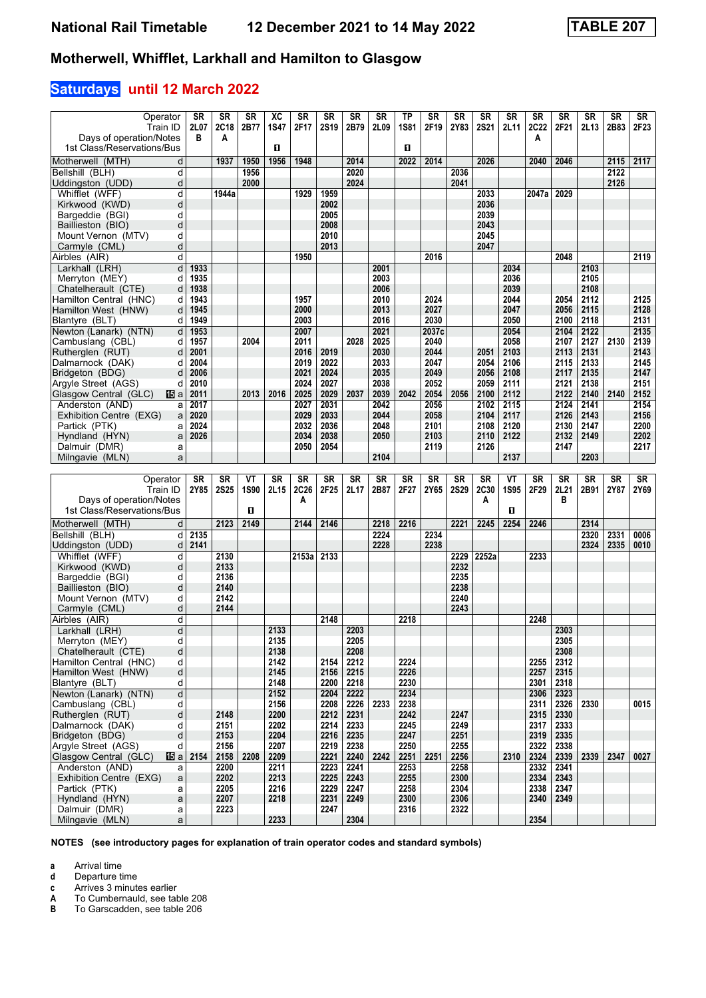# **Saturdays until 12 March 2022**

| Operator                                               | SR           | <b>SR</b>    | <b>SR</b> | <b>XC</b>    | <b>SR</b>    | <b>SR</b>    | <b>SR</b>    | <b>SR</b>    | TP           | <b>SR</b>    | <b>SR</b>    | <b>SR</b>    | <b>SR</b>    | <b>SR</b>    | <b>SR</b>    | <b>SR</b>    | <b>SR</b>    | <b>SR</b>    |
|--------------------------------------------------------|--------------|--------------|-----------|--------------|--------------|--------------|--------------|--------------|--------------|--------------|--------------|--------------|--------------|--------------|--------------|--------------|--------------|--------------|
| Train ID<br>Days of operation/Notes                    | 2L07<br>в    | 2C18<br>A    | 2B77      | <b>1S47</b>  | 2F17         | <b>2S19</b>  | 2B79         | 2L09         | <b>1S81</b>  | 2F19         | 2Y83         | <b>2S21</b>  | 2L11         | 2C22<br>A    | 2F21         | 2L13         | 2B83         | 2F23         |
| 1st Class/Reservations/Bus                             |              |              |           | п            |              |              |              |              | п            |              |              |              |              |              |              |              |              |              |
| Motherwell (MTH)<br>d                                  |              | 1937         | 1950      | 1956         | 1948         |              | 2014         |              | 2022         | 2014         |              | 2026         |              | 2040         | 2046         |              | 2115         | 2117         |
| d<br>Bellshill (BLH)                                   |              |              | 1956      |              |              |              | 2020         |              |              |              | 2036         |              |              |              |              |              | 2122         |              |
| Uddingston (UDD)<br>d                                  |              |              | 2000      |              |              |              | 2024         |              |              |              | 2041         |              |              |              |              |              | 2126         |              |
| Whifflet (WFF)<br>d                                    |              | 1944a        |           |              | 1929         | 1959         |              |              |              |              |              | 2033         |              | 2047a        | 2029         |              |              |              |
| d<br>Kirkwood (KWD)                                    |              |              |           |              |              | 2002         |              |              |              |              |              | 2036         |              |              |              |              |              |              |
| Bargeddie (BGI)<br>d                                   |              |              |           |              |              | 2005         |              |              |              |              |              | 2039         |              |              |              |              |              |              |
| Baillieston (BIO)<br>d                                 |              |              |           |              |              | 2008         |              |              |              |              |              | 2043         |              |              |              |              |              |              |
| Mount Vernon (MTV)<br>d<br>d                           |              |              |           |              |              | 2010<br>2013 |              |              |              |              |              | 2045<br>2047 |              |              |              |              |              |              |
| Carmyle (CML)<br>Airbles (AIR)<br>d                    |              |              |           |              | 1950         |              |              |              |              | 2016         |              |              |              |              | 2048         |              |              | 2119         |
| Larkhall (LRH)<br>d                                    | 1933         |              |           |              |              |              |              | 2001         |              |              |              |              | 2034         |              |              | 2103         |              |              |
| Merryton (MEY)<br>d                                    | 1935         |              |           |              |              |              |              | 2003         |              |              |              |              | 2036         |              |              | 2105         |              |              |
| Chatelherault (CTE)<br>d                               | 1938         |              |           |              |              |              |              | 2006         |              |              |              |              | 2039         |              |              | 2108         |              |              |
| Hamilton Central (HNC)<br>d                            | 1943         |              |           |              | 1957         |              |              | 2010         |              | 2024         |              |              | 2044         |              | 2054         | 2112         |              | 2125         |
| Hamilton West (HNW)<br>d                               | 1945         |              |           |              | 2000         |              |              | 2013         |              | 2027         |              |              | 2047         |              | 2056         | 2115         |              | 2128         |
| Blantyre (BLT)<br>d                                    | 1949         |              |           |              | 2003         |              |              | 2016         |              | 2030         |              |              | 2050         |              | 2100         | 2118         |              | 2131         |
| Newton (Lanark) (NTN)<br>d                             | 1953         |              |           |              | 2007         |              |              | 2021         |              | 2037c        |              |              | 2054         |              | 2104         | 2122         |              | 2135         |
| Cambuslang (CBL)<br>d                                  | 1957         |              | 2004      |              | 2011         |              | 2028         | 2025         |              | 2040         |              |              | 2058         |              | 2107         | 2127         | 2130         | 2139         |
| Rutherglen (RUT)<br>d                                  | 2001         |              |           |              | 2016         | 2019         |              | 2030<br>2033 |              | 2044<br>2047 |              | 2051         | 2103<br>2106 |              | 2113         | 2131         |              | 2143<br>2145 |
| Dalmarnock (DAK)<br>d<br>Bridgeton (BDG)<br>d          | 2004<br>2006 |              |           |              | 2019<br>2021 | 2022<br>2024 |              | 2035         |              | 2049         |              | 2054<br>2056 | 2108         |              | 2115<br>2117 | 2133<br>2135 |              | 2147         |
| Argyle Street (AGS)<br>d                               | 2010         |              |           |              | 2024         | 2027         |              | 2038         |              | 2052         |              | 2059         | 2111         |              | 2121         | 2138         |              | 2151         |
| Glasgow Central (GLC)<br>個a                            | 2011         |              | 2013      | 2016         | 2025         | 2029         | 2037         | 2039         | 2042         | 2054         | 2056         | 2100         | 2112         |              | 2122         | 2140         | 2140         | 2152         |
| Anderston (AND)<br>a                                   | 2017         |              |           |              | 2027         | 2031         |              | 2042         |              | 2056         |              | 2102         | 2115         |              | 2124         | 2141         |              | 2154         |
| Exhibition Centre (EXG)<br>a                           | 2020         |              |           |              | 2029         | 2033         |              | 2044         |              | 2058         |              | 2104         | 2117         |              | 2126         | 2143         |              | 2156         |
| Partick (PTK)<br>a                                     | 2024         |              |           |              | 2032         | 2036         |              | 2048         |              | 2101         |              | 2108         | 2120         |              | 2130         | 2147         |              | 2200         |
| Hyndland (HYN)<br>a                                    | 2026         |              |           |              | 2034         | 2038         |              | 2050         |              | 2103         |              | 2110         | 2122         |              | 2132         | 2149         |              | 2202         |
| Dalmuir (DMR)<br>a                                     |              |              |           |              | 2050         | 2054         |              |              |              | 2119         |              | 2126         |              |              | 2147         |              |              | 2217         |
| Milngavie (MLN)<br>a                                   |              |              |           |              |              |              |              | 2104         |              |              |              |              | 2137         |              |              | 2203         |              |              |
|                                                        |              |              |           |              |              |              |              |              |              |              |              |              |              |              |              |              |              |              |
|                                                        |              |              |           |              |              |              |              |              |              |              |              |              |              |              |              |              |              |              |
| Operator                                               | <b>SR</b>    | <b>SR</b>    | VT        | <b>SR</b>    | <b>SR</b>    | <b>SR</b>    | <b>SR</b>    | <b>SR</b>    | SR           | <b>SR</b>    | <b>SR</b>    | <b>SR</b>    | VT           | <b>SR</b>    | <b>SR</b>    | <b>SR</b>    | <b>SR</b>    | $S_{\rm R}$  |
| Train ID                                               | 2Y85         | <b>2S25</b>  | 1S90      | 2L15         | 2C26<br>A    | 2F25         | 2L17         | 2B87         | 2F27         | 2Y65         | <b>2S29</b>  | 2C30<br>A    | 1S95         | 2F29         | 2L21<br>в    | 2B91         | 2Y87         | 2Y69         |
| Days of operation/Notes<br>1st Class/Reservations/Bus  |              |              | П         |              |              |              |              |              |              |              |              |              | D.           |              |              |              |              |              |
|                                                        |              |              |           |              |              |              |              |              |              |              |              |              |              |              |              |              |              |              |
| Motherwell (MTH)<br>d<br>d                             |              | 2123         | 2149      |              | 2144         | 2146         |              | 2218         | 2216         |              | 2221         | 2245         | 2254         | 2246         |              | 2314         |              |              |
| Bellshill (BLH)<br>Uddingston (UDD)<br>d               | 2135<br>2141 |              |           |              |              |              |              | 2224<br>2228 |              | 2234<br>2238 |              |              |              |              |              | 2320<br>2324 | 2331<br>2335 | 0006<br>0010 |
| Whifflet (WFF)<br>d                                    |              | 2130         |           |              | 2153a        | 2133         |              |              |              |              | 2229         | 2252a        |              | 2233         |              |              |              |              |
| Kirkwood (KWD)<br>d                                    |              | 2133         |           |              |              |              |              |              |              |              | 2232         |              |              |              |              |              |              |              |
| Bargeddie (BGI)<br>d                                   |              | 2136         |           |              |              |              |              |              |              |              | 2235         |              |              |              |              |              |              |              |
| Baillieston (BIO)<br>d                                 |              | 2140         |           |              |              |              |              |              |              |              | 2238         |              |              |              |              |              |              |              |
| Mount Vernon (MTV)<br>d                                |              | 2142         |           |              |              |              |              |              |              |              | 2240         |              |              |              |              |              |              |              |
| d<br>Carmyle (CML)                                     |              | 2144         |           |              |              |              |              |              |              |              | 2243         |              |              |              |              |              |              |              |
| Airbles (AIR)<br>d                                     |              |              |           |              |              | 2148         |              |              | 2218         |              |              |              |              | 2248         |              |              |              |              |
| d<br>Larkhall (LRH)<br>d                               |              |              |           | 2133         |              |              | 2203         |              |              |              |              |              |              |              | 2303         |              |              |              |
| Merryton (MEY)<br>d<br>Chatelherault (CTE)             |              |              |           | 2135<br>2138 |              |              | 2205<br>2208 |              |              |              |              |              |              |              | 2305<br>2308 |              |              |              |
| Hamilton Central (HNC)<br>d                            |              |              |           | 2142         |              | 2154         | 2212         |              | 2224         |              |              |              |              | 2255         | 2312         |              |              |              |
| d<br>Hamilton West (HNW)                               |              |              |           | 2145         |              | 2156         | 2215         |              | 2226         |              |              |              |              | 2257         | 2315         |              |              |              |
| d<br>Blantyre (BLT)                                    |              |              |           | 2148         |              | 2200         | 2218         |              | 2230         |              |              |              |              | 2301         | 2318         |              |              |              |
| $\sf d$<br>Newton (Lanark) (NTN)                       |              |              |           | 2152         |              | 2204         | 2222         |              | 2234         |              |              |              |              | 2306         | 2323         |              |              |              |
| Cambuslang (CBL)<br>d                                  |              |              |           | 2156         |              | 2208         | 2226         | 2233         | 2238         |              |              |              |              | 2311         | 2326         | 2330         |              | 0015         |
| Rutherglen (RUT)<br>d                                  |              | 2148         |           | 2200         |              | 2212         | 2231         |              | 2242         |              | 2247         |              |              | 2315         | 2330         |              |              |              |
| Dalmarnock (DAK)<br>d                                  |              | 2151         |           | 2202         |              | 2214         | 2233         |              | 2245         |              | 2249         |              |              | 2317         | 2333         |              |              |              |
| Bridgeton (BDG)<br>d<br>d                              |              | 2153<br>2156 |           | 2204<br>2207 |              | 2216<br>2219 | 2235<br>2238 |              | 2247<br>2250 |              | 2251<br>2255 |              |              | 2319         | 2335<br>2338 |              |              |              |
| Argyle Street (AGS)<br>Glasgow Central (GLC)<br>115 al | 2154         | 2158         | 2208      | 2209         |              | 2221         | 2240         | 2242         | 2251         | 2251         | 2256         |              | 2310         | 2322<br>2324 | 2339         | 2339         | 2347         | 0027         |
| Anderston (AND)<br>a                                   |              | 2200         |           | 2211         |              | 2223         | 2241         |              | 2253         |              | 2258         |              |              | 2332         | 2341         |              |              |              |
| Exhibition Centre (EXG)<br>$\mathsf{a}$                |              | 2202         |           | 2213         |              | 2225         | 2243         |              | 2255         |              | 2300         |              |              | 2334         | 2343         |              |              |              |
| Partick (PTK)<br>a                                     |              | 2205         |           | 2216         |              | 2229         | 2247         |              | 2258         |              | 2304         |              |              | 2338         | 2347         |              |              |              |
| Hyndland (HYN)<br>$\mathsf{a}$                         |              | 2207         |           | 2218         |              | 2231         | 2249         |              | 2300         |              | 2306         |              |              | 2340         | 2349         |              |              |              |
| Dalmuir (DMR)<br>a<br>Milngavie (MLN)<br>a             |              | 2223         |           | 2233         |              | 2247         | 2304         |              | 2316         |              | 2322         |              |              | 2354         |              |              |              |              |

**NOTES (see introductory pages for explanation of train operator codes and standard symbols)**

**a** Arrival time<br>**d** Departure time

**d** Departure time<br>**c** Arrives 3 minute

**c** Arrives 3 minutes earlier<br>**A** To Cumbernauld, see tab **A** To Cumbernauld, see table 208<br>**B** To Garscadden, see table 206

To Garscadden, see table 206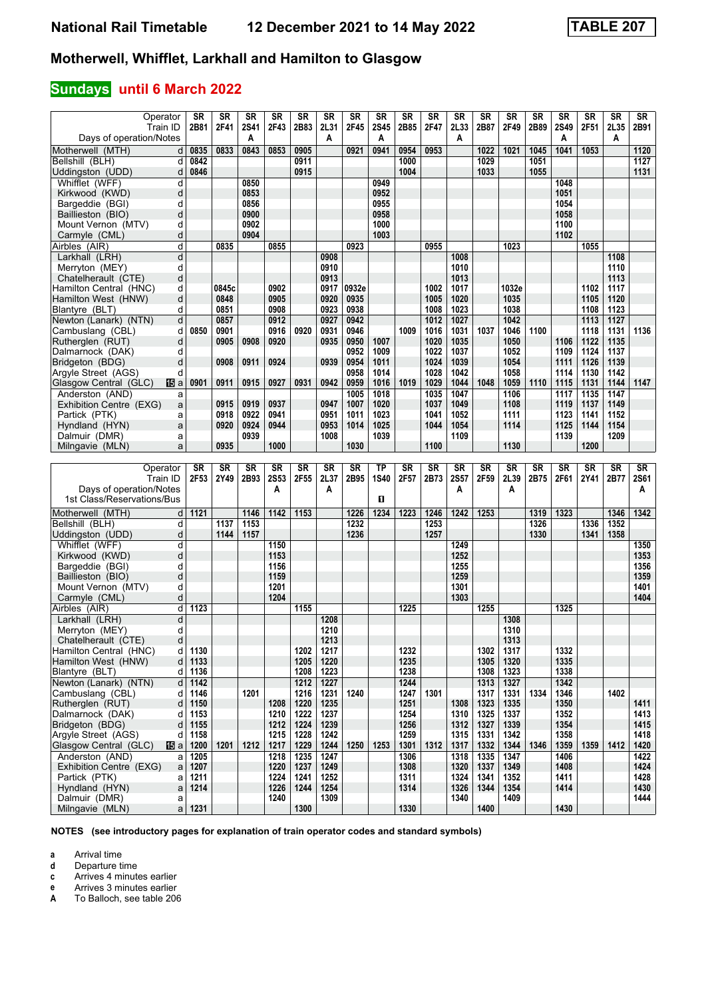### **Sundays until 6 March 2022**

| Operator                                | <b>SR</b> | <b>SR</b> | <b>SR</b>   | <b>SR</b>   | <b>SR</b> | <b>SR</b> | <b>SR</b> | <b>SR</b> | <b>SR</b> | <b>SR</b> | <b>SR</b> | <b>SR</b> | <b>SR</b> | <b>SR</b> | <b>SR</b> | <b>SR</b> | <b>SR</b>        | <b>SR</b>              |
|-----------------------------------------|-----------|-----------|-------------|-------------|-----------|-----------|-----------|-----------|-----------|-----------|-----------|-----------|-----------|-----------|-----------|-----------|------------------|------------------------|
| Train ID                                | 2B81      | 2F41      | <b>2S41</b> | 2F43        | 2B83      | 2L31      | 2F45      | 2S45      | 2B85      | 2F47      | 2L33      | 2B87      | 2F49      | 2B89      | 2S49      | 2F51      | 2L35             | 2B91                   |
| Days of operation/Notes                 |           |           | A           |             |           | A         |           | Α         |           |           | A         |           |           |           | Α         |           | A                |                        |
|                                         |           |           |             |             |           |           |           |           |           |           |           |           |           |           |           |           |                  |                        |
| Motherwell (MTH)<br>d                   | 0835      | 0833      | 0843        | 0853        | 0905      |           | 0921      | 0941      | 0954      | 0953      |           | 1022      | 1021      | 1045      | 1041      | 1053      |                  | 1120                   |
| Bellshill (BLH)<br>d                    | 0842      |           |             |             | 0911      |           |           |           | 1000      |           |           | 1029      |           | 1051      |           |           |                  | 1127                   |
| Uddingston (UDD)<br>d                   | 0846      |           |             |             | 0915      |           |           |           | 1004      |           |           | 1033      |           | 1055      |           |           |                  | 1131                   |
|                                         |           |           |             |             |           |           |           |           |           |           |           |           |           |           |           |           |                  |                        |
| Whifflet (WFF)<br>d                     |           |           | 0850        |             |           |           |           | 0949      |           |           |           |           |           |           | 1048      |           |                  |                        |
| Kirkwood (KWD)<br>d                     |           |           | 0853        |             |           |           |           | 0952      |           |           |           |           |           |           | 1051      |           |                  |                        |
| Bargeddie (BGI)<br>d                    |           |           | 0856        |             |           |           |           | 0955      |           |           |           |           |           |           | 1054      |           |                  |                        |
| Baillieston (BIO)<br>d                  |           |           | 0900        |             |           |           |           | 0958      |           |           |           |           |           |           | 1058      |           |                  |                        |
|                                         |           |           |             |             |           |           |           |           |           |           |           |           |           |           |           |           |                  |                        |
| Mount Vernon (MTV)<br>d                 |           |           | 0902        |             |           |           |           | 1000      |           |           |           |           |           |           | 1100      |           |                  |                        |
| Carmyle (CML)<br>d                      |           |           | 0904        |             |           |           |           | 1003      |           |           |           |           |           |           | 1102      |           |                  |                        |
| Airbles (AIR)<br>d                      |           | 0835      |             | 0855        |           |           | 0923      |           |           | 0955      |           |           | 1023      |           |           | 1055      |                  |                        |
| Larkhall (LRH)<br>d                     |           |           |             |             |           | 0908      |           |           |           |           | 1008      |           |           |           |           |           | 1108             |                        |
|                                         |           |           |             |             |           |           |           |           |           |           |           |           |           |           |           |           |                  |                        |
| Merryton (MEY)<br>d                     |           |           |             |             |           | 0910      |           |           |           |           | 1010      |           |           |           |           |           | 1110             |                        |
| Chatelherault (CTE)<br>d                |           |           |             |             |           | 0913      |           |           |           |           | 1013      |           |           |           |           |           | 1113             |                        |
| Hamilton Central (HNC)<br>d             |           | 0845c     |             | 0902        |           | 0917      | 0932e     |           |           | 1002      | 1017      |           | 1032e     |           |           | 1102      | 1117             |                        |
| Hamilton West (HNW)<br>d                |           | 0848      |             | 0905        |           | 0920      | 0935      |           |           | 1005      | 1020      |           | 1035      |           |           | 1105      | 1120             |                        |
|                                         |           |           |             |             |           |           |           |           |           |           |           |           |           |           |           |           |                  |                        |
| Blantyre (BLT)<br>d                     |           | 0851      |             | 0908        |           | 0923      | 0938      |           |           | 1008      | 1023      |           | 1038      |           |           | 1108      | 1123             |                        |
| d<br>Newton (Lanark) (NTN)              |           | 0857      |             | 0912        |           | 0927      | 0942      |           |           | 1012      | 1027      |           | 1042      |           |           | 1113      | $\frac{1127}{2}$ |                        |
| Cambuslang (CBL)<br>d                   | 0850      | 0901      |             | 0916        | 0920      | 0931      | 0946      |           | 1009      | 1016      | 1031      | 1037      | 1046      | 1100      |           | 1118      | 1131             | 1136                   |
|                                         |           |           |             |             |           |           | 0950      |           |           |           |           |           |           |           | 1106      |           | 1135             |                        |
| Rutherglen (RUT)<br>d                   |           | 0905      | 0908        | 0920        |           | 0935      |           | 1007      |           | 1020      | 1035      |           | 1050      |           |           | 1122      |                  |                        |
| Dalmarnock (DAK)<br>d                   |           |           |             |             |           |           | 0952      | 1009      |           | 1022      | 1037      |           | 1052      |           | 1109      | 1124      | 1137             |                        |
| Bridgeton (BDG)<br>d                    |           | 0908      | 0911        | 0924        |           | 0939      | 0954      | 1011      |           | 1024      | 1039      |           | 1054      |           | 1111      | 1126      | 1139             |                        |
| Argyle Street (AGS)<br>d                |           |           |             |             |           |           | 0958      | 1014      |           | 1028      | 1042      |           | 1058      |           | 1114      | 1130      | 1142             |                        |
| Glasgow Central (GLC)<br>115 a          | 0901      | 0911      | 0915        | 0927        | 0931      | 0942      | 0959      | 1016      | 1019      | 1029      | 1044      | 1048      | 1059      | 1110      | 1115      | 1131      | 1144             | 1147                   |
|                                         |           |           |             |             |           |           |           |           |           |           |           |           |           |           |           |           |                  |                        |
| Anderston (AND)<br>a                    |           |           |             |             |           |           | 1005      | 1018      |           | 1035      | 1047      |           | 1106      |           | 1117      | 1135      | 1147             |                        |
| Exhibition Centre (EXG)<br>a            |           | 0915      | 0919        | 0937        |           | 0947      | 1007      | 1020      |           | 1037      | 1049      |           | 1108      |           | 1119      | 1137      | 1149             |                        |
| Partick (PTK)<br>a                      |           | 0918      | 0922        | 0941        |           | 0951      | 1011      | 1023      |           | 1041      | 1052      |           | 1111      |           | 1123      | 1141      | 1152             |                        |
| Hyndland (HYN)<br>a                     |           | 0920      | 0924        | 0944        |           | 0953      | 1014      | 1025      |           | 1044      | 1054      |           | 1114      |           | 1125      | 1144      | 1154             |                        |
| Dalmuir (DMR)                           |           |           |             |             |           |           |           |           |           |           |           |           |           |           |           |           |                  |                        |
| a                                       |           |           | 0939        |             |           | 1008      |           | 1039      |           |           | 1109      |           |           |           | 1139      |           | 1209             |                        |
| Milngavie (MLN)<br>a                    |           | 0935      |             | 1000        |           |           | 1030      |           |           | 1100      |           |           | 1130      |           |           | 1200      |                  |                        |
|                                         |           |           |             |             |           |           |           |           |           |           |           |           |           |           |           |           |                  |                        |
|                                         |           |           |             |             |           |           |           |           |           |           |           |           |           |           |           |           |                  |                        |
|                                         |           |           |             |             |           |           |           |           |           |           |           |           |           |           |           |           |                  |                        |
| Operator                                | <b>SR</b> | <b>SR</b> | <b>SR</b>   | <b>SR</b>   | <b>SR</b> | <b>SR</b> | <b>SR</b> | <b>TP</b> | SR        | <b>SR</b> | <b>SR</b> | <b>SR</b> | <b>SR</b> | SR        | <b>SR</b> | <b>SR</b> | <b>SR</b>        | $\overline{\text{SR}}$ |
| Train ID                                | 2F53      | 2Y49      | 2B93        | <b>2S53</b> | 2F55      | 2L37      | 2B95      | 1S40      | 2F57      | 2B73      | 2S57      | 2F59      | 2L39      | 2B75      | 2F61      | 2Y41      | 2B77             | <b>2S61</b>            |
| Days of operation/Notes                 |           |           |             | Α           |           | Α         |           |           |           |           | A         |           | A         |           |           |           |                  | Α                      |
|                                         |           |           |             |             |           |           |           | П         |           |           |           |           |           |           |           |           |                  |                        |
| 1st Class/Reservations/Bus              |           |           |             |             |           |           |           |           |           |           |           |           |           |           |           |           |                  |                        |
| Motherwell (MTH)<br>d                   | 1121      |           | 1146        | 1142        | 1153      |           | 1226      | 1234      | 1223      | 1246      | 1242      | 1253      |           | 1319      | 1323      |           | 1346             | 1342                   |
| Bellshill (BLH)<br>d                    |           | 1137      | 1153        |             |           |           | 1232      |           |           | 1253      |           |           |           | 1326      |           | 1336      | 1352             |                        |
|                                         |           |           |             |             |           |           |           |           |           |           |           |           |           |           |           |           |                  |                        |
| Uddingston (UDD)<br>d                   |           | 1144      | 1157        |             |           |           | 1236      |           |           | 1257      |           |           |           | 1330      |           | 1341      | 1358             |                        |
| Whifflet (WFF)<br>d                     |           |           |             | 1150        |           |           |           |           |           |           | 1249      |           |           |           |           |           |                  | 1350                   |
| Kirkwood (KWD)<br>d                     |           |           |             | 1153        |           |           |           |           |           |           | 1252      |           |           |           |           |           |                  | 1353                   |
| d<br>Bargeddie (BGI)                    |           |           |             | 1156        |           |           |           |           |           |           | 1255      |           |           |           |           |           |                  | 1356                   |
|                                         |           |           |             |             |           |           |           |           |           |           |           |           |           |           |           |           |                  |                        |
| Baillieston (BIO)<br>d                  |           |           |             | 1159        |           |           |           |           |           |           | 1259      |           |           |           |           |           |                  | 1359                   |
| Mount Vernon (MTV)<br>d                 |           |           |             | 1201        |           |           |           |           |           |           | 1301      |           |           |           |           |           |                  | 1401                   |
| Carmyle (CML)<br>d                      |           |           |             | 1204        |           |           |           |           |           |           | 1303      |           |           |           |           |           |                  | 1404                   |
| Airbles (AIR)<br>d                      | 1123      |           |             |             | 1155      |           |           |           | 1225      |           |           | 1255      |           |           | 1325      |           |                  |                        |
| d                                       |           |           |             |             |           | 1208      |           |           |           |           |           |           | 1308      |           |           |           |                  |                        |
| Larkhall (LRH)                          |           |           |             |             |           |           |           |           |           |           |           |           |           |           |           |           |                  |                        |
| Merryton (MEY)<br>d                     |           |           |             |             |           | 1210      |           |           |           |           |           |           | 1310      |           |           |           |                  |                        |
| Chatelherault (CTE)<br>d                |           |           |             |             |           | 1213      |           |           |           |           |           |           | 1313      |           |           |           |                  |                        |
| Hamilton Central (HNC)<br>d             | 1130      |           |             |             | 1202      | 1217      |           |           | 1232      |           |           | 1302      | 1317      |           | 1332      |           |                  |                        |
| Hamilton West (HNW)<br>d                | 1133      |           |             |             | 1205      | 1220      |           |           | 1235      |           |           | 1305      |           |           | 1335      |           |                  |                        |
|                                         |           |           |             |             |           |           |           |           |           |           |           |           | 1320      |           |           |           |                  |                        |
| Blantvre (BLT)<br>d                     | 1136      |           |             |             | 1208      | 1223      |           |           | 1238      |           |           | 1308      | 1323      |           | 1338      |           |                  |                        |
| Newton (Lanark) (NTN)<br>d              | 1142      |           |             |             | 1212      | 1227      |           |           | 1244      |           |           | 1313      | 1327      |           | 1342      |           |                  |                        |
| Cambuslang (CBL)<br>d                   | 1146      |           | 1201        |             | 1216      | 1231      | 1240      |           | 1247      | 1301      |           | 1317      | 1331      | 1334      | 1346      |           | 1402             |                        |
| Rutherglen (RUT)<br>d                   | 1150      |           |             | 1208        | 1220      | 1235      |           |           | 1251      |           | 1308      | 1323      | 1335      |           | 1350      |           |                  | 1411                   |
| d                                       |           |           |             |             |           | 1237      |           |           |           |           | 1310      | 1325      | 1337      |           |           |           |                  |                        |
| Dalmarnock (DAK)                        | 1153      |           |             | 1210        | 1222      |           |           |           | 1254      |           |           |           |           |           | 1352      |           |                  | 1413                   |
| Bridgeton (BDG)<br>d                    | 1155      |           |             | $1212$      | 1224      | 1239      |           |           | 1256      |           | 1312      | 1327      | 1339      |           | 1354      |           |                  | 1415                   |
| Argyle Street (AGS)<br>d                | 1158      |           |             | 1215        | 1228      | 1242      |           |           | 1259      |           | 1315      | 1331      | 1342      |           | 1358      |           |                  | 1418                   |
| Glasgow Central (GLC)<br>115 al         | 1200      | 1201      | 1212        | 1217        | 1229      | 1244      | 1250      | 1253      | 1301      | 1312      | 1317      | 1332      | 1344      | 1346      | 1359      | 1359      | 1412             | 1420                   |
| Anderston (AND)<br>a                    | 1205      |           |             | 1218        | 1235      | 1247      |           |           |           |           | 1318      | 1335      | 1347      |           | 1406      |           |                  | 1422                   |
|                                         |           |           |             |             |           |           |           |           | 1306      |           |           |           |           |           |           |           |                  |                        |
| Exhibition Centre (EXG)<br>$\mathsf{a}$ | 1207      |           |             | 1220        | 1237      | 1249      |           |           | 1308      |           | 1320      | 1337      | 1349      |           | 1408      |           |                  | 1424                   |
| Partick (PTK)<br>a                      | 1211      |           |             | 1224        | 1241      | 1252      |           |           | 1311      |           | 1324      | 1341      | 1352      |           | 1411      |           |                  | 1428                   |
| Hyndland (HYN)<br>a                     | 1214      |           |             | 1226        | 1244      | 1254      |           |           | 1314      |           | 1326      | 1344      | 1354      |           | 1414      |           |                  | 1430                   |
| Dalmuir (DMR)<br>a                      | 1231      |           |             | 1240        | 1300      | 1309      |           |           | 1330      |           | 1340      | 1400      | 1409      |           | 1430      |           |                  | 1444                   |

**NOTES (see introductory pages for explanation of train operator codes and standard symbols)**

**a** Arrival time<br>**d** Departure t

**d** Departure time

**c** Arrives 4 minutes earlier<br>**e** Arrives 3 minutes earlier

**e** Arrives 3 minutes earlier<br>**A** To Balloch, see table 206

**A** To Balloch, see table 20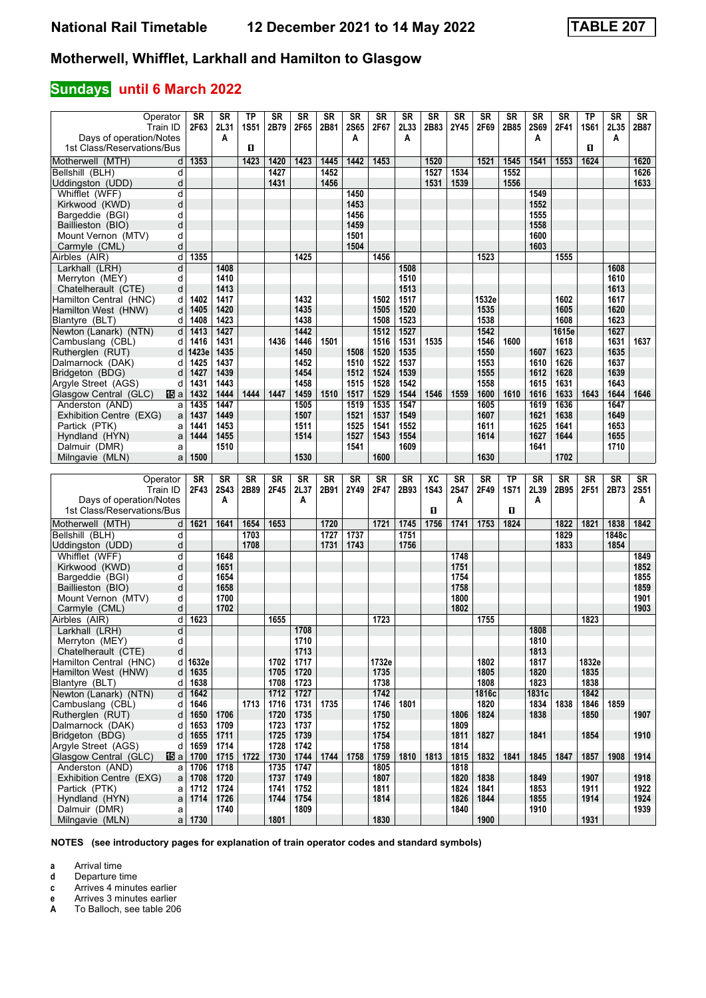### **Sundays until 6 March 2022**

| Operator<br>Train ID                                    | <b>SR</b><br>2F63 | <b>SR</b><br>2L31 | <b>TP</b><br><b>1S51</b> | <b>SR</b><br>2B79 | <b>SR</b><br>2F65 | <b>SR</b><br>2B81 | <b>SR</b><br><b>2S65</b> | <b>SR</b><br>2F67 | <b>SR</b><br>2L33 | <b>SR</b><br>2B83 | <b>SR</b><br>2Y45 | <b>SR</b><br>2F69 | <b>SR</b><br>2B85 | <b>SR</b><br><b>2S69</b> | <b>SR</b><br>2F41 | TP<br><b>1S61</b> | <b>SR</b><br>2L35 | <b>SR</b><br>2B87 |
|---------------------------------------------------------|-------------------|-------------------|--------------------------|-------------------|-------------------|-------------------|--------------------------|-------------------|-------------------|-------------------|-------------------|-------------------|-------------------|--------------------------|-------------------|-------------------|-------------------|-------------------|
| Days of operation/Notes                                 |                   | A                 |                          |                   |                   |                   | A                        |                   | A                 |                   |                   |                   |                   | A                        |                   |                   | A                 |                   |
| 1st Class/Reservations/Bus                              |                   |                   | п                        |                   |                   |                   |                          |                   |                   |                   |                   |                   |                   |                          |                   | D.                |                   |                   |
| Motherwell (MTH)<br>d                                   | 1353              |                   | 1423                     | 1420              | 1423              | 1445              | 1442                     | 1453              |                   | 1520              |                   | 1521              | 1545              | 1541                     | 1553              | 1624              |                   | 1620              |
| Bellshill (BLH)<br>d                                    |                   |                   |                          | 1427              |                   | 1452              |                          |                   |                   | 1527              | 1534              |                   | 1552              |                          |                   |                   |                   | 1626              |
| Uddingston (UDD)<br>d<br>Whifflet (WFF)<br>d            |                   |                   |                          | 1431              |                   | 1456              | 1450                     |                   |                   | 1531              | 1539              |                   | 1556              | 1549                     |                   |                   |                   | 1633              |
| Kirkwood (KWD)<br>d                                     |                   |                   |                          |                   |                   |                   | 1453                     |                   |                   |                   |                   |                   |                   | 1552                     |                   |                   |                   |                   |
| Bargeddie (BGI)<br>d                                    |                   |                   |                          |                   |                   |                   | 1456                     |                   |                   |                   |                   |                   |                   | 1555                     |                   |                   |                   |                   |
| Baillieston (BIO)<br>d                                  |                   |                   |                          |                   |                   |                   | 1459                     |                   |                   |                   |                   |                   |                   | 1558                     |                   |                   |                   |                   |
| Mount Vernon (MTV)<br>d                                 |                   |                   |                          |                   |                   |                   | 1501                     |                   |                   |                   |                   |                   |                   | 1600                     |                   |                   |                   |                   |
| d<br>Carmyle (CML)                                      | 1355              |                   |                          |                   | 1425              |                   | 1504                     | 1456              |                   |                   |                   | 1523              |                   | 1603                     |                   |                   |                   |                   |
| Airbles (AIR)<br>d<br>Larkhall (LRH)<br>d               |                   | 1408              |                          |                   |                   |                   |                          |                   | 1508              |                   |                   |                   |                   |                          | 1555              |                   | 1608              |                   |
| Merryton (MEY)<br>d                                     |                   | 1410              |                          |                   |                   |                   |                          |                   | 1510              |                   |                   |                   |                   |                          |                   |                   | 1610              |                   |
| Chatelherault (CTE)<br>d                                |                   | 1413              |                          |                   |                   |                   |                          |                   | 1513              |                   |                   |                   |                   |                          |                   |                   | 1613              |                   |
| Hamilton Central (HNC)<br>d                             | 1402              | 1417              |                          |                   | 1432              |                   |                          | 1502              | 1517              |                   |                   | 1532e             |                   |                          | 1602              |                   | 1617              |                   |
| Hamilton West (HNW)<br>d                                | 1405              | 1420              |                          |                   | 1435              |                   |                          | 1505              | 1520              |                   |                   | 1535              |                   |                          | 1605              |                   | 1620              |                   |
| Blantyre (BLT)<br>d                                     | 1408              | 1423              |                          |                   | 1438              |                   |                          | 1508              | 1523              |                   |                   | 1538              |                   |                          | 1608              |                   | 1623<br>1627      |                   |
| Newton (Lanark) (NTN)<br>d<br>Cambuslang (CBL)<br>d     | 1413<br>1416      | 1427<br>1431      |                          | 1436              | 1442<br>1446      | 1501              |                          | 1512<br>1516      | 1527<br>1531      | 1535              |                   | 1542<br>1546      | 1600              |                          | 1615e<br>1618     |                   | 1631              | 1637              |
| Rutherglen (RUT)<br>d                                   | 1423e             | 1435              |                          |                   | 1450              |                   | 1508                     | 1520              | 1535              |                   |                   | 1550              |                   | 1607                     | 1623              |                   | 1635              |                   |
| Dalmarnock (DAK)<br>d                                   | 1425              | 1437              |                          |                   | 1452              |                   | 1510                     | 1522              | 1537              |                   |                   | 1553              |                   | 1610                     | 1626              |                   | 1637              |                   |
| Bridgeton (BDG)<br>d                                    | 1427              | 1439              |                          |                   | 1454              |                   | 1512                     | 1524              | 1539              |                   |                   | 1555              |                   | 1612                     | 1628              |                   | 1639              |                   |
| Argyle Street (AGS)<br>d                                | 1431              | 1443              |                          |                   | 1458              |                   | 1515                     | 1528              | 1542              |                   |                   | 1558              |                   | 1615                     | 1631              |                   | 1643              |                   |
| Glasgow Central (GLC)<br>個a                             | 1432              | 1444              | 1444                     | 1447              | 1459              | 1510              | 1517                     | 1529              | 1544              | 1546              | 1559              | 1600              | 1610              | 1616                     | 1633              | 1643              | 1644              | 1646              |
| Anderston (AND)<br>a<br>Exhibition Centre (EXG)         | 1435<br>1437      | 1447<br>1449      |                          |                   | 1505<br>1507      |                   | 1519<br>1521             | 1535<br>1537      | 1547<br>1549      |                   |                   | 1605<br>1607      |                   | 1619<br>1621             | 1636<br>1638      |                   | 1647<br>1649      |                   |
| a<br>Partick (PTK)<br>a                                 | 1441              | 1453              |                          |                   | 1511              |                   | 1525                     | 1541              | 1552              |                   |                   | 1611              |                   | 1625                     | 1641              |                   | 1653              |                   |
| Hyndland (HYN)<br>a                                     | 1444              | 1455              |                          |                   | 1514              |                   | 1527                     | 1543              | 1554              |                   |                   | 1614              |                   | 1627                     | 1644              |                   | 1655              |                   |
| Dalmuir (DMR)<br>a                                      |                   | 1510              |                          |                   |                   |                   | 1541                     |                   | 1609              |                   |                   |                   |                   | 1641                     |                   |                   | 1710              |                   |
| Milngavie (MLN)<br>a                                    | 1500              |                   |                          |                   | 1530              |                   |                          | 1600              |                   |                   |                   | 1630              |                   |                          | 1702              |                   |                   |                   |
|                                                         |                   |                   |                          |                   |                   |                   |                          |                   |                   |                   |                   |                   |                   |                          |                   |                   |                   |                   |
|                                                         |                   |                   |                          |                   |                   |                   |                          |                   |                   |                   |                   |                   |                   |                          |                   |                   |                   |                   |
| Operator                                                | <b>SR</b>         | <b>SR</b>         | <b>SR</b>                | <b>SR</b>         | <b>SR</b>         | <b>SR</b>         | <b>SR</b>                | <b>SR</b>         | SR                | ХC                | <b>SR</b>         | <b>SR</b>         | <b>TP</b>         | <b>SR</b>                | <b>SR</b>         | <b>SR</b>         | <b>SR</b>         | <b>SR</b>         |
| Train ID                                                | 2F43              | 2S43<br>A         | 2B89                     | 2F45              | 2L37<br>A         | 2B91              | 2Y49                     | 2F47              | 2B93              | <b>1S43</b>       | 2S47<br>A         | 2F49              | <b>1S71</b>       | 2L39<br>A                | 2B95              | 2F51              | 2B73              | <b>2S51</b><br>Α  |
| Days of operation/Notes<br>1st Class/Reservations/Bus   |                   |                   |                          |                   |                   |                   |                          |                   |                   | п                 |                   |                   | D.                |                          |                   |                   |                   |                   |
| Motherwell (MTH)<br>d                                   | 1621              | 1641              | 1654                     | 1653              |                   | 1720              |                          | 1721              | 1745              | 1756              | 1741              | 1753              | 1824              |                          | 1822              | 1821              | 1838              | 1842              |
| Bellshill (BLH)<br>d                                    |                   |                   | 1703                     |                   |                   | 1727              | 1737                     |                   | 1751              |                   |                   |                   |                   |                          | 1829              |                   | 1848c             |                   |
| d<br>Uddingston (UDD)                                   |                   |                   | 1708                     |                   |                   | 1731              | 1743                     |                   | 1756              |                   |                   |                   |                   |                          | 1833              |                   | 1854              |                   |
| Whifflet (WFF)<br>d                                     |                   | 1648              |                          |                   |                   |                   |                          |                   |                   |                   | 1748              |                   |                   |                          |                   |                   |                   | 1849              |
| Kirkwood (KWD)<br>d                                     |                   | 1651              |                          |                   |                   |                   |                          |                   |                   |                   | 1751              |                   |                   |                          |                   |                   |                   | 1852              |
| Bargeddie (BGI)<br>d<br>d                               |                   | 1654<br>1658      |                          |                   |                   |                   |                          |                   |                   |                   | 1754              |                   |                   |                          |                   |                   |                   | 1855              |
| Baillieston (BIO)<br>Mount Vernon (MTV)<br>d            |                   | 1700              |                          |                   |                   |                   |                          |                   |                   |                   | 1758<br>1800      |                   |                   |                          |                   |                   |                   | 1859<br>1901      |
| Carmyle (CML)<br>d                                      |                   | 1702              |                          |                   |                   |                   |                          |                   |                   |                   | 1802              |                   |                   |                          |                   |                   |                   | 1903              |
| Airbles (AIR)<br>d                                      | 1623              |                   |                          | 1655              |                   |                   |                          | 1723              |                   |                   |                   | 1755              |                   |                          |                   | 1823              |                   |                   |
| d<br>Larkhall (LRH)                                     |                   |                   |                          |                   | 1708              |                   |                          |                   |                   |                   |                   |                   |                   | 1808                     |                   |                   |                   |                   |
| Merryton (MEY)<br>d                                     |                   |                   |                          |                   | 1710              |                   |                          |                   |                   |                   |                   |                   |                   | 1810                     |                   |                   |                   |                   |
| Chatelherault (CTE)<br>d                                |                   |                   |                          |                   | 1713              |                   |                          |                   |                   |                   |                   | 1802              |                   | 1813                     |                   | 1832e             |                   |                   |
| Hamilton Central (HNC)<br>d<br>Hamilton West (HNW)<br>d | 1632e<br>1635     |                   |                          | 1702<br>1705      | 1717<br>1720      |                   |                          | 1732e<br>1735     |                   |                   |                   | 1805              |                   | 1817<br>1820             |                   | 1835              |                   |                   |
| Blantyre (BLT)<br>d                                     | 1638              |                   |                          | 1708              | 1723              |                   |                          | 1738              |                   |                   |                   | 1808              |                   | 1823                     |                   | 1838              |                   |                   |
| d<br>Newton (Lanark) (NTN)                              | 1642              |                   |                          | 1712              | 1727              |                   |                          | 1742              |                   |                   |                   | 1816c             |                   | 1831c                    |                   | 1842              |                   |                   |
| Cambuslang (CBL)<br>d                                   | 1646              |                   | 1713                     | 1716              | 1731              | 1735              |                          | 1746              | 1801              |                   |                   | 1820              |                   | 1834                     | 1838              | 1846              | 1859              |                   |
| Rutherglen (RUT)<br>d                                   | 1650              | 1706              |                          | 1720              | 1735              |                   |                          | 1750              |                   |                   | 1806              | 1824              |                   | 1838                     |                   | 1850              |                   | 1907              |
| Dalmarnock (DAK)<br>d<br>Bridgeton (BDG)<br>d           | 1653<br>1655      | 1709<br>1711      |                          | 1723<br>1725      | 1737<br>1739      |                   |                          | 1752<br>1754      |                   |                   | 1809<br>1811      | 1827              |                   | 1841                     |                   | 1854              |                   | 1910              |
| Argyle Street (AGS)<br>d                                | 1659              | 1714              |                          | 1728              | 1742              |                   |                          | 1758              |                   |                   | 1814              |                   |                   |                          |                   |                   |                   |                   |
| Glasgow Central (GLC)<br>115 a                          | 1700              | 1715              | 1722                     | 1730              | 1744              | 1744              | 1758                     | 1759              | 1810              | 1813              | 1815              | 1832              | 1841              | 1845                     | 1847              | 1857              | 1908              | 1914              |
| Anderston (AND)<br>a                                    | 1706              | 1718              |                          | 1735              | 1747              |                   |                          | 1805              |                   |                   | 1818              |                   |                   |                          |                   |                   |                   |                   |
| Exhibition Centre (EXG)<br>a                            | 1708              | 1720              |                          | 1737              | 1749              |                   |                          | 1807              |                   |                   | 1820              | 1838              |                   | 1849                     |                   | 1907              |                   | 1918              |
| Partick (PTK)<br>a                                      | 1712              | 1724              |                          | 1741              | 1752              |                   |                          | 1811              |                   |                   | 1824              | 1841              |                   | 1853                     |                   | 1911              |                   | 1922              |
| Hyndland (HYN)<br>$\mathsf{a}$<br>Dalmuir (DMR)<br>a    | 1714              | 1726<br>1740      |                          | 1744              | 1754<br>1809      |                   |                          | 1814              |                   |                   | 1826<br>1840      | 1844              |                   | 1855<br>1910             |                   | 1914              |                   | 1924<br>1939      |

**NOTES (see introductory pages for explanation of train operator codes and standard symbols)**

**a** Arrival time<br>**d** Departure t

**d** Departure time<br>**c** Arrives 4 minute

**Arrives 4 minutes earlier** 

**e** Arrives 3 minutes earlier<br>**A** To Balloch, see table 206

**A** To Balloch, see table 20